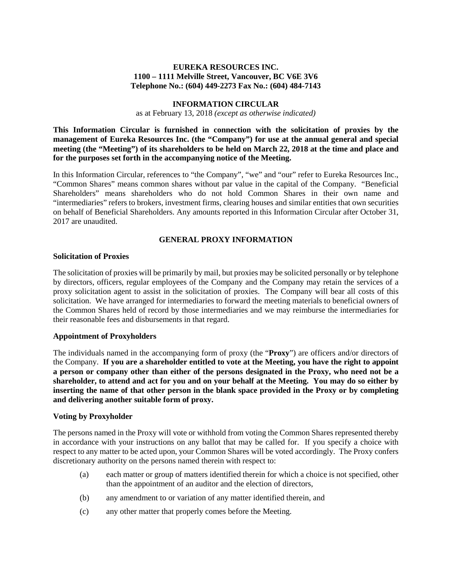### **EUREKA RESOURCES INC. 1100 – 1111 Melville Street, Vancouver, BC V6E 3V6 Telephone No.: (604) 449-2273 Fax No.: (604) 484-7143**

#### **INFORMATION CIRCULAR**

as at February 13, 2018 *(except as otherwise indicated)*

**This Information Circular is furnished in connection with the solicitation of proxies by the management of Eureka Resources Inc. (the "Company") for use at the annual general and special meeting (the "Meeting") of its shareholders to be held on March 22, 2018 at the time and place and for the purposes set forth in the accompanying notice of the Meeting.** 

In this Information Circular, references to "the Company", "we" and "our" refer to Eureka Resources Inc., "Common Shares" means common shares without par value in the capital of the Company. "Beneficial Shareholders" means shareholders who do not hold Common Shares in their own name and "intermediaries" refers to brokers, investment firms, clearing houses and similar entities that own securities on behalf of Beneficial Shareholders. Any amounts reported in this Information Circular after October 31, 2017 are unaudited.

# **GENERAL PROXY INFORMATION**

#### **Solicitation of Proxies**

The solicitation of proxies will be primarily by mail, but proxies may be solicited personally or by telephone by directors, officers, regular employees of the Company and the Company may retain the services of a proxy solicitation agent to assist in the solicitation of proxies. The Company will bear all costs of this solicitation. We have arranged for intermediaries to forward the meeting materials to beneficial owners of the Common Shares held of record by those intermediaries and we may reimburse the intermediaries for their reasonable fees and disbursements in that regard.

### **Appointment of Proxyholders**

The individuals named in the accompanying form of proxy (the "**Proxy**") are officers and/or directors of the Company. **If you are a shareholder entitled to vote at the Meeting, you have the right to appoint a person or company other than either of the persons designated in the Proxy, who need not be a shareholder, to attend and act for you and on your behalf at the Meeting. You may do so either by inserting the name of that other person in the blank space provided in the Proxy or by completing and delivering another suitable form of proxy.** 

#### **Voting by Proxyholder**

The persons named in the Proxy will vote or withhold from voting the Common Shares represented thereby in accordance with your instructions on any ballot that may be called for. If you specify a choice with respect to any matter to be acted upon, your Common Shares will be voted accordingly. The Proxy confers discretionary authority on the persons named therein with respect to:

- (a) each matter or group of matters identified therein for which a choice is not specified, other than the appointment of an auditor and the election of directors,
- (b) any amendment to or variation of any matter identified therein, and
- (c) any other matter that properly comes before the Meeting.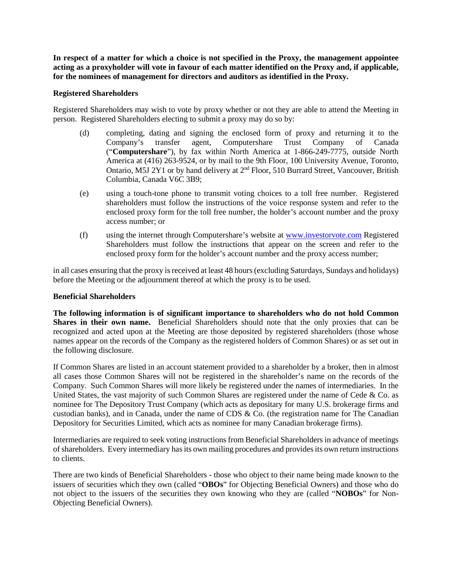**In respect of a matter for which a choice is not specified in the Proxy, the management appointee acting as a proxyholder will vote in favour of each matter identified on the Proxy and, if applicable, for the nominees of management for directors and auditors as identified in the Proxy.**

#### **Registered Shareholders**

Registered Shareholders may wish to vote by proxy whether or not they are able to attend the Meeting in person. Registered Shareholders electing to submit a proxy may do so by:

- (d) completing, dating and signing the enclosed form of proxy and returning it to the Company's transfer agent, Computershare Trust Company of Canada ("**Computershare**"), by fax within North America at 1-866-249-7775, outside North America at (416) 263-9524, or by mail to the 9th Floor, 100 University Avenue, Toronto, Ontario, M5J 2Y1 or by hand delivery at 2<sup>nd</sup> Floor, 510 Burrard Street, Vancouver, British Columbia, Canada V6C 3B9;
- (e) using a touch-tone phone to transmit voting choices to a toll free number. Registered shareholders must follow the instructions of the voice response system and refer to the enclosed proxy form for the toll free number, the holder's account number and the proxy access number; or
- (f) using the internet through Computershare's website at [www.investorvote.com](http://www.investorvote.com/) Registered Shareholders must follow the instructions that appear on the screen and refer to the enclosed proxy form for the holder's account number and the proxy access number;

in all cases ensuring that the proxy is received at least 48 hours (excluding Saturdays, Sundays and holidays) before the Meeting or the adjournment thereof at which the proxy is to be used.

#### **Beneficial Shareholders**

**The following information is of significant importance to shareholders who do not hold Common Shares in their own name.** Beneficial Shareholders should note that the only proxies that can be recognized and acted upon at the Meeting are those deposited by registered shareholders (those whose names appear on the records of the Company as the registered holders of Common Shares) or as set out in the following disclosure.

If Common Shares are listed in an account statement provided to a shareholder by a broker, then in almost all cases those Common Shares will not be registered in the shareholder's name on the records of the Company. Such Common Shares will more likely be registered under the names of intermediaries. In the United States, the vast majority of such Common Shares are registered under the name of Cede  $\&$  Co. as nominee for The Depository Trust Company (which acts as depositary for many U.S. brokerage firms and custodian banks), and in Canada, under the name of CDS & Co. (the registration name for The Canadian Depository for Securities Limited, which acts as nominee for many Canadian brokerage firms).

Intermediaries are required to seek voting instructions from Beneficial Shareholders in advance of meetings of shareholders. Every intermediary has its own mailing procedures and provides its own return instructions to clients.

There are two kinds of Beneficial Shareholders - those who object to their name being made known to the issuers of securities which they own (called "**OBOs**" for Objecting Beneficial Owners) and those who do not object to the issuers of the securities they own knowing who they are (called "**NOBOs**" for Non-Objecting Beneficial Owners).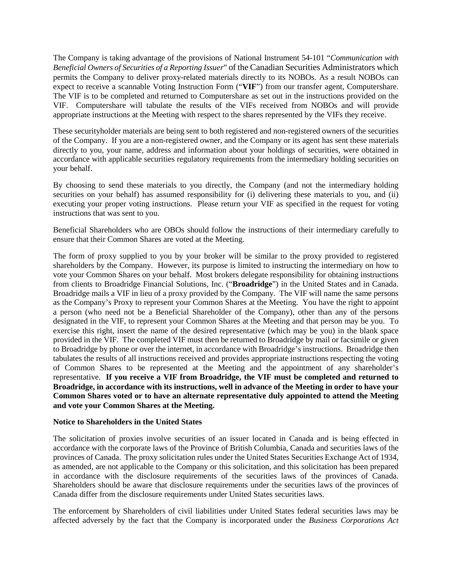The Company is taking advantage of the provisions of National Instrument 54-101 "*Communication with Beneficial Owners of Securities of a Reporting Issuer*" of the Canadian Securities Administrators which permits the Company to deliver proxy-related materials directly to its NOBOs. As a result NOBOs can expect to receive a scannable Voting Instruction Form ("**VIF**") from our transfer agent, Computershare. The VIF is to be completed and returned to Computershare as set out in the instructions provided on the VIF. Computershare will tabulate the results of the VIFs received from NOBOs and will provide appropriate instructions at the Meeting with respect to the shares represented by the VIFs they receive.

These securityholder materials are being sent to both registered and non-registered owners of the securities of the Company. If you are a non-registered owner, and the Company or its agent has sent these materials directly to you, your name, address and information about your holdings of securities, were obtained in accordance with applicable securities regulatory requirements from the intermediary holding securities on your behalf.

By choosing to send these materials to you directly, the Company (and not the intermediary holding securities on your behalf) has assumed responsibility for (i) delivering these materials to you, and (ii) executing your proper voting instructions. Please return your VIF as specified in the request for voting instructions that was sent to you.

Beneficial Shareholders who are OBOs should follow the instructions of their intermediary carefully to ensure that their Common Shares are voted at the Meeting.

The form of proxy supplied to you by your broker will be similar to the proxy provided to registered shareholders by the Company. However, its purpose is limited to instructing the intermediary on how to vote your Common Shares on your behalf. Most brokers delegate responsibility for obtaining instructions from clients to Broadridge Financial Solutions, Inc. ("**Broadridge**") in the United States and in Canada. Broadridge mails a VIF in lieu of a proxy provided by the Company. The VIF will name the same persons as the Company's Proxy to represent your Common Shares at the Meeting. You have the right to appoint a person (who need not be a Beneficial Shareholder of the Company), other than any of the persons designated in the VIF, to represent your Common Shares at the Meeting and that person may be you. To exercise this right, insert the name of the desired representative (which may be you) in the blank space provided in the VIF. The completed VIF must then be returned to Broadridge by mail or facsimile or given to Broadridge by phone or over the internet, in accordance with Broadridge's instructions. Broadridge then tabulates the results of all instructions received and provides appropriate instructions respecting the voting of Common Shares to be represented at the Meeting and the appointment of any shareholder's representative. **If you receive a VIF from Broadridge, the VIF must be completed and returned to Broadridge, in accordance with its instructions, well in advance of the Meeting in order to have your Common Shares voted or to have an alternate representative duly appointed to attend the Meeting and vote your Common Shares at the Meeting.**

### **Notice to Shareholders in the United States**

The solicitation of proxies involve securities of an issuer located in Canada and is being effected in accordance with the corporate laws of the Province of British Columbia, Canada and securities laws of the provinces of Canada. The proxy solicitation rules under the United States Securities Exchange Act of 1934, as amended, are not applicable to the Company or this solicitation, and this solicitation has been prepared in accordance with the disclosure requirements of the securities laws of the provinces of Canada. Shareholders should be aware that disclosure requirements under the securities laws of the provinces of Canada differ from the disclosure requirements under United States securities laws.

The enforcement by Shareholders of civil liabilities under United States federal securities laws may be affected adversely by the fact that the Company is incorporated under the *Business Corporations Act*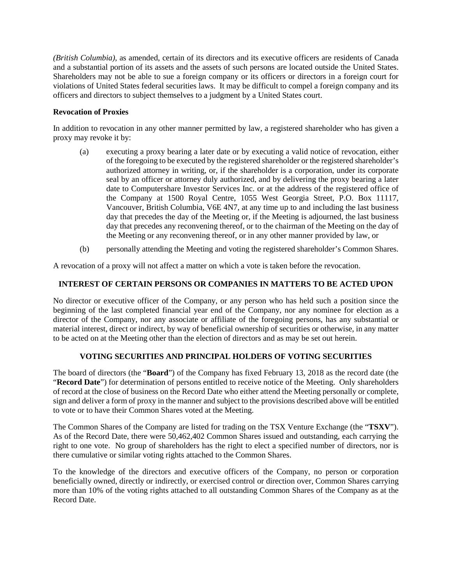*(British Columbia)*, as amended, certain of its directors and its executive officers are residents of Canada and a substantial portion of its assets and the assets of such persons are located outside the United States. Shareholders may not be able to sue a foreign company or its officers or directors in a foreign court for violations of United States federal securities laws. It may be difficult to compel a foreign company and its officers and directors to subject themselves to a judgment by a United States court.

# **Revocation of Proxies**

In addition to revocation in any other manner permitted by law, a registered shareholder who has given a proxy may revoke it by:

- (a) executing a proxy bearing a later date or by executing a valid notice of revocation, either of the foregoing to be executed by the registered shareholder or the registered shareholder's authorized attorney in writing, or, if the shareholder is a corporation, under its corporate seal by an officer or attorney duly authorized, and by delivering the proxy bearing a later date to Computershare Investor Services Inc. or at the address of the registered office of the Company at 1500 Royal Centre, 1055 West Georgia Street, P.O. Box 11117, Vancouver, British Columbia, V6E 4N7, at any time up to and including the last business day that precedes the day of the Meeting or, if the Meeting is adjourned, the last business day that precedes any reconvening thereof, or to the chairman of the Meeting on the day of the Meeting or any reconvening thereof, or in any other manner provided by law, or
- (b) personally attending the Meeting and voting the registered shareholder's Common Shares.

A revocation of a proxy will not affect a matter on which a vote is taken before the revocation.

### **INTEREST OF CERTAIN PERSONS OR COMPANIES IN MATTERS TO BE ACTED UPON**

No director or executive officer of the Company, or any person who has held such a position since the beginning of the last completed financial year end of the Company, nor any nominee for election as a director of the Company, nor any associate or affiliate of the foregoing persons, has any substantial or material interest, direct or indirect, by way of beneficial ownership of securities or otherwise, in any matter to be acted on at the Meeting other than the election of directors and as may be set out herein.

### **VOTING SECURITIES AND PRINCIPAL HOLDERS OF VOTING SECURITIES**

The board of directors (the "**Board**") of the Company has fixed February 13, 2018 as the record date (the "**Record Date**") for determination of persons entitled to receive notice of the Meeting. Only shareholders of record at the close of business on the Record Date who either attend the Meeting personally or complete, sign and deliver a form of proxy in the manner and subject to the provisions described above will be entitled to vote or to have their Common Shares voted at the Meeting.

The Common Shares of the Company are listed for trading on the TSX Venture Exchange (the "**TSXV**"). As of the Record Date, there were 50,462,402 Common Shares issued and outstanding, each carrying the right to one vote. No group of shareholders has the right to elect a specified number of directors, nor is there cumulative or similar voting rights attached to the Common Shares.

To the knowledge of the directors and executive officers of the Company, no person or corporation beneficially owned, directly or indirectly, or exercised control or direction over, Common Shares carrying more than 10% of the voting rights attached to all outstanding Common Shares of the Company as at the Record Date.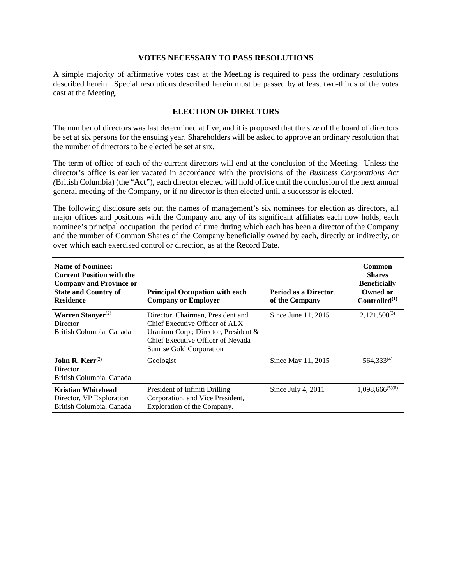#### **VOTES NECESSARY TO PASS RESOLUTIONS**

A simple majority of affirmative votes cast at the Meeting is required to pass the ordinary resolutions described herein. Special resolutions described herein must be passed by at least two-thirds of the votes cast at the Meeting.

### **ELECTION OF DIRECTORS**

The number of directors was last determined at five, and it is proposed that the size of the board of directors be set at six persons for the ensuing year. Shareholders will be asked to approve an ordinary resolution that the number of directors to be elected be set at six.

The term of office of each of the current directors will end at the conclusion of the Meeting. Unless the director's office is earlier vacated in accordance with the provisions of the *Business Corporations Act (*British Columbia) (the "**Act**"), each director elected will hold office until the conclusion of the next annual general meeting of the Company, or if no director is then elected until a successor is elected.

The following disclosure sets out the names of management's six nominees for election as directors, all major offices and positions with the Company and any of its significant affiliates each now holds, each nominee's principal occupation, the period of time during which each has been a director of the Company and the number of Common Shares of the Company beneficially owned by each, directly or indirectly, or over which each exercised control or direction, as at the Record Date.

| <b>Name of Nominee;</b><br><b>Current Position with the</b><br><b>Company and Province or</b><br><b>State and Country of</b><br><b>Residence</b> | <b>Principal Occupation with each</b><br><b>Company or Employer</b>                                                                                                             | Period as a Director<br>of the Company | Common<br><b>Shares</b><br><b>Beneficially</b><br>Owned or<br>Controlled <sup>(1)</sup> |
|--------------------------------------------------------------------------------------------------------------------------------------------------|---------------------------------------------------------------------------------------------------------------------------------------------------------------------------------|----------------------------------------|-----------------------------------------------------------------------------------------|
| Warren Stanyer $(2)$<br>Director<br>British Columbia, Canada                                                                                     | Director, Chairman, President and<br>Chief Executive Officer of ALX<br>Uranium Corp.; Director, President $\&$<br>Chief Executive Officer of Nevada<br>Sunrise Gold Corporation | Since June 11, 2015                    | $2,121,500^{(3)}$                                                                       |
| <b>John R. Kerr</b> <sup>(2)</sup><br>Director<br>British Columbia, Canada                                                                       | Geologist                                                                                                                                                                       | Since May 11, 2015                     | $564,333^{(4)}$                                                                         |
| <b>Kristian Whitehead</b><br>Director, VP Exploration<br>British Columbia, Canada                                                                | President of Infiniti Drilling<br>Corporation, and Vice President,<br>Exploration of the Company.                                                                               | Since July 4, 2011                     | $1,098,666^{(5)(8)}$                                                                    |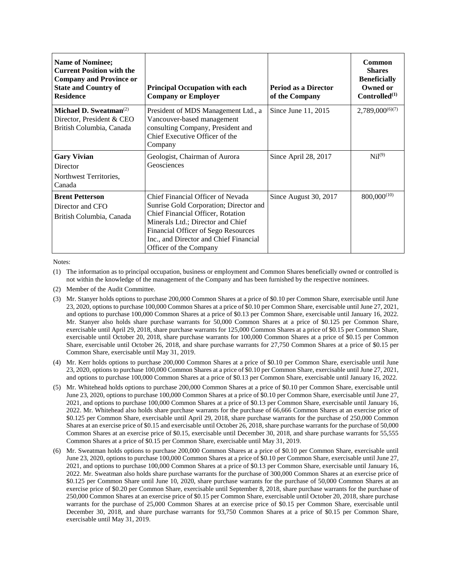| Name of Nominee;<br><b>Current Position with the</b><br><b>Company and Province or</b><br><b>State and Country of</b><br><b>Residence</b> | <b>Principal Occupation with each</b><br><b>Company or Employer</b>                                                                                                                                                                                              | <b>Period as a Director</b><br>of the Company | Common<br><b>Shares</b><br><b>Beneficially</b><br>Owned or<br>Controlled <sup>(1)</sup> |
|-------------------------------------------------------------------------------------------------------------------------------------------|------------------------------------------------------------------------------------------------------------------------------------------------------------------------------------------------------------------------------------------------------------------|-----------------------------------------------|-----------------------------------------------------------------------------------------|
| Michael D. Sweatman <sup><math>(2)</math></sup><br>Director, President & CEO<br>British Columbia, Canada                                  | President of MDS Management Ltd., a<br>Vancouver-based management<br>consulting Company, President and<br>Chief Executive Officer of the<br>Company                                                                                                              | Since June 11, 2015                           | $2,789,000^{(6)(7)}$                                                                    |
| <b>Gary Vivian</b><br>Director<br>Northwest Territories,<br>Canada                                                                        | Geologist, Chairman of Aurora<br>Geosciences                                                                                                                                                                                                                     | Since April 28, 2017                          | $Ni1^{(9)}$                                                                             |
| <b>Brent Petterson</b><br>Director and CFO<br>British Columbia, Canada                                                                    | Chief Financial Officer of Nevada<br>Sunrise Gold Corporation; Director and<br>Chief Financial Officer, Rotation<br>Minerals Ltd.; Director and Chief<br>Financial Officer of Sego Resources<br>Inc., and Director and Chief Financial<br>Officer of the Company | Since August 30, 2017                         | $800,000^{(10)}$                                                                        |

Notes:

(1) The information as to principal occupation, business or employment and Common Shares beneficially owned or controlled is not within the knowledge of the management of the Company and has been furnished by the respective nominees.

(2) Member of the Audit Committee.

(3) Mr. Stanyer holds options to purchase 200,000 Common Shares at a price of \$0.10 per Common Share, exercisable until June 23, 2020, options to purchase 100,000 Common Shares at a price of \$0.10 per Common Share, exercisable until June 27, 2021, and options to purchase 100,000 Common Shares at a price of \$0.13 per Common Share, exercisable until January 16, 2022. Mr. Stanyer also holds share purchase warrants for 50,000 Common Shares at a price of \$0.125 per Common Share, exercisable until April 29, 2018, share purchase warrants for 125,000 Common Shares at a price of \$0.15 per Common Share, exercisable until October 20, 2018, share purchase warrants for 100,000 Common Shares at a price of \$0.15 per Common Share, exercisable until October 26, 2018, and share purchase warrants for 27,750 Common Shares at a price of \$0.15 per Common Share, exercisable until May 31, 2019.

- (4) Mr. Kerr holds options to purchase 200,000 Common Shares at a price of \$0.10 per Common Share, exercisable until June 23, 2020, options to purchase 100,000 Common Shares at a price of \$0.10 per Common Share, exercisable until June 27, 2021, and options to purchase 100,000 Common Shares at a price of \$0.13 per Common Share, exercisable until January 16, 2022.
- (5) Mr. Whitehead holds options to purchase 200,000 Common Shares at a price of \$0.10 per Common Share, exercisable until June 23, 2020, options to purchase 100,000 Common Shares at a price of \$0.10 per Common Share, exercisable until June 27, 2021, and options to purchase 100,000 Common Shares at a price of \$0.13 per Common Share, exercisable until January 16, 2022. Mr. Whitehead also holds share purchase warrants for the purchase of 66,666 Common Shares at an exercise price of \$0.125 per Common Share, exercisable until April 29, 2018, share purchase warrants for the purchase of 250,000 Common Shares at an exercise price of \$0.15 and exercisable until October 26, 2018, share purchase warrants for the purchase of 50,000 Common Shares at an exercise price of \$0.15, exercisable until December 30, 2018, and share purchase warrants for 55,555 Common Shares at a price of \$0.15 per Common Share, exercisable until May 31, 2019.
- (6) Mr. Sweatman holds options to purchase 200,000 Common Shares at a price of \$0.10 per Common Share, exercisable until June 23, 2020, options to purchase 100,000 Common Shares at a price of \$0.10 per Common Share, exercisable until June 27, 2021, and options to purchase 100,000 Common Shares at a price of \$0.13 per Common Share, exercisable until January 16, 2022. Mr. Sweatman also holds share purchase warrants for the purchase of 300,000 Common Shares at an exercise price of \$0.125 per Common Share until June 10, 2020, share purchase warrants for the purchase of 50,000 Common Shares at an exercise price of \$0.20 per Common Share, exercisable until September 8, 2018, share purchase warrants for the purchase of 250,000 Common Shares at an exercise price of \$0.15 per Common Share, exercisable until October 20, 2018, share purchase warrants for the purchase of 25,000 Common Shares at an exercise price of \$0.15 per Common Share, exercisable until December 30, 2018, and share purchase warrants for 93,750 Common Shares at a price of \$0.15 per Common Share, exercisable until May 31, 2019.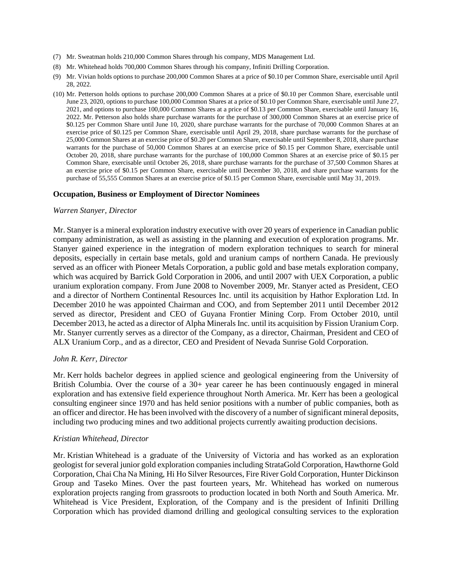- (7) Mr. Sweatman holds 210,000 Common Shares through his company, MDS Management Ltd.
- (8) Mr. Whitehead holds 700,000 Common Shares through his company, Infiniti Drilling Corporation.
- (9) Mr. Vivian holds options to purchase 200,000 Common Shares at a price of \$0.10 per Common Share, exercisable until April 28, 2022.
- (10) Mr. Petterson holds options to purchase 200,000 Common Shares at a price of \$0.10 per Common Share, exercisable until June 23, 2020, options to purchase 100,000 Common Shares at a price of \$0.10 per Common Share, exercisable until June 27, 2021, and options to purchase 100,000 Common Shares at a price of \$0.13 per Common Share, exercisable until January 16, 2022. Mr. Petterson also holds share purchase warrants for the purchase of 300,000 Common Shares at an exercise price of \$0.125 per Common Share until June 10, 2020, share purchase warrants for the purchase of 70,000 Common Shares at an exercise price of \$0.125 per Common Share, exercisable until April 29, 2018, share purchase warrants for the purchase of 25,000 Common Shares at an exercise price of \$0.20 per Common Share, exercisable until September 8, 2018, share purchase warrants for the purchase of 50,000 Common Shares at an exercise price of \$0.15 per Common Share, exercisable until October 20, 2018, share purchase warrants for the purchase of 100,000 Common Shares at an exercise price of \$0.15 per Common Share, exercisable until October 26, 2018, share purchase warrants for the purchase of 37,500 Common Shares at an exercise price of \$0.15 per Common Share, exercisable until December 30, 2018, and share purchase warrants for the purchase of 55,555 Common Shares at an exercise price of \$0.15 per Common Share, exercisable until May 31, 2019.

#### **Occupation, Business or Employment of Director Nominees**

#### *Warren Stanyer, Director*

Mr. Stanyer is a mineral exploration industry executive with over 20 years of experience in Canadian public company administration, as well as assisting in the planning and execution of exploration programs. Mr. Stanyer gained experience in the integration of modern exploration techniques to search for mineral deposits, especially in certain base metals, gold and uranium camps of northern Canada. He previously served as an officer with Pioneer Metals Corporation, a public gold and base metals exploration company, which was acquired by Barrick Gold Corporation in 2006, and until 2007 with UEX Corporation, a public uranium exploration company. From June 2008 to November 2009, Mr. Stanyer acted as President, CEO and a director of Northern Continental Resources Inc. until its acquisition by Hathor Exploration Ltd. In December 2010 he was appointed Chairman and COO, and from September 2011 until December 2012 served as director, President and CEO of Guyana Frontier Mining Corp. From October 2010, until December 2013, he acted as a director of Alpha Minerals Inc. until its acquisition by Fission Uranium Corp. Mr. Stanyer currently serves as a director of the Company, as a director, Chairman, President and CEO of ALX Uranium Corp., and as a director, CEO and President of Nevada Sunrise Gold Corporation.

#### *John R. Kerr, Director*

Mr. Kerr holds bachelor degrees in applied science and geological engineering from the University of British Columbia. Over the course of a 30+ year career he has been continuously engaged in mineral exploration and has extensive field experience throughout North America. Mr. Kerr has been a geological consulting engineer since 1970 and has held senior positions with a number of public companies, both as an officer and director. He has been involved with the discovery of a number of significant mineral deposits, including two producing mines and two additional projects currently awaiting production decisions.

#### *Kristian Whitehead, Director*

Mr. Kristian Whitehead is a graduate of the University of Victoria and has worked as an exploration geologist for several junior gold exploration companies including StrataGold Corporation, Hawthorne Gold Corporation, Chai Cha Na Mining, Hi Ho Silver Resources, Fire River Gold Corporation, Hunter Dickinson Group and Taseko Mines. Over the past fourteen years, Mr. Whitehead has worked on numerous exploration projects ranging from grassroots to production located in both North and South America. Mr. Whitehead is Vice President, Exploration, of the Company and is the president of Infiniti Drilling Corporation which has provided diamond drilling and geological consulting services to the exploration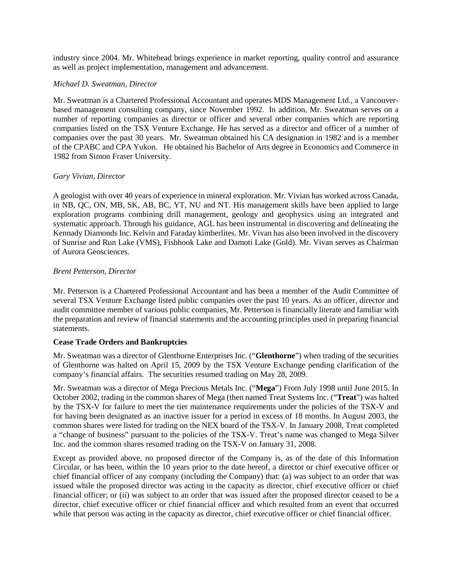industry since 2004. Mr. Whitehead brings experience in market reporting, quality control and assurance as well as project implementation, management and advancement.

### *Michael D. Sweatman, Director*

Mr. Sweatman is a Chartered Professional Accountant and operates MDS Management Ltd., a Vancouverbased management consulting company, since November 1992. In addition, Mr. Sweatman serves on a number of reporting companies as director or officer and several other companies which are reporting companies listed on the TSX Venture Exchange. He has served as a director and officer of a number of companies over the past 30 years. Mr. Sweatman obtained his CA designation in 1982 and is a member of the CPABC and CPA Yukon. He obtained his Bachelor of Arts degree in Economics and Commerce in 1982 from Simon Fraser University.

#### *Gary Vivian, Director*

A geologist with over 40 years of experience in mineral exploration. Mr. Vivian has worked across Canada, in NB, QC, ON, MB, SK, AB, BC, YT, NU and NT. His management skills have been applied to large exploration programs combining drill management, geology and geophysics using an integrated and systematic approach. Through his guidance, AGL has been instrumental in discovering and delineating the Kennady Diamonds Inc. Kelvin and Faraday kimberlites. Mr. Vivan has also been involved in the discovery of Sunrise and Run Lake (VMS), Fishhook Lake and Damoti Lake (Gold). Mr. Vivan serves as Chairman of Aurora Geosciences.

### *Brent Petterson, Director*

Mr. Petterson is a Chartered Professional Accountant and has been a member of the Audit Committee of several TSX Venture Exchange listed public companies over the past 10 years. As an officer, director and audit committee member of various public companies, Mr. Petterson is financially literate and familiar with the preparation and review of financial statements and the accounting principles used in preparing financial statements.

### **Cease Trade Orders and Bankruptcies**

Mr. Sweatman was a director of Glenthorne Enterprises Inc. ("**Glenthorne**") when trading of the securities of Glenthorne was halted on April 15, 2009 by the TSX Venture Exchange pending clarification of the company's financial affairs. The securities resumed trading on May 28, 2009.

Mr. Sweatman was a director of Mega Precious Metals Inc. ("**Mega**") From July 1998 until June 2015. In October 2002, trading in the common shares of Mega (then named Treat Systems Inc. ("**Treat**") was halted by the TSX-V for failure to meet the tier maintenance requirements under the policies of the TSX-V and for having been designated as an inactive issuer for a period in excess of 18 months. In August 2003, the common shares were listed for trading on the NEX board of the TSX-V. In January 2008, Treat completed a "change of business" pursuant to the policies of the TSX-V. Treat's name was changed to Mega Silver Inc. and the common shares resumed trading on the TSX-V on January 31, 2008.

Except as provided above, no proposed director of the Company is, as of the date of this Information Circular, or has been, within the 10 years prior to the date hereof, a director or chief executive officer or chief financial officer of any company (including the Company) that: (a) was subject to an order that was issued while the proposed director was acting in the capacity as director, chief executive officer or chief financial officer; or (ii) was subject to an order that was issued after the proposed director ceased to be a director, chief executive officer or chief financial officer and which resulted from an event that occurred while that person was acting in the capacity as director, chief executive officer or chief financial officer.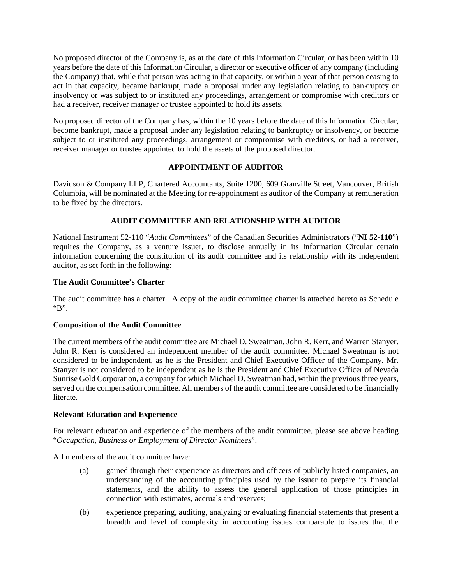No proposed director of the Company is, as at the date of this Information Circular, or has been within 10 years before the date of this Information Circular, a director or executive officer of any company (including the Company) that, while that person was acting in that capacity, or within a year of that person ceasing to act in that capacity, became bankrupt, made a proposal under any legislation relating to bankruptcy or insolvency or was subject to or instituted any proceedings, arrangement or compromise with creditors or had a receiver, receiver manager or trustee appointed to hold its assets.

No proposed director of the Company has, within the 10 years before the date of this Information Circular, become bankrupt, made a proposal under any legislation relating to bankruptcy or insolvency, or become subject to or instituted any proceedings, arrangement or compromise with creditors, or had a receiver, receiver manager or trustee appointed to hold the assets of the proposed director.

# **APPOINTMENT OF AUDITOR**

Davidson & Company LLP, Chartered Accountants, Suite 1200, 609 Granville Street, Vancouver, British Columbia, will be nominated at the Meeting for re-appointment as auditor of the Company at remuneration to be fixed by the directors.

# **AUDIT COMMITTEE AND RELATIONSHIP WITH AUDITOR**

National Instrument 52-110 "*Audit Committees*" of the Canadian Securities Administrators ("**NI 52-110**") requires the Company, as a venture issuer, to disclose annually in its Information Circular certain information concerning the constitution of its audit committee and its relationship with its independent auditor, as set forth in the following:

### **The Audit Committee's Charter**

The audit committee has a charter. A copy of the audit committee charter is attached hereto as Schedule "B".

### **Composition of the Audit Committee**

The current members of the audit committee are Michael D. Sweatman, John R. Kerr, and Warren Stanyer. John R. Kerr is considered an independent member of the audit committee. Michael Sweatman is not considered to be independent, as he is the President and Chief Executive Officer of the Company. Mr. Stanyer is not considered to be independent as he is the President and Chief Executive Officer of Nevada Sunrise Gold Corporation, a company for which Michael D. Sweatman had, within the previous three years, served on the compensation committee. All members of the audit committee are considered to be financially literate.

### **Relevant Education and Experience**

For relevant education and experience of the members of the audit committee, please see above heading "*Occupation, Business or Employment of Director Nominees*".

All members of the audit committee have:

- (a) gained through their experience as directors and officers of publicly listed companies, an understanding of the accounting principles used by the issuer to prepare its financial statements, and the ability to assess the general application of those principles in connection with estimates, accruals and reserves;
- (b) experience preparing, auditing, analyzing or evaluating financial statements that present a breadth and level of complexity in accounting issues comparable to issues that the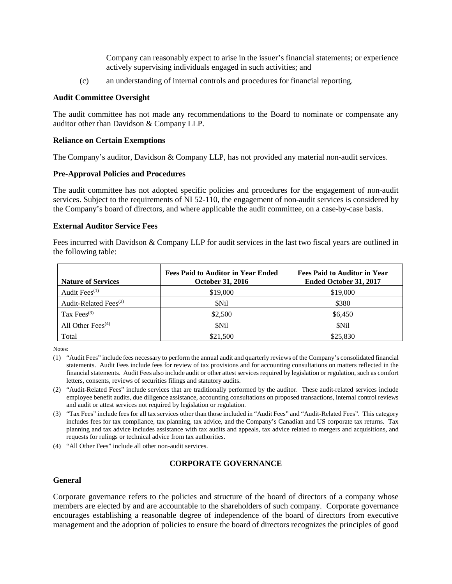Company can reasonably expect to arise in the issuer's financial statements; or experience actively supervising individuals engaged in such activities; and

(c) an understanding of internal controls and procedures for financial reporting.

#### **Audit Committee Oversight**

The audit committee has not made any recommendations to the Board to nominate or compensate any auditor other than Davidson & Company LLP.

#### **Reliance on Certain Exemptions**

The Company's auditor, Davidson & Company LLP, has not provided any material non-audit services.

#### **Pre-Approval Policies and Procedures**

The audit committee has not adopted specific policies and procedures for the engagement of non-audit services. Subject to the requirements of NI 52-110, the engagement of non-audit services is considered by the Company's board of directors, and where applicable the audit committee, on a case-by-case basis.

#### **External Auditor Service Fees**

Fees incurred with Davidson & Company LLP for audit services in the last two fiscal years are outlined in the following table:

| <b>Nature of Services</b>         | <b>Fees Paid to Auditor in Year Ended</b><br><b>October 31, 2016</b> | <b>Fees Paid to Auditor in Year</b><br>Ended October 31, 2017 |
|-----------------------------------|----------------------------------------------------------------------|---------------------------------------------------------------|
| Audit Fees <sup>(1)</sup>         | \$19,000                                                             | \$19,000                                                      |
| Audit-Related Fees <sup>(2)</sup> | \$Nil                                                                | \$380                                                         |
| Tax Fees $(3)$                    | \$2,500                                                              | \$6,450                                                       |
| All Other Fees $(4)$              | \$Nil                                                                | <b>SNil</b>                                                   |
| Total                             | \$21,500                                                             | \$25,830                                                      |

Notes:

- (1) "Audit Fees" include fees necessary to perform the annual audit and quarterly reviews of the Company's consolidated financial statements. Audit Fees include fees for review of tax provisions and for accounting consultations on matters reflected in the financial statements. Audit Fees also include audit or other attest services required by legislation or regulation, such as comfort letters, consents, reviews of securities filings and statutory audits.
- (2) "Audit-Related Fees" include services that are traditionally performed by the auditor. These audit-related services include employee benefit audits, due diligence assistance, accounting consultations on proposed transactions, internal control reviews and audit or attest services not required by legislation or regulation.
- (3) "Tax Fees" include fees for all tax services other than those included in "Audit Fees" and "Audit-Related Fees". This category includes fees for tax compliance, tax planning, tax advice, and the Company's Canadian and US corporate tax returns. Tax planning and tax advice includes assistance with tax audits and appeals, tax advice related to mergers and acquisitions, and requests for rulings or technical advice from tax authorities.

(4) "All Other Fees" include all other non-audit services.

#### **CORPORATE GOVERNANCE**

#### **General**

Corporate governance refers to the policies and structure of the board of directors of a company whose members are elected by and are accountable to the shareholders of such company. Corporate governance encourages establishing a reasonable degree of independence of the board of directors from executive management and the adoption of policies to ensure the board of directors recognizes the principles of good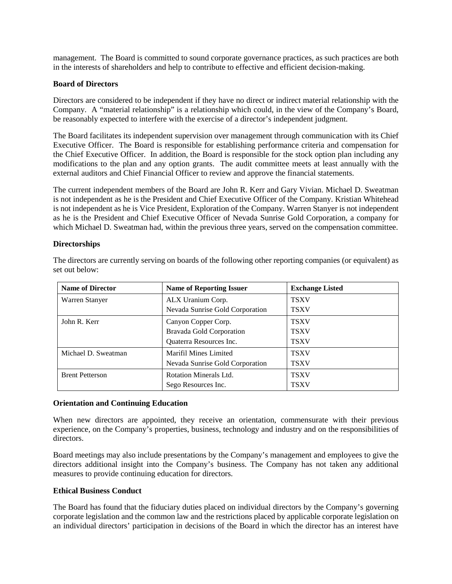management. The Board is committed to sound corporate governance practices, as such practices are both in the interests of shareholders and help to contribute to effective and efficient decision-making.

#### **Board of Directors**

Directors are considered to be independent if they have no direct or indirect material relationship with the Company. A "material relationship" is a relationship which could, in the view of the Company's Board, be reasonably expected to interfere with the exercise of a director's independent judgment.

The Board facilitates its independent supervision over management through communication with its Chief Executive Officer. The Board is responsible for establishing performance criteria and compensation for the Chief Executive Officer. In addition, the Board is responsible for the stock option plan including any modifications to the plan and any option grants. The audit committee meets at least annually with the external auditors and Chief Financial Officer to review and approve the financial statements.

The current independent members of the Board are John R. Kerr and Gary Vivian. Michael D. Sweatman is not independent as he is the President and Chief Executive Officer of the Company. Kristian Whitehead is not independent as he is Vice President, Exploration of the Company. Warren Stanyer is not independent as he is the President and Chief Executive Officer of Nevada Sunrise Gold Corporation, a company for which Michael D. Sweatman had, within the previous three years, served on the compensation committee.

#### **Directorships**

| <b>Name of Director</b>             | <b>Name of Reporting Issuer</b> | <b>Exchange Listed</b> |
|-------------------------------------|---------------------------------|------------------------|
| ALX Uranium Corp.<br>Warren Stanyer |                                 | <b>TSXV</b>            |
|                                     | Nevada Sunrise Gold Corporation | <b>TSXV</b>            |
| John R. Kerr                        | Canyon Copper Corp.             | <b>TSXV</b>            |
|                                     | <b>Bravada Gold Corporation</b> | <b>TSXV</b>            |
|                                     | Quaterra Resources Inc.         | <b>TSXV</b>            |
| Michael D. Sweatman                 | Marifil Mines Limited           | <b>TSXV</b>            |
|                                     | Nevada Sunrise Gold Corporation | <b>TSXV</b>            |
| <b>Brent Petterson</b>              | <b>Rotation Minerals Ltd.</b>   | <b>TSXV</b>            |
|                                     | Sego Resources Inc.             | <b>TSXV</b>            |

The directors are currently serving on boards of the following other reporting companies (or equivalent) as set out below:

### **Orientation and Continuing Education**

When new directors are appointed, they receive an orientation, commensurate with their previous experience, on the Company's properties, business, technology and industry and on the responsibilities of directors.

Board meetings may also include presentations by the Company's management and employees to give the directors additional insight into the Company's business. The Company has not taken any additional measures to provide continuing education for directors.

#### **Ethical Business Conduct**

The Board has found that the fiduciary duties placed on individual directors by the Company's governing corporate legislation and the common law and the restrictions placed by applicable corporate legislation on an individual directors' participation in decisions of the Board in which the director has an interest have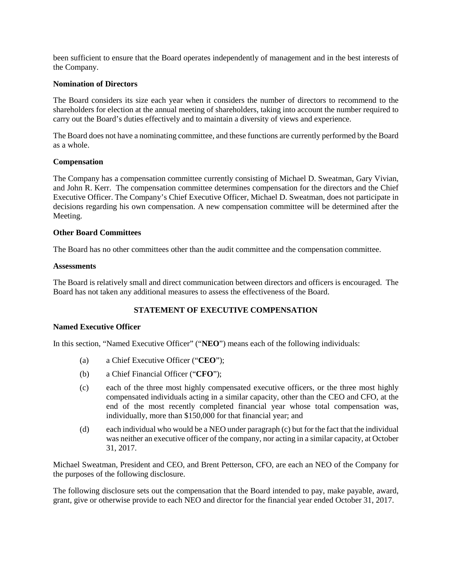been sufficient to ensure that the Board operates independently of management and in the best interests of the Company.

#### **Nomination of Directors**

The Board considers its size each year when it considers the number of directors to recommend to the shareholders for election at the annual meeting of shareholders, taking into account the number required to carry out the Board's duties effectively and to maintain a diversity of views and experience.

The Board does not have a nominating committee, and these functions are currently performed by the Board as a whole.

#### **Compensation**

The Company has a compensation committee currently consisting of Michael D. Sweatman, Gary Vivian, and John R. Kerr. The compensation committee determines compensation for the directors and the Chief Executive Officer. The Company's Chief Executive Officer, Michael D. Sweatman, does not participate in decisions regarding his own compensation. A new compensation committee will be determined after the Meeting.

#### **Other Board Committees**

The Board has no other committees other than the audit committee and the compensation committee.

#### **Assessments**

The Board is relatively small and direct communication between directors and officers is encouraged. The Board has not taken any additional measures to assess the effectiveness of the Board.

# **STATEMENT OF EXECUTIVE COMPENSATION**

#### **Named Executive Officer**

In this section, "Named Executive Officer" ("**NEO**") means each of the following individuals:

- (a) a Chief Executive Officer ("**CEO**");
- (b) a Chief Financial Officer ("**CFO**");
- (c) each of the three most highly compensated executive officers, or the three most highly compensated individuals acting in a similar capacity, other than the CEO and CFO, at the end of the most recently completed financial year whose total compensation was, individually, more than \$150,000 for that financial year; and
- (d) each individual who would be a NEO under paragraph (c) but for the fact that the individual was neither an executive officer of the company, nor acting in a similar capacity, at October 31, 2017.

Michael Sweatman, President and CEO, and Brent Petterson, CFO, are each an NEO of the Company for the purposes of the following disclosure.

The following disclosure sets out the compensation that the Board intended to pay, make payable, award, grant, give or otherwise provide to each NEO and director for the financial year ended October 31, 2017.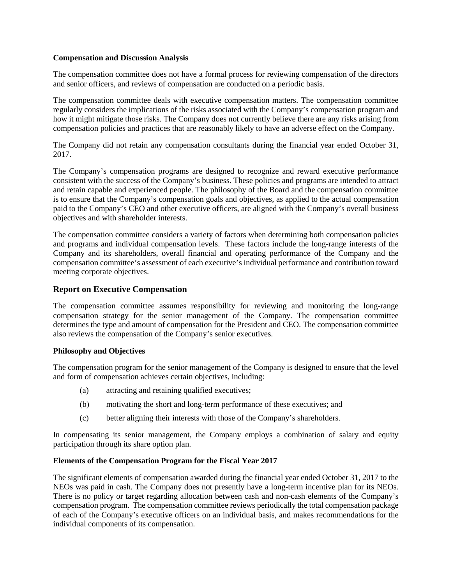#### **Compensation and Discussion Analysis**

The compensation committee does not have a formal process for reviewing compensation of the directors and senior officers, and reviews of compensation are conducted on a periodic basis.

The compensation committee deals with executive compensation matters. The compensation committee regularly considers the implications of the risks associated with the Company's compensation program and how it might mitigate those risks. The Company does not currently believe there are any risks arising from compensation policies and practices that are reasonably likely to have an adverse effect on the Company.

The Company did not retain any compensation consultants during the financial year ended October 31, 2017.

The Company's compensation programs are designed to recognize and reward executive performance consistent with the success of the Company's business. These policies and programs are intended to attract and retain capable and experienced people. The philosophy of the Board and the compensation committee is to ensure that the Company's compensation goals and objectives, as applied to the actual compensation paid to the Company's CEO and other executive officers, are aligned with the Company's overall business objectives and with shareholder interests.

The compensation committee considers a variety of factors when determining both compensation policies and programs and individual compensation levels. These factors include the long-range interests of the Company and its shareholders, overall financial and operating performance of the Company and the compensation committee's assessment of each executive's individual performance and contribution toward meeting corporate objectives.

### **Report on Executive Compensation**

The compensation committee assumes responsibility for reviewing and monitoring the long-range compensation strategy for the senior management of the Company. The compensation committee determines the type and amount of compensation for the President and CEO. The compensation committee also reviews the compensation of the Company's senior executives.

### **Philosophy and Objectives**

The compensation program for the senior management of the Company is designed to ensure that the level and form of compensation achieves certain objectives, including:

- (a) attracting and retaining qualified executives;
- (b) motivating the short and long-term performance of these executives; and
- (c) better aligning their interests with those of the Company's shareholders.

In compensating its senior management, the Company employs a combination of salary and equity participation through its share option plan.

### **Elements of the Compensation Program for the Fiscal Year 2017**

The significant elements of compensation awarded during the financial year ended October 31, 2017 to the NEOs was paid in cash. The Company does not presently have a long-term incentive plan for its NEOs. There is no policy or target regarding allocation between cash and non-cash elements of the Company's compensation program. The compensation committee reviews periodically the total compensation package of each of the Company's executive officers on an individual basis, and makes recommendations for the individual components of its compensation.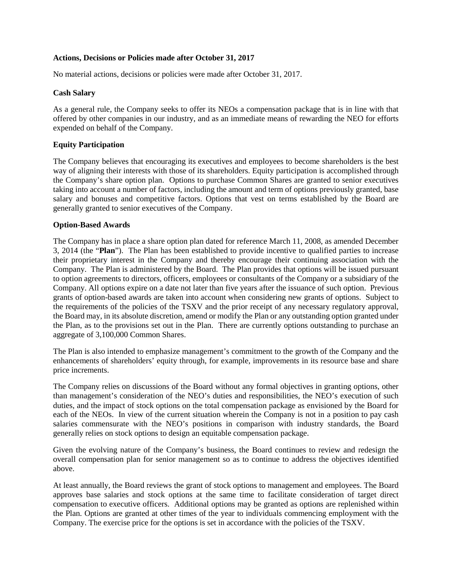#### **Actions, Decisions or Policies made after October 31, 2017**

No material actions, decisions or policies were made after October 31, 2017.

#### **Cash Salary**

As a general rule, the Company seeks to offer its NEOs a compensation package that is in line with that offered by other companies in our industry, and as an immediate means of rewarding the NEO for efforts expended on behalf of the Company.

#### **Equity Participation**

The Company believes that encouraging its executives and employees to become shareholders is the best way of aligning their interests with those of its shareholders. Equity participation is accomplished through the Company's share option plan. Options to purchase Common Shares are granted to senior executives taking into account a number of factors, including the amount and term of options previously granted, base salary and bonuses and competitive factors. Options that vest on terms established by the Board are generally granted to senior executives of the Company.

#### **Option-Based Awards**

The Company has in place a share option plan dated for reference March 11, 2008, as amended December 3, 2014 (the "**Plan**"). The Plan has been established to provide incentive to qualified parties to increase their proprietary interest in the Company and thereby encourage their continuing association with the Company. The Plan is administered by the Board. The Plan provides that options will be issued pursuant to option agreements to directors, officers, employees or consultants of the Company or a subsidiary of the Company. All options expire on a date not later than five years after the issuance of such option. Previous grants of option-based awards are taken into account when considering new grants of options. Subject to the requirements of the policies of the TSXV and the prior receipt of any necessary regulatory approval, the Board may, in its absolute discretion, amend or modify the Plan or any outstanding option granted under the Plan, as to the provisions set out in the Plan. There are currently options outstanding to purchase an aggregate of 3,100,000 Common Shares.

The Plan is also intended to emphasize management's commitment to the growth of the Company and the enhancements of shareholders' equity through, for example, improvements in its resource base and share price increments.

The Company relies on discussions of the Board without any formal objectives in granting options, other than management's consideration of the NEO's duties and responsibilities, the NEO's execution of such duties, and the impact of stock options on the total compensation package as envisioned by the Board for each of the NEOs. In view of the current situation wherein the Company is not in a position to pay cash salaries commensurate with the NEO's positions in comparison with industry standards, the Board generally relies on stock options to design an equitable compensation package.

Given the evolving nature of the Company's business, the Board continues to review and redesign the overall compensation plan for senior management so as to continue to address the objectives identified above.

At least annually, the Board reviews the grant of stock options to management and employees. The Board approves base salaries and stock options at the same time to facilitate consideration of target direct compensation to executive officers. Additional options may be granted as options are replenished within the Plan. Options are granted at other times of the year to individuals commencing employment with the Company. The exercise price for the options is set in accordance with the policies of the TSXV.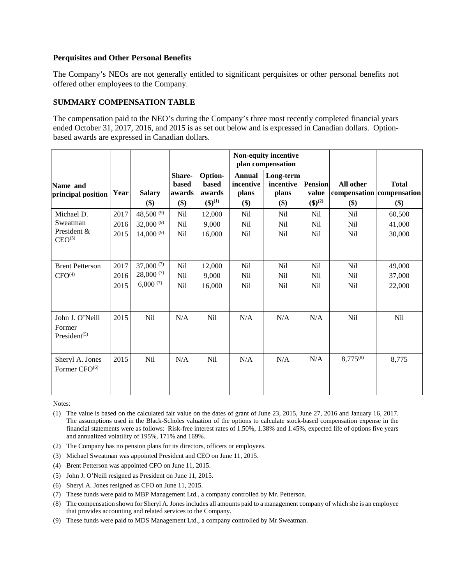### **Perquisites and Other Personal Benefits**

The Company's NEOs are not generally entitled to significant perquisites or other personal benefits not offered other employees to the Company.

### **SUMMARY COMPENSATION TABLE**

The compensation paid to the NEO's during the Company's three most recently completed financial years ended October 31, 2017, 2016, and 2015 is as set out below and is expressed in Canadian dollars. Optionbased awards are expressed in Canadian dollars.

|                                                                    |                      |                                                 |                                         |                                            |                                                  | Non-equity incentive<br>plan compensation |                                              |                                                 |                                                  |
|--------------------------------------------------------------------|----------------------|-------------------------------------------------|-----------------------------------------|--------------------------------------------|--------------------------------------------------|-------------------------------------------|----------------------------------------------|-------------------------------------------------|--------------------------------------------------|
| Name and<br>principal position                                     | Year                 | <b>Salary</b><br>\$)                            | Share-<br><b>based</b><br>awards<br>\$) | Option-<br>based<br>awards<br>$(\$)^{(1)}$ | <b>Annual</b><br>incentive<br>plans<br>\$)       | Long-term<br>incentive<br>plans<br>$($)$  | <b>Pension</b><br>value<br>$({\bf 1})^{(2)}$ | All other<br>\$)                                | <b>Total</b><br>compensation compensation<br>\$) |
| Michael D.<br>Sweatman<br>President &<br>$CEO^{(3)}$               | 2017<br>2016<br>2015 | 48,500 $(9)$<br>32,000 $(9)$<br>$14,000^{(9)}$  | Nil<br>Nil<br>Nil                       | 12,000<br>9,000<br>16,000                  | N <sub>il</sub><br>N <sub>il</sub><br><b>Nil</b> | N <sub>il</sub><br>N <sub>il</sub><br>Nil | Nil<br>N <sub>il</sub><br>Nil                | N <sub>il</sub><br>N <sub>i</sub><br><b>Nil</b> | 60,500<br>41,000<br>30,000                       |
| <b>Brent Petterson</b><br>CFO <sup>(4)</sup>                       | 2017<br>2016<br>2015 | 37,000 $(7)$<br>$28,000^{(7)}$<br>$6,000^{(7)}$ | N <sub>il</sub><br>Nil<br>Nil           | 12,000<br>9,000<br>16,000                  | Nil<br>N <sub>il</sub><br>Nil                    | N <sub>il</sub><br>N <sub>il</sub><br>Nil | N <sub>il</sub><br>Nil<br>N <sub>il</sub>    | N <sub>il</sub><br>N <sub>i</sub><br><b>Nil</b> | 49,000<br>37,000<br>22,000                       |
| John J. O'Neill<br>Former<br>President <sup><math>(5)</math></sup> | 2015                 | <b>Nil</b>                                      | N/A                                     | Nil                                        | N/A                                              | N/A                                       | N/A                                          | <b>Nil</b>                                      | <b>Nil</b>                                       |
| Sheryl A. Jones<br>Former CFO <sup>(6)</sup>                       | 2015                 | N <sub>il</sub>                                 | N/A                                     | Nil                                        | N/A                                              | N/A                                       | N/A                                          | $8,775^{(8)}$                                   | 8,775                                            |

Notes:

- (1) The value is based on the calculated fair value on the dates of grant of June 23, 2015, June 27, 2016 and January 16, 2017. The assumptions used in the Black-Scholes valuation of the options to calculate stock-based compensation expense in the financial statements were as follows: Risk-free interest rates of 1.50%, 1.38% and 1.45%, expected life of options five years and annualized volatility of 195%, 171% and 169%.
- (2) The Company has no pension plans for its directors, officers or employees.
- (3) Michael Sweatman was appointed President and CEO on June 11, 2015.
- (4) Brent Petterson was appointed CFO on June 11, 2015.
- (5) John J. O'Neill resigned as President on June 11, 2015.
- (6) Sheryl A. Jones resigned as CFO on June 11, 2015.
- (7) These funds were paid to MBP Management Ltd., a company controlled by Mr. Petterson.
- (8) The compensation shown for Sheryl A. Jones includes all amounts paid to a management company of which she is an employee that provides accounting and related services to the Company.
- (9) These funds were paid to MDS Management Ltd., a company controlled by Mr Sweatman.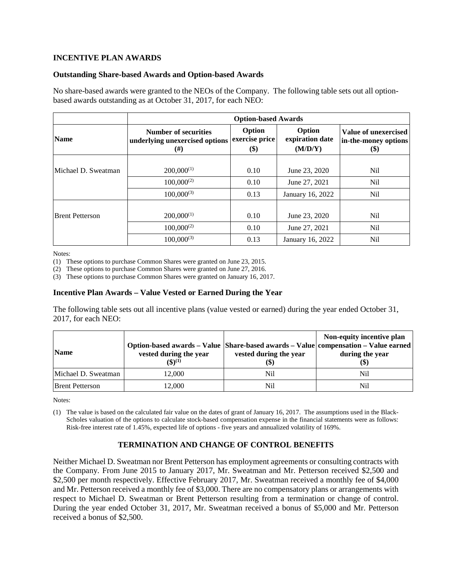### **INCENTIVE PLAN AWARDS**

#### **Outstanding Share-based Awards and Option-based Awards**

No share-based awards were granted to the NEOs of the Company. The following table sets out all optionbased awards outstanding as at October 31, 2017, for each NEO:

|                        | <b>Option-based Awards</b>                                           |                                 |                                      |                                                             |  |  |
|------------------------|----------------------------------------------------------------------|---------------------------------|--------------------------------------|-------------------------------------------------------------|--|--|
| <b>Name</b>            | <b>Number of securities</b><br>underlying unexercised options<br>(#) | Option<br>exercise price<br>\$) | Option<br>expiration date<br>(M/D/Y) | <b>Value of unexercised</b><br>in-the-money options<br>(\$) |  |  |
|                        |                                                                      |                                 |                                      |                                                             |  |  |
| Michael D. Sweatman    | $200,000^{(1)}$                                                      | 0.10                            | June 23, 2020                        | Nil                                                         |  |  |
|                        | $100,000^{(2)}$                                                      | 0.10                            | June 27, 2021                        | <b>Nil</b>                                                  |  |  |
|                        | $100,000^{(3)}$                                                      | 0.13                            | January 16, 2022                     | <b>Nil</b>                                                  |  |  |
|                        |                                                                      |                                 |                                      |                                                             |  |  |
| <b>Brent Petterson</b> | $200,000^{(1)}$                                                      | 0.10                            | June 23, 2020                        | Nil                                                         |  |  |
|                        | $100,000^{(2)}$                                                      | 0.10                            | June 27, 2021                        | Nil                                                         |  |  |
|                        | $100,000^{(3)}$                                                      | 0.13                            | January 16, 2022                     | Nil                                                         |  |  |

Notes:

(1) These options to purchase Common Shares were granted on June 23, 2015.

(2) These options to purchase Common Shares were granted on June 27, 2016.

(3) These options to purchase Common Shares were granted on January 16, 2017.

#### **Incentive Plan Awards – Value Vested or Earned During the Year**

The following table sets out all incentive plans (value vested or earned) during the year ended October 31, 2017, for each NEO:

| <b>Name</b>            | Option-based awards – Value   Share-based awards – Value   compensation – Value earned<br>vested during the year<br>$(5)^{(1)}$ | vested during the year<br>IΦ. | Non-equity incentive plan<br>during the year<br>(\$) |
|------------------------|---------------------------------------------------------------------------------------------------------------------------------|-------------------------------|------------------------------------------------------|
| Michael D. Sweatman    | 12.000                                                                                                                          | Nil                           | Nil                                                  |
| <b>Brent Petterson</b> | 12.000                                                                                                                          | Nil                           | Nil                                                  |

Notes:

(1) The value is based on the calculated fair value on the dates of grant of January 16, 2017. The assumptions used in the Black-Scholes valuation of the options to calculate stock-based compensation expense in the financial statements were as follows: Risk-free interest rate of 1.45%, expected life of options - five years and annualized volatility of 169%.

### **TERMINATION AND CHANGE OF CONTROL BENEFITS**

Neither Michael D. Sweatman nor Brent Petterson has employment agreements or consulting contracts with the Company. From June 2015 to January 2017, Mr. Sweatman and Mr. Petterson received \$2,500 and \$2,500 per month respectively. Effective February 2017, Mr. Sweatman received a monthly fee of \$4,000 and Mr. Petterson received a monthly fee of \$3,000. There are no compensatory plans or arrangements with respect to Michael D. Sweatman or Brent Petterson resulting from a termination or change of control. During the year ended October 31, 2017, Mr. Sweatman received a bonus of \$5,000 and Mr. Petterson received a bonus of \$2,500.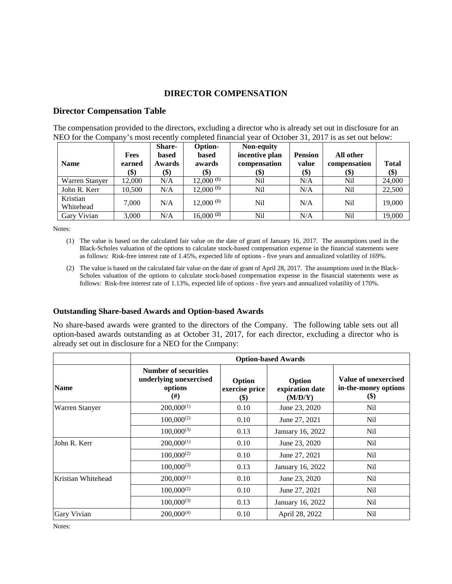# **DIRECTOR COMPENSATION**

# **Director Compensation Table**

The compensation provided to the directors, excluding a director who is already set out in disclosure for an NEO for the Company's most recently completed financial year of October 31, 2017 is as set out below:

| <b>Name</b>           | <b>Fees</b><br>earned<br>\$) | Share-<br>based<br><b>Awards</b><br>\$) | Option-<br>based<br>awards<br>\$) | Non-equity<br>incentive plan<br>compensation<br>(\$) | <b>Pension</b><br>value<br>$\left( \text{\$}\right)$ | All other<br>compensation<br>$(\$)$ | <b>Total</b><br>\$) |
|-----------------------|------------------------------|-----------------------------------------|-----------------------------------|------------------------------------------------------|------------------------------------------------------|-------------------------------------|---------------------|
| Warren Stanyer        | 12,000                       | N/A                                     | $12,000^{(1)}$                    | Nil                                                  | N/A                                                  | Nil                                 | 24,000              |
| John R. Kerr          | 10.500                       | N/A                                     | $12,000^{(1)}$                    | Nil                                                  | N/A                                                  | Nil                                 | 22,500              |
| Kristian<br>Whitehead | 7.000                        | N/A                                     | $12,000^{(1)}$                    | Nil                                                  | N/A                                                  | Nil                                 | 19,000              |
| Gary Vivian           | 3,000                        | N/A                                     | $16,000^{(2)}$                    | Nil                                                  | N/A                                                  | Nil                                 | 19,000              |

Notes:

- (1) The value is based on the calculated fair value on the date of grant of January 16, 2017. The assumptions used in the Black-Scholes valuation of the options to calculate stock-based compensation expense in the financial statements were as follows: Risk-free interest rate of 1.45%, expected life of options - five years and annualized volatility of 169%.
- (2) The value is based on the calculated fair value on the date of grant of April 28, 2017. The assumptions used in the Black-Scholes valuation of the options to calculate stock-based compensation expense in the financial statements were as follows: Risk-free interest rate of 1.13%, expected life of options - five years and annualized volatility of 170%.

#### **Outstanding Share-based Awards and Option-based Awards**

No share-based awards were granted to the directors of the Company. The following table sets out all option-based awards outstanding as at October 31, 2017, for each director, excluding a director who is already set out in disclosure for a NEO for the Company:

|                    |                                                                         | <b>Option-based Awards</b>                             |                                      |                                                                              |  |  |
|--------------------|-------------------------------------------------------------------------|--------------------------------------------------------|--------------------------------------|------------------------------------------------------------------------------|--|--|
| <b>Name</b>        | <b>Number of securities</b><br>underlying unexercised<br>options<br>(#) | Option<br>exercise price<br>$\left( \mathsf{S}\right)$ | Option<br>expiration date<br>(M/D/Y) | Value of unexercised<br>in-the-money options<br>$\left( \mathcal{S} \right)$ |  |  |
| Warren Stanyer     | $200,000^{(1)}$                                                         | 0.10                                                   | June 23, 2020                        | N <sub>il</sub>                                                              |  |  |
|                    | $100,000^{(2)}$                                                         | 0.10                                                   | June 27, 2021                        | N <sub>il</sub>                                                              |  |  |
|                    | $100,000^{(3)}$                                                         | 0.13                                                   | January 16, 2022                     | Nil                                                                          |  |  |
| John R. Kerr       | $200,000^{(1)}$                                                         | 0.10                                                   | June 23, 2020                        | Nil                                                                          |  |  |
|                    | $100,000^{(2)}$                                                         | 0.10                                                   | June 27, 2021                        | N <sub>il</sub>                                                              |  |  |
|                    | $100,000^{(3)}$                                                         | 0.13                                                   | January 16, 2022                     | Nil                                                                          |  |  |
| Kristian Whitehead | $200,000^{(1)}$                                                         | 0.10                                                   | June 23, 2020                        | Nil                                                                          |  |  |
|                    | $100,000^{(2)}$                                                         | 0.10                                                   | June 27, 2021                        | Nil                                                                          |  |  |
|                    | $100,000^{(3)}$                                                         | 0.13                                                   | January 16, 2022                     | Nil                                                                          |  |  |
| Gary Vivian        | $200,000^{(4)}$                                                         | 0.10                                                   | April 28, 2022                       | N <sub>il</sub>                                                              |  |  |

Notes: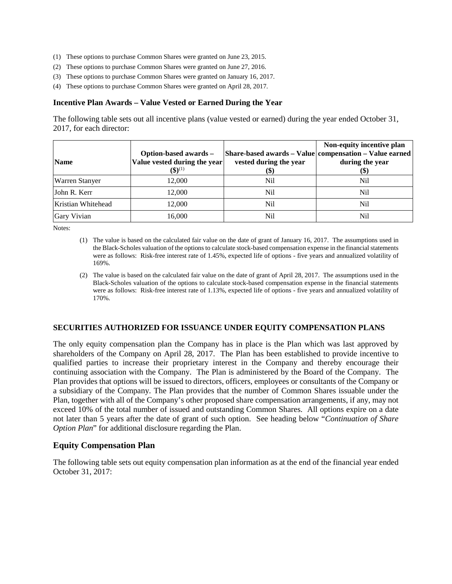- (1) These options to purchase Common Shares were granted on June 23, 2015.
- (2) These options to purchase Common Shares were granted on June 27, 2016.
- (3) These options to purchase Common Shares were granted on January 16, 2017.
- (4) These options to purchase Common Shares were granted on April 28, 2017.

#### **Incentive Plan Awards – Value Vested or Earned During the Year**

The following table sets out all incentive plans (value vested or earned) during the year ended October 31, 2017, for each director:

| <b>Name</b>        | Option-based awards -<br>Value vested during the year<br>$({\bf 3})^{(1)}$ | vested during the year<br>(\$) | Non-equity incentive plan<br>Share-based awards - Value   compensation - Value earned<br>during the year<br><b>(\$)</b> |
|--------------------|----------------------------------------------------------------------------|--------------------------------|-------------------------------------------------------------------------------------------------------------------------|
| Warren Stanyer     | 12,000                                                                     | Nil                            | Nil                                                                                                                     |
| John R. Kerr       | 12,000                                                                     | Nil                            | Nil                                                                                                                     |
| Kristian Whitehead | 12,000                                                                     | Nil                            | Nil                                                                                                                     |
| <b>Gary Vivian</b> | 16,000                                                                     | Nil                            | Nil                                                                                                                     |

Notes:

- (1) The value is based on the calculated fair value on the date of grant of January 16, 2017. The assumptions used in the Black-Scholes valuation of the options to calculate stock-based compensation expense in the financial statements were as follows: Risk-free interest rate of 1.45%, expected life of options - five years and annualized volatility of 169%.
- (2) The value is based on the calculated fair value on the date of grant of April 28, 2017. The assumptions used in the Black-Scholes valuation of the options to calculate stock-based compensation expense in the financial statements were as follows: Risk-free interest rate of 1.13%, expected life of options - five years and annualized volatility of 170%.

#### **SECURITIES AUTHORIZED FOR ISSUANCE UNDER EQUITY COMPENSATION PLANS**

The only equity compensation plan the Company has in place is the Plan which was last approved by shareholders of the Company on April 28, 2017. The Plan has been established to provide incentive to qualified parties to increase their proprietary interest in the Company and thereby encourage their continuing association with the Company. The Plan is administered by the Board of the Company. The Plan provides that options will be issued to directors, officers, employees or consultants of the Company or a subsidiary of the Company. The Plan provides that the number of Common Shares issuable under the Plan, together with all of the Company's other proposed share compensation arrangements, if any, may not exceed 10% of the total number of issued and outstanding Common Shares. All options expire on a date not later than 5 years after the date of grant of such option. See heading below "*Continuation of Share Option Plan*" for additional disclosure regarding the Plan.

#### **Equity Compensation Plan**

The following table sets out equity compensation plan information as at the end of the financial year ended October 31, 2017: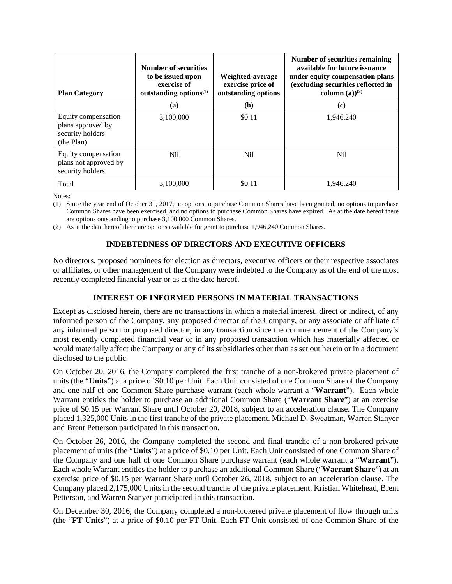| <b>Plan Category</b>                                                       | <b>Number of securities</b><br>to be issued upon<br>exercise of<br>outstanding options $(1)$ | Weighted-average<br>exercise price of<br>outstanding options | Number of securities remaining<br>available for future issuance<br>under equity compensation plans<br>(excluding securities reflected in<br>column $(a)$ <sup>(2)</sup> |
|----------------------------------------------------------------------------|----------------------------------------------------------------------------------------------|--------------------------------------------------------------|-------------------------------------------------------------------------------------------------------------------------------------------------------------------------|
|                                                                            | (a)                                                                                          | (b)                                                          | (c)                                                                                                                                                                     |
| Equity compensation<br>plans approved by<br>security holders<br>(the Plan) | 3,100,000                                                                                    | \$0.11                                                       | 1.946.240                                                                                                                                                               |
| Equity compensation<br>plans not approved by<br>security holders           | Nil                                                                                          | Nil                                                          | N <sub>il</sub>                                                                                                                                                         |
| Total                                                                      | 3.100.000                                                                                    | \$0.11                                                       | 1.946.240                                                                                                                                                               |

Notes:

(1) Since the year end of October 31, 2017, no options to purchase Common Shares have been granted, no options to purchase Common Shares have been exercised, and no options to purchase Common Shares have expired. As at the date hereof there are options outstanding to purchase 3,100,000 Common Shares.

(2) As at the date hereof there are options available for grant to purchase 1,946,240 Common Shares.

### **INDEBTEDNESS OF DIRECTORS AND EXECUTIVE OFFICERS**

No directors, proposed nominees for election as directors, executive officers or their respective associates or affiliates, or other management of the Company were indebted to the Company as of the end of the most recently completed financial year or as at the date hereof.

### **INTEREST OF INFORMED PERSONS IN MATERIAL TRANSACTIONS**

Except as disclosed herein, there are no transactions in which a material interest, direct or indirect, of any informed person of the Company, any proposed director of the Company, or any associate or affiliate of any informed person or proposed director, in any transaction since the commencement of the Company's most recently completed financial year or in any proposed transaction which has materially affected or would materially affect the Company or any of its subsidiaries other than as set out herein or in a document disclosed to the public.

On October 20, 2016, the Company completed the first tranche of a non-brokered private placement of units (the "**Units**") at a price of \$0.10 per Unit. Each Unit consisted of one Common Share of the Company and one half of one Common Share purchase warrant (each whole warrant a "**Warrant**"). Each whole Warrant entitles the holder to purchase an additional Common Share ("**Warrant Share**") at an exercise price of \$0.15 per Warrant Share until October 20, 2018, subject to an acceleration clause. The Company placed 1,325,000 Units in the first tranche of the private placement. Michael D. Sweatman, Warren Stanyer and Brent Petterson participated in this transaction.

On October 26, 2016, the Company completed the second and final tranche of a non-brokered private placement of units (the "**Units**") at a price of \$0.10 per Unit. Each Unit consisted of one Common Share of the Company and one half of one Common Share purchase warrant (each whole warrant a "**Warrant**"). Each whole Warrant entitles the holder to purchase an additional Common Share ("**Warrant Share**") at an exercise price of \$0.15 per Warrant Share until October 26, 2018, subject to an acceleration clause. The Company placed 2,175,000 Units in the second tranche of the private placement. Kristian Whitehead, Brent Petterson, and Warren Stanyer participated in this transaction.

On December 30, 2016, the Company completed a non-brokered private placement of flow through units (the "**FT Units**") at a price of \$0.10 per FT Unit. Each FT Unit consisted of one Common Share of the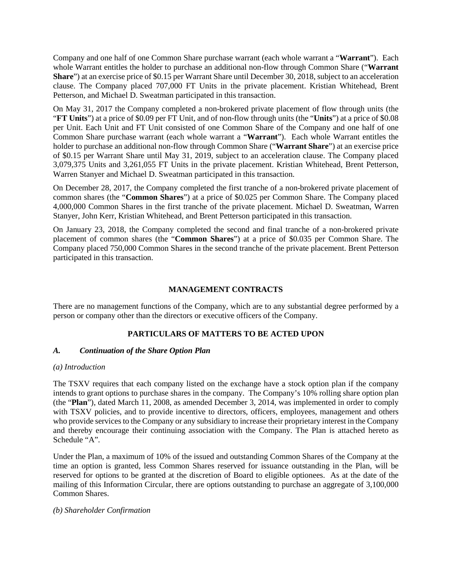Company and one half of one Common Share purchase warrant (each whole warrant a "**Warrant**"). Each whole Warrant entitles the holder to purchase an additional non-flow through Common Share ("**Warrant Share**") at an exercise price of \$0.15 per Warrant Share until December 30, 2018, subject to an acceleration clause. The Company placed 707,000 FT Units in the private placement. Kristian Whitehead, Brent Petterson, and Michael D. Sweatman participated in this transaction.

On May 31, 2017 the Company completed a non-brokered private placement of flow through units (the "**FT Units**") at a price of \$0.09 per FT Unit, and of non-flow through units (the "**Units**") at a price of \$0.08 per Unit. Each Unit and FT Unit consisted of one Common Share of the Company and one half of one Common Share purchase warrant (each whole warrant a "**Warrant**"). Each whole Warrant entitles the holder to purchase an additional non-flow through Common Share ("**Warrant Share**") at an exercise price of \$0.15 per Warrant Share until May 31, 2019, subject to an acceleration clause. The Company placed 3,079,375 Units and 3,261,055 FT Units in the private placement. Kristian Whitehead, Brent Petterson, Warren Stanyer and Michael D. Sweatman participated in this transaction.

On December 28, 2017, the Company completed the first tranche of a non-brokered private placement of common shares (the "**Common Shares**") at a price of \$0.025 per Common Share. The Company placed 4,000,000 Common Shares in the first tranche of the private placement. Michael D. Sweatman, Warren Stanyer, John Kerr, Kristian Whitehead, and Brent Petterson participated in this transaction.

On January 23, 2018, the Company completed the second and final tranche of a non-brokered private placement of common shares (the "**Common Shares**") at a price of \$0.035 per Common Share. The Company placed 750,000 Common Shares in the second tranche of the private placement. Brent Petterson participated in this transaction.

# **MANAGEMENT CONTRACTS**

There are no management functions of the Company, which are to any substantial degree performed by a person or company other than the directors or executive officers of the Company.

### **PARTICULARS OF MATTERS TO BE ACTED UPON**

### *A. Continuation of the Share Option Plan*

### *(a) Introduction*

The TSXV requires that each company listed on the exchange have a stock option plan if the company intends to grant options to purchase shares in the company. The Company's 10% rolling share option plan (the "**Plan**"), dated March 11, 2008, as amended December 3, 2014, was implemented in order to comply with TSXV policies, and to provide incentive to directors, officers, employees, management and others who provide services to the Company or any subsidiary to increase their proprietary interest in the Company and thereby encourage their continuing association with the Company. The Plan is attached hereto as Schedule "A".

Under the Plan, a maximum of 10% of the issued and outstanding Common Shares of the Company at the time an option is granted, less Common Shares reserved for issuance outstanding in the Plan, will be reserved for options to be granted at the discretion of Board to eligible optionees. As at the date of the mailing of this Information Circular, there are options outstanding to purchase an aggregate of 3,100,000 Common Shares.

### *(b) Shareholder Confirmation*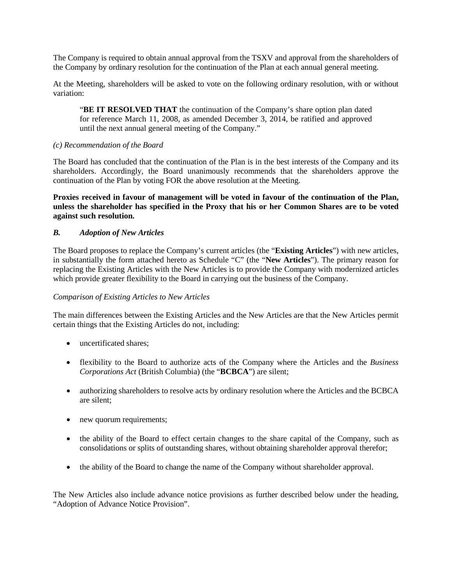The Company is required to obtain annual approval from the TSXV and approval from the shareholders of the Company by ordinary resolution for the continuation of the Plan at each annual general meeting.

At the Meeting, shareholders will be asked to vote on the following ordinary resolution, with or without variation:

"**BE IT RESOLVED THAT** the continuation of the Company's share option plan dated for reference March 11, 2008, as amended December 3, 2014, be ratified and approved until the next annual general meeting of the Company."

#### *(c) Recommendation of the Board*

The Board has concluded that the continuation of the Plan is in the best interests of the Company and its shareholders. Accordingly, the Board unanimously recommends that the shareholders approve the continuation of the Plan by voting FOR the above resolution at the Meeting.

**Proxies received in favour of management will be voted in favour of the continuation of the Plan, unless the shareholder has specified in the Proxy that his or her Common Shares are to be voted against such resolution.**

#### *B. Adoption of New Articles*

The Board proposes to replace the Company's current articles (the "**Existing Articles**") with new articles, in substantially the form attached hereto as Schedule "C" (the "**New Articles**"). The primary reason for replacing the Existing Articles with the New Articles is to provide the Company with modernized articles which provide greater flexibility to the Board in carrying out the business of the Company.

#### *Comparison of Existing Articles to New Articles*

The main differences between the Existing Articles and the New Articles are that the New Articles permit certain things that the Existing Articles do not, including:

- uncertificated shares:
- flexibility to the Board to authorize acts of the Company where the Articles and the *Business Corporations Act* (British Columbia) (the "**BCBCA**") are silent;
- authorizing shareholders to resolve acts by ordinary resolution where the Articles and the BCBCA are silent;
- new quorum requirements;
- the ability of the Board to effect certain changes to the share capital of the Company, such as consolidations or splits of outstanding shares, without obtaining shareholder approval therefor;
- the ability of the Board to change the name of the Company without shareholder approval.

The New Articles also include advance notice provisions as further described below under the heading, "Adoption of Advance Notice Provision".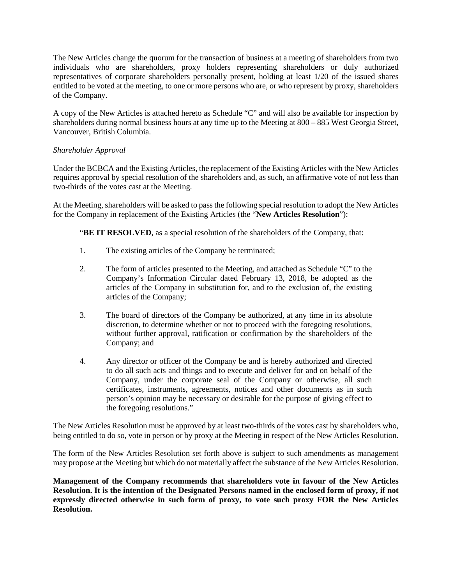The New Articles change the quorum for the transaction of business at a meeting of shareholders from two individuals who are shareholders, proxy holders representing shareholders or duly authorized representatives of corporate shareholders personally present, holding at least 1/20 of the issued shares entitled to be voted at the meeting, to one or more persons who are, or who represent by proxy, shareholders of the Company.

A copy of the New Articles is attached hereto as Schedule "C" and will also be available for inspection by shareholders during normal business hours at any time up to the Meeting at 800 – 885 West Georgia Street, Vancouver, British Columbia.

### *Shareholder Approval*

Under the BCBCA and the Existing Articles, the replacement of the Existing Articles with the New Articles requires approval by special resolution of the shareholders and, as such, an affirmative vote of not less than two-thirds of the votes cast at the Meeting.

At the Meeting, shareholders will be asked to pass the following special resolution to adopt the New Articles for the Company in replacement of the Existing Articles (the "**New Articles Resolution**"):

**"BE IT RESOLVED**, as a special resolution of the shareholders of the Company, that:

- 1. The existing articles of the Company be terminated;
- 2. The form of articles presented to the Meeting, and attached as Schedule "C" to the Company's Information Circular dated February 13, 2018, be adopted as the articles of the Company in substitution for, and to the exclusion of, the existing articles of the Company;
- 3. The board of directors of the Company be authorized, at any time in its absolute discretion, to determine whether or not to proceed with the foregoing resolutions, without further approval, ratification or confirmation by the shareholders of the Company; and
- 4. Any director or officer of the Company be and is hereby authorized and directed to do all such acts and things and to execute and deliver for and on behalf of the Company, under the corporate seal of the Company or otherwise, all such certificates, instruments, agreements, notices and other documents as in such person's opinion may be necessary or desirable for the purpose of giving effect to the foregoing resolutions."

The New Articles Resolution must be approved by at least two-thirds of the votes cast by shareholders who, being entitled to do so, vote in person or by proxy at the Meeting in respect of the New Articles Resolution.

The form of the New Articles Resolution set forth above is subject to such amendments as management may propose at the Meeting but which do not materially affect the substance of the New Articles Resolution.

**Management of the Company recommends that shareholders vote in favour of the New Articles Resolution. It is the intention of the Designated Persons named in the enclosed form of proxy, if not expressly directed otherwise in such form of proxy, to vote such proxy FOR the New Articles Resolution.**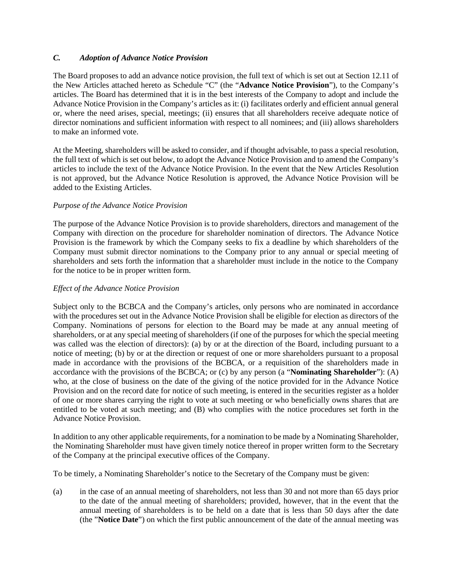# *C. Adoption of Advance Notice Provision*

The Board proposes to add an advance notice provision, the full text of which is set out at Section 12.11 of the New Articles attached hereto as Schedule "C" (the "**Advance Notice Provision**"), to the Company's articles. The Board has determined that it is in the best interests of the Company to adopt and include the Advance Notice Provision in the Company's articles as it: (i) facilitates orderly and efficient annual general or, where the need arises, special, meetings; (ii) ensures that all shareholders receive adequate notice of director nominations and sufficient information with respect to all nominees; and (iii) allows shareholders to make an informed vote.

At the Meeting, shareholders will be asked to consider, and if thought advisable, to pass a special resolution, the full text of which is set out below, to adopt the Advance Notice Provision and to amend the Company's articles to include the text of the Advance Notice Provision. In the event that the New Articles Resolution is not approved, but the Advance Notice Resolution is approved, the Advance Notice Provision will be added to the Existing Articles.

### *Purpose of the Advance Notice Provision*

The purpose of the Advance Notice Provision is to provide shareholders, directors and management of the Company with direction on the procedure for shareholder nomination of directors. The Advance Notice Provision is the framework by which the Company seeks to fix a deadline by which shareholders of the Company must submit director nominations to the Company prior to any annual or special meeting of shareholders and sets forth the information that a shareholder must include in the notice to the Company for the notice to be in proper written form.

### *Effect of the Advance Notice Provision*

Subject only to the BCBCA and the Company's articles, only persons who are nominated in accordance with the procedures set out in the Advance Notice Provision shall be eligible for election as directors of the Company. Nominations of persons for election to the Board may be made at any annual meeting of shareholders, or at any special meeting of shareholders (if one of the purposes for which the special meeting was called was the election of directors): (a) by or at the direction of the Board, including pursuant to a notice of meeting; (b) by or at the direction or request of one or more shareholders pursuant to a proposal made in accordance with the provisions of the BCBCA, or a requisition of the shareholders made in accordance with the provisions of the BCBCA; or (c) by any person (a "**Nominating Shareholder**"): (A) who, at the close of business on the date of the giving of the notice provided for in the Advance Notice Provision and on the record date for notice of such meeting, is entered in the securities register as a holder of one or more shares carrying the right to vote at such meeting or who beneficially owns shares that are entitled to be voted at such meeting; and (B) who complies with the notice procedures set forth in the Advance Notice Provision.

In addition to any other applicable requirements, for a nomination to be made by a Nominating Shareholder, the Nominating Shareholder must have given timely notice thereof in proper written form to the Secretary of the Company at the principal executive offices of the Company.

To be timely, a Nominating Shareholder's notice to the Secretary of the Company must be given:

(a) in the case of an annual meeting of shareholders, not less than 30 and not more than 65 days prior to the date of the annual meeting of shareholders; provided, however, that in the event that the annual meeting of shareholders is to be held on a date that is less than 50 days after the date (the "**Notice Date**") on which the first public announcement of the date of the annual meeting was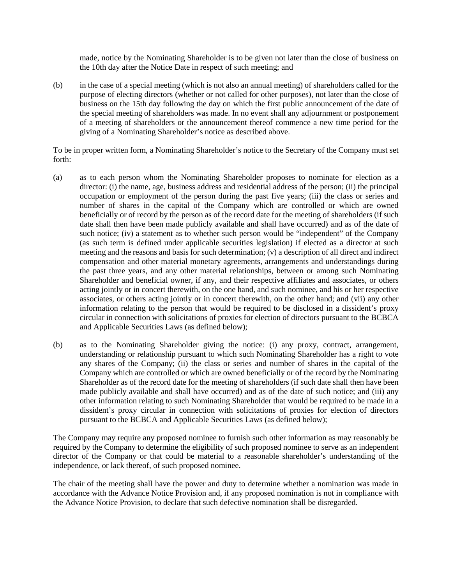made, notice by the Nominating Shareholder is to be given not later than the close of business on the 10th day after the Notice Date in respect of such meeting; and

(b) in the case of a special meeting (which is not also an annual meeting) of shareholders called for the purpose of electing directors (whether or not called for other purposes), not later than the close of business on the 15th day following the day on which the first public announcement of the date of the special meeting of shareholders was made. In no event shall any adjournment or postponement of a meeting of shareholders or the announcement thereof commence a new time period for the giving of a Nominating Shareholder's notice as described above.

To be in proper written form, a Nominating Shareholder's notice to the Secretary of the Company must set forth:

- (a) as to each person whom the Nominating Shareholder proposes to nominate for election as a director: (i) the name, age, business address and residential address of the person; (ii) the principal occupation or employment of the person during the past five years; (iii) the class or series and number of shares in the capital of the Company which are controlled or which are owned beneficially or of record by the person as of the record date for the meeting of shareholders (if such date shall then have been made publicly available and shall have occurred) and as of the date of such notice; (iv) a statement as to whether such person would be "independent" of the Company (as such term is defined under applicable securities legislation) if elected as a director at such meeting and the reasons and basis for such determination; (v) a description of all direct and indirect compensation and other material monetary agreements, arrangements and understandings during the past three years, and any other material relationships, between or among such Nominating Shareholder and beneficial owner, if any, and their respective affiliates and associates, or others acting jointly or in concert therewith, on the one hand, and such nominee, and his or her respective associates, or others acting jointly or in concert therewith, on the other hand; and (vii) any other information relating to the person that would be required to be disclosed in a dissident's proxy circular in connection with solicitations of proxies for election of directors pursuant to the BCBCA and Applicable Securities Laws (as defined below);
- (b) as to the Nominating Shareholder giving the notice: (i) any proxy, contract, arrangement, understanding or relationship pursuant to which such Nominating Shareholder has a right to vote any shares of the Company; (ii) the class or series and number of shares in the capital of the Company which are controlled or which are owned beneficially or of the record by the Nominating Shareholder as of the record date for the meeting of shareholders (if such date shall then have been made publicly available and shall have occurred) and as of the date of such notice; and (iii) any other information relating to such Nominating Shareholder that would be required to be made in a dissident's proxy circular in connection with solicitations of proxies for election of directors pursuant to the BCBCA and Applicable Securities Laws (as defined below);

The Company may require any proposed nominee to furnish such other information as may reasonably be required by the Company to determine the eligibility of such proposed nominee to serve as an independent director of the Company or that could be material to a reasonable shareholder's understanding of the independence, or lack thereof, of such proposed nominee.

The chair of the meeting shall have the power and duty to determine whether a nomination was made in accordance with the Advance Notice Provision and, if any proposed nomination is not in compliance with the Advance Notice Provision, to declare that such defective nomination shall be disregarded.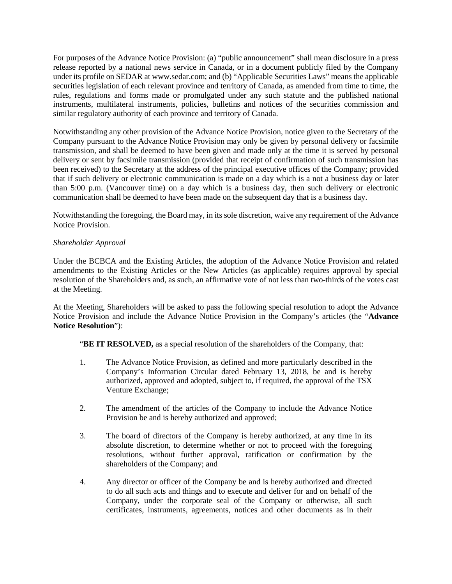For purposes of the Advance Notice Provision: (a) "public announcement" shall mean disclosure in a press release reported by a national news service in Canada, or in a document publicly filed by the Company under its profile on SEDAR at www.sedar.com; and (b) "Applicable Securities Laws" means the applicable securities legislation of each relevant province and territory of Canada, as amended from time to time, the rules, regulations and forms made or promulgated under any such statute and the published national instruments, multilateral instruments, policies, bulletins and notices of the securities commission and similar regulatory authority of each province and territory of Canada.

Notwithstanding any other provision of the Advance Notice Provision, notice given to the Secretary of the Company pursuant to the Advance Notice Provision may only be given by personal delivery or facsimile transmission, and shall be deemed to have been given and made only at the time it is served by personal delivery or sent by facsimile transmission (provided that receipt of confirmation of such transmission has been received) to the Secretary at the address of the principal executive offices of the Company; provided that if such delivery or electronic communication is made on a day which is a not a business day or later than 5:00 p.m. (Vancouver time) on a day which is a business day, then such delivery or electronic communication shall be deemed to have been made on the subsequent day that is a business day.

Notwithstanding the foregoing, the Board may, in its sole discretion, waive any requirement of the Advance Notice Provision.

### *Shareholder Approval*

Under the BCBCA and the Existing Articles, the adoption of the Advance Notice Provision and related amendments to the Existing Articles or the New Articles (as applicable) requires approval by special resolution of the Shareholders and, as such, an affirmative vote of not less than two-thirds of the votes cast at the Meeting.

At the Meeting, Shareholders will be asked to pass the following special resolution to adopt the Advance Notice Provision and include the Advance Notice Provision in the Company's articles (the "**Advance Notice Resolution**"):

**"BE IT RESOLVED,** as a special resolution of the shareholders of the Company, that:

- 1. The Advance Notice Provision, as defined and more particularly described in the Company's Information Circular dated February 13, 2018, be and is hereby authorized, approved and adopted, subject to, if required, the approval of the TSX Venture Exchange;
- 2. The amendment of the articles of the Company to include the Advance Notice Provision be and is hereby authorized and approved;
- 3. The board of directors of the Company is hereby authorized, at any time in its absolute discretion, to determine whether or not to proceed with the foregoing resolutions, without further approval, ratification or confirmation by the shareholders of the Company; and
- 4. Any director or officer of the Company be and is hereby authorized and directed to do all such acts and things and to execute and deliver for and on behalf of the Company, under the corporate seal of the Company or otherwise, all such certificates, instruments, agreements, notices and other documents as in their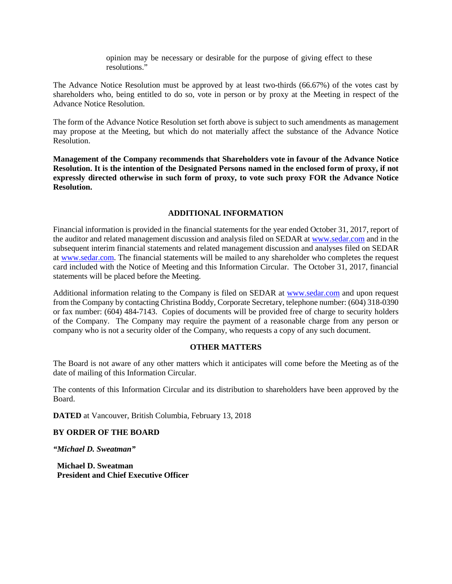opinion may be necessary or desirable for the purpose of giving effect to these resolutions."

The Advance Notice Resolution must be approved by at least two-thirds (66.67%) of the votes cast by shareholders who, being entitled to do so, vote in person or by proxy at the Meeting in respect of the Advance Notice Resolution.

The form of the Advance Notice Resolution set forth above is subject to such amendments as management may propose at the Meeting, but which do not materially affect the substance of the Advance Notice Resolution.

**Management of the Company recommends that Shareholders vote in favour of the Advance Notice Resolution. It is the intention of the Designated Persons named in the enclosed form of proxy, if not expressly directed otherwise in such form of proxy, to vote such proxy FOR the Advance Notice Resolution.**

### **ADDITIONAL INFORMATION**

Financial information is provided in the financial statements for the year ended October 31, 2017, report of the auditor and related management discussion and analysis filed on SEDAR a[t www.sedar.com](http://www.sedar.com/) and in the subsequent interim financial statements and related management discussion and analyses filed on SEDAR at [www.sedar.com.](http://www.sedar.com/) The financial statements will be mailed to any shareholder who completes the request card included with the Notice of Meeting and this Information Circular. The October 31, 2017, financial statements will be placed before the Meeting.

Additional information relating to the Company is filed on SEDAR at [www.sedar.com](http://www.sedar.com/) and upon request from the Company by contacting Christina Boddy, Corporate Secretary, telephone number: (604) 318-0390 or fax number: (604) 484-7143. Copies of documents will be provided free of charge to security holders of the Company. The Company may require the payment of a reasonable charge from any person or company who is not a security older of the Company, who requests a copy of any such document.

#### **OTHER MATTERS**

The Board is not aware of any other matters which it anticipates will come before the Meeting as of the date of mailing of this Information Circular.

The contents of this Information Circular and its distribution to shareholders have been approved by the Board.

**DATED** at Vancouver, British Columbia, February 13, 2018

### **BY ORDER OF THE BOARD**

*"Michael D. Sweatman"*

**Michael D. Sweatman President and Chief Executive Officer**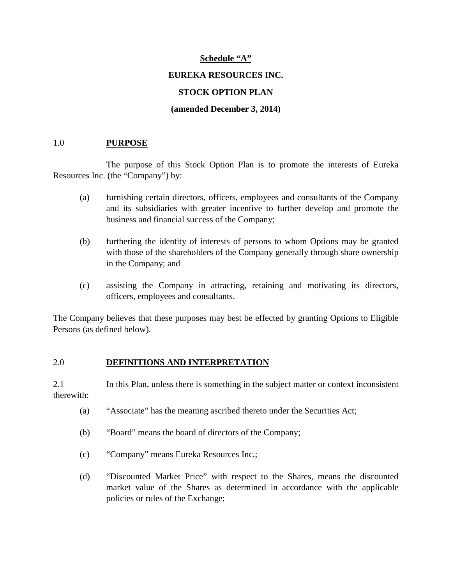# **Schedule "A"**

# **EUREKA RESOURCES INC.**

# **STOCK OPTION PLAN**

# **(amended December 3, 2014)**

# 1.0 **PURPOSE**

The purpose of this Stock Option Plan is to promote the interests of Eureka Resources Inc. (the "Company") by:

- (a) furnishing certain directors, officers, employees and consultants of the Company and its subsidiaries with greater incentive to further develop and promote the business and financial success of the Company;
- (b) furthering the identity of interests of persons to whom Options may be granted with those of the shareholders of the Company generally through share ownership in the Company; and
- (c) assisting the Company in attracting, retaining and motivating its directors, officers, employees and consultants.

The Company believes that these purposes may best be effected by granting Options to Eligible Persons (as defined below).

# 2.0 **DEFINITIONS AND INTERPRETATION**

2.1 In this Plan, unless there is something in the subject matter or context inconsistent therewith:

- (a) "Associate" has the meaning ascribed thereto under the Securities Act;
- (b) "Board" means the board of directors of the Company;
- (c) "Company" means Eureka Resources Inc.;
- (d) "Discounted Market Price" with respect to the Shares, means the discounted market value of the Shares as determined in accordance with the applicable policies or rules of the Exchange;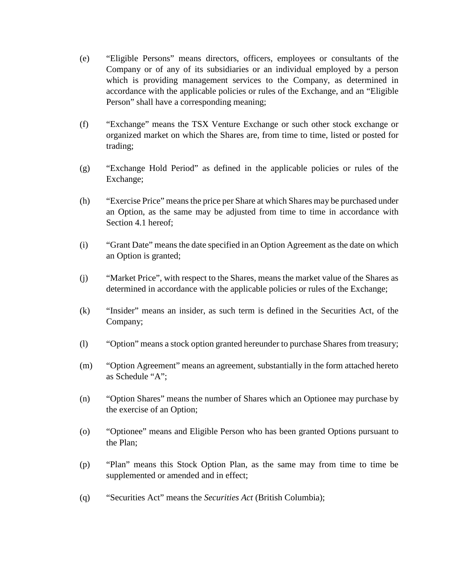- (e) "Eligible Persons" means directors, officers, employees or consultants of the Company or of any of its subsidiaries or an individual employed by a person which is providing management services to the Company, as determined in accordance with the applicable policies or rules of the Exchange, and an "Eligible Person" shall have a corresponding meaning;
- (f) "Exchange" means the TSX Venture Exchange or such other stock exchange or organized market on which the Shares are, from time to time, listed or posted for trading;
- (g) "Exchange Hold Period" as defined in the applicable policies or rules of the Exchange;
- (h) "Exercise Price" means the price per Share at which Shares may be purchased under an Option, as the same may be adjusted from time to time in accordance with Section 4.1 hereof;
- (i) "Grant Date" means the date specified in an Option Agreement as the date on which an Option is granted;
- (j) "Market Price", with respect to the Shares, means the market value of the Shares as determined in accordance with the applicable policies or rules of the Exchange;
- (k) "Insider" means an insider, as such term is defined in the Securities Act, of the Company;
- (l) "Option" means a stock option granted hereunder to purchase Shares from treasury;
- (m) "Option Agreement" means an agreement, substantially in the form attached hereto as Schedule "A";
- (n) "Option Shares" means the number of Shares which an Optionee may purchase by the exercise of an Option;
- (o) "Optionee" means and Eligible Person who has been granted Options pursuant to the Plan;
- (p) "Plan" means this Stock Option Plan, as the same may from time to time be supplemented or amended and in effect;
- (q) "Securities Act" means the *Securities Act* (British Columbia);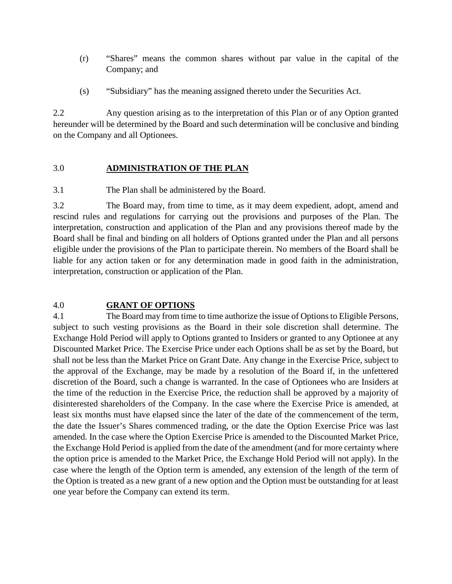- (r) "Shares" means the common shares without par value in the capital of the Company; and
- (s) "Subsidiary" has the meaning assigned thereto under the Securities Act.

2.2 Any question arising as to the interpretation of this Plan or of any Option granted hereunder will be determined by the Board and such determination will be conclusive and binding on the Company and all Optionees.

# 3.0 **ADMINISTRATION OF THE PLAN**

3.1 The Plan shall be administered by the Board.

3.2 The Board may, from time to time, as it may deem expedient, adopt, amend and rescind rules and regulations for carrying out the provisions and purposes of the Plan. The interpretation, construction and application of the Plan and any provisions thereof made by the Board shall be final and binding on all holders of Options granted under the Plan and all persons eligible under the provisions of the Plan to participate therein. No members of the Board shall be liable for any action taken or for any determination made in good faith in the administration, interpretation, construction or application of the Plan.

# 4.0 **GRANT OF OPTIONS**

4.1 The Board may from time to time authorize the issue of Options to Eligible Persons, subject to such vesting provisions as the Board in their sole discretion shall determine. The Exchange Hold Period will apply to Options granted to Insiders or granted to any Optionee at any Discounted Market Price. The Exercise Price under each Options shall be as set by the Board, but shall not be less than the Market Price on Grant Date. Any change in the Exercise Price, subject to the approval of the Exchange, may be made by a resolution of the Board if, in the unfettered discretion of the Board, such a change is warranted. In the case of Optionees who are Insiders at the time of the reduction in the Exercise Price, the reduction shall be approved by a majority of disinterested shareholders of the Company. In the case where the Exercise Price is amended, at least six months must have elapsed since the later of the date of the commencement of the term, the date the Issuer's Shares commenced trading, or the date the Option Exercise Price was last amended. In the case where the Option Exercise Price is amended to the Discounted Market Price, the Exchange Hold Period is applied from the date of the amendment (and for more certainty where the option price is amended to the Market Price, the Exchange Hold Period will not apply). In the case where the length of the Option term is amended, any extension of the length of the term of the Option is treated as a new grant of a new option and the Option must be outstanding for at least one year before the Company can extend its term.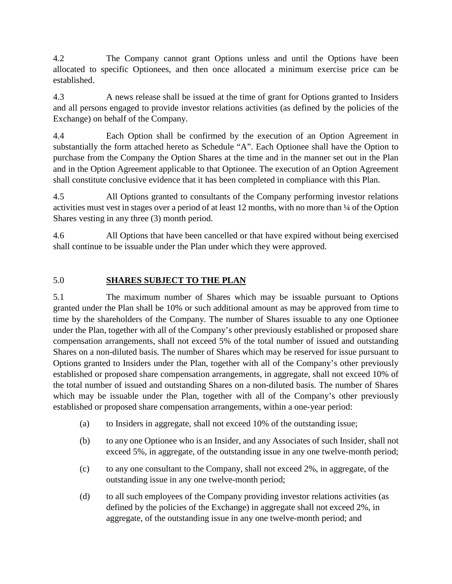4.2 The Company cannot grant Options unless and until the Options have been allocated to specific Optionees, and then once allocated a minimum exercise price can be established.

4.3 A news release shall be issued at the time of grant for Options granted to Insiders and all persons engaged to provide investor relations activities (as defined by the policies of the Exchange) on behalf of the Company.

4.4 Each Option shall be confirmed by the execution of an Option Agreement in substantially the form attached hereto as Schedule "A". Each Optionee shall have the Option to purchase from the Company the Option Shares at the time and in the manner set out in the Plan and in the Option Agreement applicable to that Optionee. The execution of an Option Agreement shall constitute conclusive evidence that it has been completed in compliance with this Plan.

4.5 All Options granted to consultants of the Company performing investor relations activities must vest in stages over a period of at least 12 months, with no more than ¼ of the Option Shares vesting in any three (3) month period.

4.6 All Options that have been cancelled or that have expired without being exercised shall continue to be issuable under the Plan under which they were approved.

# 5.0 **SHARES SUBJECT TO THE PLAN**

5.1 The maximum number of Shares which may be issuable pursuant to Options granted under the Plan shall be 10% or such additional amount as may be approved from time to time by the shareholders of the Company. The number of Shares issuable to any one Optionee under the Plan, together with all of the Company's other previously established or proposed share compensation arrangements, shall not exceed 5% of the total number of issued and outstanding Shares on a non-diluted basis. The number of Shares which may be reserved for issue pursuant to Options granted to Insiders under the Plan, together with all of the Company's other previously established or proposed share compensation arrangements, in aggregate, shall not exceed 10% of the total number of issued and outstanding Shares on a non-diluted basis. The number of Shares which may be issuable under the Plan, together with all of the Company's other previously established or proposed share compensation arrangements, within a one-year period:

- (a) to Insiders in aggregate, shall not exceed 10% of the outstanding issue;
- (b) to any one Optionee who is an Insider, and any Associates of such Insider, shall not exceed 5%, in aggregate, of the outstanding issue in any one twelve-month period;
- (c) to any one consultant to the Company, shall not exceed 2%, in aggregate, of the outstanding issue in any one twelve-month period;
- (d) to all such employees of the Company providing investor relations activities (as defined by the policies of the Exchange) in aggregate shall not exceed 2%, in aggregate, of the outstanding issue in any one twelve-month period; and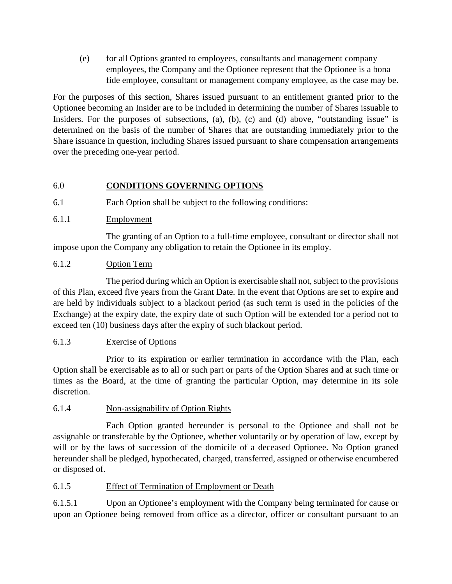(e) for all Options granted to employees, consultants and management company employees, the Company and the Optionee represent that the Optionee is a bona fide employee, consultant or management company employee, as the case may be.

For the purposes of this section, Shares issued pursuant to an entitlement granted prior to the Optionee becoming an Insider are to be included in determining the number of Shares issuable to Insiders. For the purposes of subsections, (a), (b), (c) and (d) above, "outstanding issue" is determined on the basis of the number of Shares that are outstanding immediately prior to the Share issuance in question, including Shares issued pursuant to share compensation arrangements over the preceding one-year period.

# 6.0 **CONDITIONS GOVERNING OPTIONS**

- 6.1 Each Option shall be subject to the following conditions:
- 6.1.1 Employment

The granting of an Option to a full-time employee, consultant or director shall not impose upon the Company any obligation to retain the Optionee in its employ.

# 6.1.2 Option Term

The period during which an Option is exercisable shall not, subject to the provisions of this Plan, exceed five years from the Grant Date. In the event that Options are set to expire and are held by individuals subject to a blackout period (as such term is used in the policies of the Exchange) at the expiry date, the expiry date of such Option will be extended for a period not to exceed ten (10) business days after the expiry of such blackout period.

# 6.1.3 Exercise of Options

Prior to its expiration or earlier termination in accordance with the Plan, each Option shall be exercisable as to all or such part or parts of the Option Shares and at such time or times as the Board, at the time of granting the particular Option, may determine in its sole discretion.

# 6.1.4 Non-assignability of Option Rights

Each Option granted hereunder is personal to the Optionee and shall not be assignable or transferable by the Optionee, whether voluntarily or by operation of law, except by will or by the laws of succession of the domicile of a deceased Optionee. No Option graned hereunder shall be pledged, hypothecated, charged, transferred, assigned or otherwise encumbered or disposed of.

# 6.1.5 Effect of Termination of Employment or Death

6.1.5.1 Upon an Optionee's employment with the Company being terminated for cause or upon an Optionee being removed from office as a director, officer or consultant pursuant to an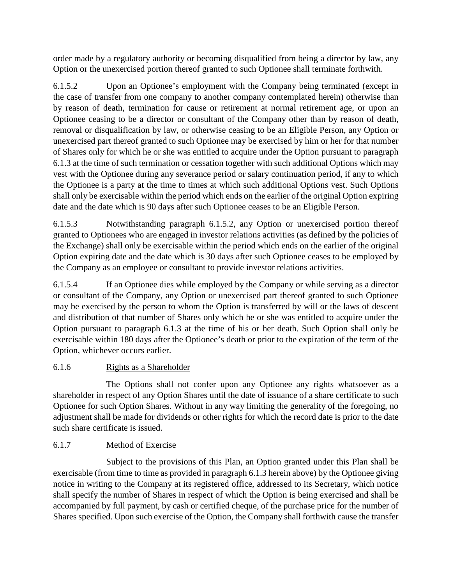order made by a regulatory authority or becoming disqualified from being a director by law, any Option or the unexercised portion thereof granted to such Optionee shall terminate forthwith.

6.1.5.2 Upon an Optionee's employment with the Company being terminated (except in the case of transfer from one company to another company contemplated herein) otherwise than by reason of death, termination for cause or retirement at normal retirement age, or upon an Optionee ceasing to be a director or consultant of the Company other than by reason of death, removal or disqualification by law, or otherwise ceasing to be an Eligible Person, any Option or unexercised part thereof granted to such Optionee may be exercised by him or her for that number of Shares only for which he or she was entitled to acquire under the Option pursuant to paragraph 6.1.3 at the time of such termination or cessation together with such additional Options which may vest with the Optionee during any severance period or salary continuation period, if any to which the Optionee is a party at the time to times at which such additional Options vest. Such Options shall only be exercisable within the period which ends on the earlier of the original Option expiring date and the date which is 90 days after such Optionee ceases to be an Eligible Person.

6.1.5.3 Notwithstanding paragraph 6.1.5.2, any Option or unexercised portion thereof granted to Optionees who are engaged in investor relations activities (as defined by the policies of the Exchange) shall only be exercisable within the period which ends on the earlier of the original Option expiring date and the date which is 30 days after such Optionee ceases to be employed by the Company as an employee or consultant to provide investor relations activities.

6.1.5.4 If an Optionee dies while employed by the Company or while serving as a director or consultant of the Company, any Option or unexercised part thereof granted to such Optionee may be exercised by the person to whom the Option is transferred by will or the laws of descent and distribution of that number of Shares only which he or she was entitled to acquire under the Option pursuant to paragraph 6.1.3 at the time of his or her death. Such Option shall only be exercisable within 180 days after the Optionee's death or prior to the expiration of the term of the Option, whichever occurs earlier.

# 6.1.6 Rights as a Shareholder

The Options shall not confer upon any Optionee any rights whatsoever as a shareholder in respect of any Option Shares until the date of issuance of a share certificate to such Optionee for such Option Shares. Without in any way limiting the generality of the foregoing, no adjustment shall be made for dividends or other rights for which the record date is prior to the date such share certificate is issued.

# 6.1.7 Method of Exercise

Subject to the provisions of this Plan, an Option granted under this Plan shall be exercisable (from time to time as provided in paragraph 6.1.3 herein above) by the Optionee giving notice in writing to the Company at its registered office, addressed to its Secretary, which notice shall specify the number of Shares in respect of which the Option is being exercised and shall be accompanied by full payment, by cash or certified cheque, of the purchase price for the number of Shares specified. Upon such exercise of the Option, the Company shall forthwith cause the transfer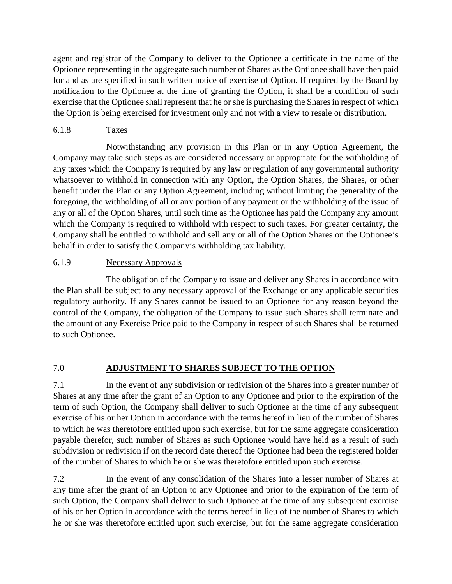agent and registrar of the Company to deliver to the Optionee a certificate in the name of the Optionee representing in the aggregate such number of Shares as the Optionee shall have then paid for and as are specified in such written notice of exercise of Option. If required by the Board by notification to the Optionee at the time of granting the Option, it shall be a condition of such exercise that the Optionee shall represent that he or she is purchasing the Shares in respect of which the Option is being exercised for investment only and not with a view to resale or distribution.

# 6.1.8 Taxes

Notwithstanding any provision in this Plan or in any Option Agreement, the Company may take such steps as are considered necessary or appropriate for the withholding of any taxes which the Company is required by any law or regulation of any governmental authority whatsoever to withhold in connection with any Option, the Option Shares, the Shares, or other benefit under the Plan or any Option Agreement, including without limiting the generality of the foregoing, the withholding of all or any portion of any payment or the withholding of the issue of any or all of the Option Shares, until such time as the Optionee has paid the Company any amount which the Company is required to withhold with respect to such taxes. For greater certainty, the Company shall be entitled to withhold and sell any or all of the Option Shares on the Optionee's behalf in order to satisfy the Company's withholding tax liability.

# 6.1.9 Necessary Approvals

The obligation of the Company to issue and deliver any Shares in accordance with the Plan shall be subject to any necessary approval of the Exchange or any applicable securities regulatory authority. If any Shares cannot be issued to an Optionee for any reason beyond the control of the Company, the obligation of the Company to issue such Shares shall terminate and the amount of any Exercise Price paid to the Company in respect of such Shares shall be returned to such Optionee.

# 7.0 **ADJUSTMENT TO SHARES SUBJECT TO THE OPTION**

7.1 In the event of any subdivision or redivision of the Shares into a greater number of Shares at any time after the grant of an Option to any Optionee and prior to the expiration of the term of such Option, the Company shall deliver to such Optionee at the time of any subsequent exercise of his or her Option in accordance with the terms hereof in lieu of the number of Shares to which he was theretofore entitled upon such exercise, but for the same aggregate consideration payable therefor, such number of Shares as such Optionee would have held as a result of such subdivision or redivision if on the record date thereof the Optionee had been the registered holder of the number of Shares to which he or she was theretofore entitled upon such exercise.

7.2 In the event of any consolidation of the Shares into a lesser number of Shares at any time after the grant of an Option to any Optionee and prior to the expiration of the term of such Option, the Company shall deliver to such Optionee at the time of any subsequent exercise of his or her Option in accordance with the terms hereof in lieu of the number of Shares to which he or she was theretofore entitled upon such exercise, but for the same aggregate consideration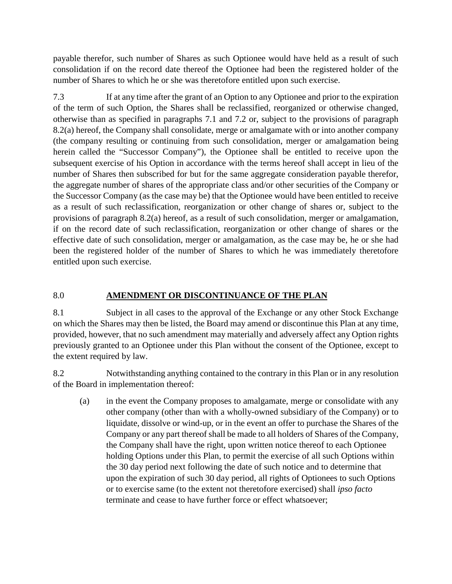payable therefor, such number of Shares as such Optionee would have held as a result of such consolidation if on the record date thereof the Optionee had been the registered holder of the number of Shares to which he or she was theretofore entitled upon such exercise.

7.3 If at any time after the grant of an Option to any Optionee and prior to the expiration of the term of such Option, the Shares shall be reclassified, reorganized or otherwise changed, otherwise than as specified in paragraphs 7.1 and 7.2 or, subject to the provisions of paragraph 8.2(a) hereof, the Company shall consolidate, merge or amalgamate with or into another company (the company resulting or continuing from such consolidation, merger or amalgamation being herein called the "Successor Company"), the Optionee shall be entitled to receive upon the subsequent exercise of his Option in accordance with the terms hereof shall accept in lieu of the number of Shares then subscribed for but for the same aggregate consideration payable therefor, the aggregate number of shares of the appropriate class and/or other securities of the Company or the Successor Company (as the case may be) that the Optionee would have been entitled to receive as a result of such reclassification, reorganization or other change of shares or, subject to the provisions of paragraph 8.2(a) hereof, as a result of such consolidation, merger or amalgamation, if on the record date of such reclassification, reorganization or other change of shares or the effective date of such consolidation, merger or amalgamation, as the case may be, he or she had been the registered holder of the number of Shares to which he was immediately theretofore entitled upon such exercise.

# 8.0 **AMENDMENT OR DISCONTINUANCE OF THE PLAN**

8.1 Subject in all cases to the approval of the Exchange or any other Stock Exchange on which the Shares may then be listed, the Board may amend or discontinue this Plan at any time, provided, however, that no such amendment may materially and adversely affect any Option rights previously granted to an Optionee under this Plan without the consent of the Optionee, except to the extent required by law.

8.2 Notwithstanding anything contained to the contrary in this Plan or in any resolution of the Board in implementation thereof:

(a) in the event the Company proposes to amalgamate, merge or consolidate with any other company (other than with a wholly-owned subsidiary of the Company) or to liquidate, dissolve or wind-up, or in the event an offer to purchase the Shares of the Company or any part thereof shall be made to all holders of Shares of the Company, the Company shall have the right, upon written notice thereof to each Optionee holding Options under this Plan, to permit the exercise of all such Options within the 30 day period next following the date of such notice and to determine that upon the expiration of such 30 day period, all rights of Optionees to such Options or to exercise same (to the extent not theretofore exercised) shall *ipso facto* terminate and cease to have further force or effect whatsoever;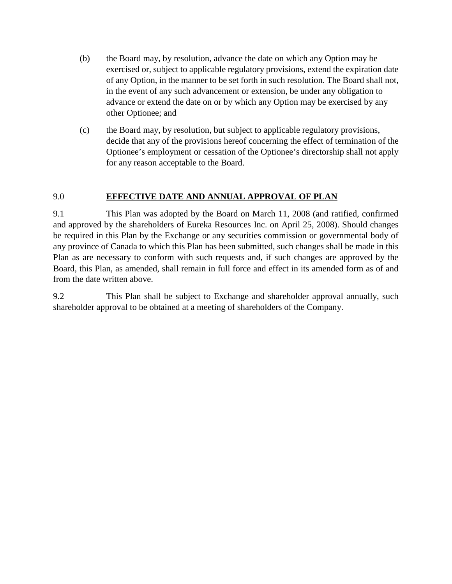- (b) the Board may, by resolution, advance the date on which any Option may be exercised or, subject to applicable regulatory provisions, extend the expiration date of any Option, in the manner to be set forth in such resolution. The Board shall not, in the event of any such advancement or extension, be under any obligation to advance or extend the date on or by which any Option may be exercised by any other Optionee; and
- (c) the Board may, by resolution, but subject to applicable regulatory provisions, decide that any of the provisions hereof concerning the effect of termination of the Optionee's employment or cessation of the Optionee's directorship shall not apply for any reason acceptable to the Board.

# 9.0 **EFFECTIVE DATE AND ANNUAL APPROVAL OF PLAN**

9.1 This Plan was adopted by the Board on March 11, 2008 (and ratified, confirmed and approved by the shareholders of Eureka Resources Inc. on April 25, 2008). Should changes be required in this Plan by the Exchange or any securities commission or governmental body of any province of Canada to which this Plan has been submitted, such changes shall be made in this Plan as are necessary to conform with such requests and, if such changes are approved by the Board, this Plan, as amended, shall remain in full force and effect in its amended form as of and from the date written above.

9.2 This Plan shall be subject to Exchange and shareholder approval annually, such shareholder approval to be obtained at a meeting of shareholders of the Company.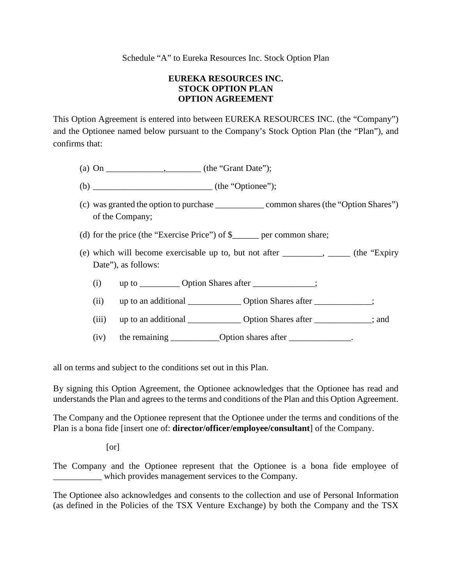# **EUREKA RESOURCES INC. STOCK OPTION PLAN OPTION AGREEMENT**

This Option Agreement is entered into between EUREKA RESOURCES INC. (the "Company") and the Optionee named below pursuant to the Company's Stock Option Plan (the "Plan"), and confirms that:

- (a) On \_\_\_\_\_\_\_\_\_\_\_\_\_\_\_, \_\_\_\_\_\_\_ (the "Grant Date");
- (b) \_\_\_\_\_\_\_\_\_\_\_\_\_\_\_\_\_\_\_\_\_\_\_\_\_\_\_ (the "Optionee");
- (c) was granted the option to purchase \_\_\_\_\_\_\_\_\_\_\_ common shares (the "Option Shares") of the Company;
- (d) for the price (the "Exercise Price") of \$\_\_\_\_\_\_ per common share;
- (e) which will become exercisable up to, but not after  $\frac{1}{\sqrt{2}}$  (the "Expiry" Date"), as follows:
	- (i)  $up to \_\_\_$  Option Shares after  $\_\_\_\_\_\_\_\_\$ ;
	- (ii) up to an additional Check Option Shares after  $\cdot$ ;
	- (iii) up to an additional \_\_\_\_\_\_\_\_\_\_\_\_ Option Shares after \_\_\_\_\_\_\_\_\_\_\_\_\_; and
	- $(iv)$  the remaining  $\qquad \qquad$  Option shares after  $\qquad \qquad$ .

all on terms and subject to the conditions set out in this Plan.

By signing this Option Agreement, the Optionee acknowledges that the Optionee has read and understands the Plan and agrees to the terms and conditions of the Plan and this Option Agreement.

The Company and the Optionee represent that the Optionee under the terms and conditions of the Plan is a bona fide [insert one of: **director/officer/employee/consultant**] of the Company.

[or]

The Company and the Optionee represent that the Optionee is a bona fide employee of \_\_\_\_\_\_\_\_\_\_\_ which provides management services to the Company.

The Optionee also acknowledges and consents to the collection and use of Personal Information (as defined in the Policies of the TSX Venture Exchange) by both the Company and the TSX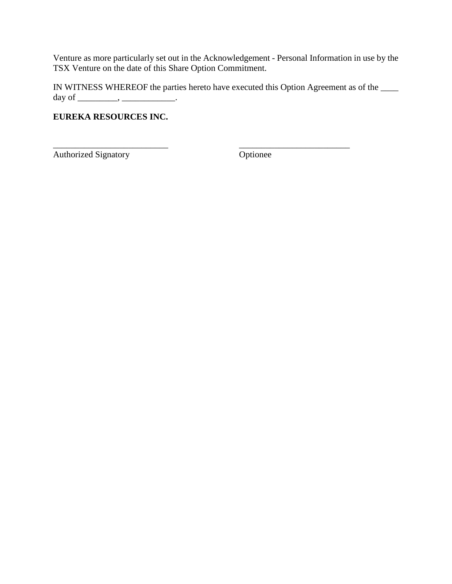Venture as more particularly set out in the Acknowledgement - Personal Information in use by the TSX Venture on the date of this Share Option Commitment.

IN WITNESS WHEREOF the parties hereto have executed this Option Agreement as of the \_\_\_\_ day of \_\_\_\_\_\_\_\_\_\_, \_\_\_\_\_\_\_\_\_\_\_\_\_\_\_.

\_\_\_\_\_\_\_\_\_\_\_\_\_\_\_\_\_\_\_\_\_\_\_\_\_\_ \_\_\_\_\_\_\_\_\_\_\_\_\_\_\_\_\_\_\_\_\_\_\_\_\_

# **EUREKA RESOURCES INC.**

Authorized Signatory **Optionee**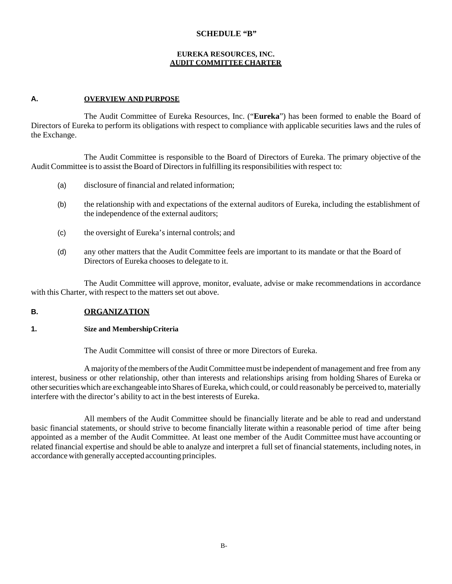#### **SCHEDULE "B"**

#### **EUREKA RESOURCES, INC. AUDIT COMMITTEE CHARTER**

#### **A. OVERVIEW AND PURPOSE**

The Audit Committee of Eureka Resources, Inc. ("**Eureka**") has been formed to enable the Board of Directors of Eureka to perform its obligations with respect to compliance with applicable securities laws and the rules of the Exchange.

The Audit Committee is responsible to the Board of Directors of Eureka. The primary objective of the Audit Committee isto assist the Board of Directorsin fulfilling itsresponsibilities with respect to:

- (a) disclosure of financial and related information;
- (b) the relationship with and expectations of the external auditors of Eureka, including the establishment of the independence of the external auditors;
- (c) the oversight of Eureka's internal controls; and
- (d) any other matters that the Audit Committee feels are important to its mandate or that the Board of Directors of Eureka chooses to delegate to it.

The Audit Committee will approve, monitor, evaluate, advise or make recommendations in accordance with this Charter, with respect to the matters set out above.

### **B. ORGANIZATION**

#### **1. Size and MembershipCriteria**

The Audit Committee will consist of three or more Directors of Eureka.

A majority of the members of the Audit Committee must be independent of management and free from any interest, business or other relationship, other than interests and relationships arising from holding Shares of Eureka or other securities which are exchangeable into Shares of Eureka, which could, or could reasonably be perceived to, materially interfere with the director's ability to act in the best interests of Eureka.

All members of the Audit Committee should be financially literate and be able to read and understand basic financial statements, or should strive to become financially literate within a reasonable period of time after being appointed as a member of the Audit Committee. At least one member of the Audit Committee must have accounting or related financial expertise and should be able to analyze and interpret a full set of financial statements, including notes, in accordance with generally accepted accounting principles.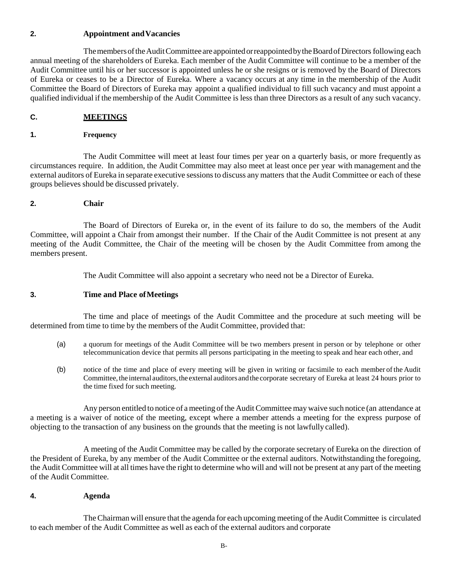### **2. Appointment andVacancies**

The members of the Audit Committee are appointed or reappointed by the Board of Directors following each annual meeting of the shareholders of Eureka. Each member of the Audit Committee will continue to be a member of the Audit Committee until his or her successor is appointed unless he or she resigns or is removed by the Board of Directors of Eureka or ceases to be a Director of Eureka. Where a vacancy occurs at any time in the membership of the Audit Committee the Board of Directors of Eureka may appoint a qualified individual to fill such vacancy and must appoint a qualified individual if the membership of the Audit Committee is less than three Directors as a result of any such vacancy.

### **C. MEETINGS**

#### **1. Frequency**

The Audit Committee will meet at least four times per year on a quarterly basis, or more frequently as circumstances require. In addition, the Audit Committee may also meet at least once per year with management and the external auditors of Eureka in separate executive sessionsto discuss any matters that the Audit Committee or each of these groups believes should be discussed privately.

### **2. Chair**

The Board of Directors of Eureka or, in the event of its failure to do so, the members of the Audit Committee, will appoint a Chair from amongst their number. If the Chair of the Audit Committee is not present at any meeting of the Audit Committee, the Chair of the meeting will be chosen by the Audit Committee from among the members present.

The Audit Committee will also appoint a secretary who need not be a Director of Eureka.

### **3. Time and Place ofMeetings**

The time and place of meetings of the Audit Committee and the procedure at such meeting will be determined from time to time by the members of the Audit Committee, provided that:

- (a) a quorum for meetings of the Audit Committee will be two members present in person or by telephone or other telecommunication device that permits all persons participating in the meeting to speak and hear each other, and
- (b) notice of the time and place of every meeting will be given in writing or facsimile to each member ofthe Audit Committee, the internal auditors, the external auditors and the corporate secretary of Eureka at least 24 hours prior to the time fixed for such meeting.

Any person entitled to notice of a meeting of the Audit Committee may waive such notice (an attendance at a meeting is a waiver of notice of the meeting, except where a member attends a meeting for the express purpose of objecting to the transaction of any business on the grounds that the meeting is not lawfully called).

A meeting of the Audit Committee may be called by the corporate secretary of Eureka on the direction of the President of Eureka, by any member of the Audit Committee or the external auditors. Notwithstanding the foregoing, the Audit Committee will at all times have the right to determine who will and will not be present at any part of the meeting of the Audit Committee.

### **4. Agenda**

TheChairman will ensure that the agenda for each upcoming meeting of the Audit Committee is circulated to each member of the Audit Committee as well as each of the external auditors and corporate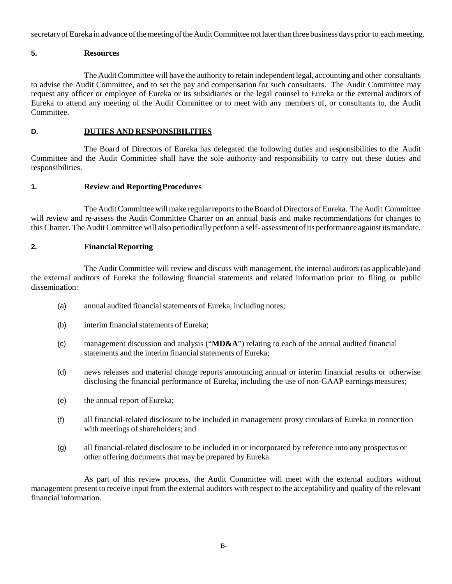secretary of Eureka in advance of the meeting of the Audit Committee not later than three business days prior to each meeting.

#### **5. Resources**

The AuditCommittee will have the authority to retain independent legal, accounting and other consultants to advise the Audit Committee, and to set the pay and compensation for such consultants. The Audit Committee may request any officer or employee of Eureka or its subsidiaries or the legal counsel to Eureka or the external auditors of Eureka to attend any meeting of the Audit Committee or to meet with any members of, or consultants to, the Audit Committee.

#### **D. DUTIES AND RESPONSIBILITIES**

The Board of Directors of Eureka has delegated the following duties and responsibilities to the Audit Committee and the Audit Committee shall have the sole authority and responsibility to carry out these duties and responsibilities.

#### **1. Review and ReportingProcedures**

The Audit Committee will make regular reports to the Board of Directors of Eureka. The Audit Committee will review and re-assess the Audit Committee Charter on an annual basis and make recommendations for changes to this Charter. The Audit Committee will also periodically perform a self- assessment of its performance against its mandate.

#### **2. FinancialReporting**

The Audit Committee will review and discuss with management, the internal auditors (as applicable) and the external auditors of Eureka the following financial statements and related information prior to filing or public dissemination:

- (a) annual audited financial statements of Eureka, including notes;
- (b) interim financial statements of Eureka;
- (c) management discussion and analysis ("**MD&A**") relating to each of the annual audited financial statements and the interim financial statements of Eureka;
- (d) news releases and material change reports announcing annual or interim financial results or otherwise disclosing the financial performance of Eureka, including the use of non-GAAP earnings measures;
- (e) the annual report ofEureka;
- (f) all financial-related disclosure to be included in management proxy circulars of Eureka in connection with meetings of shareholders; and
- (g) all financial-related disclosure to be included in or incorporated by reference into any prospectus or other offering documents that may be prepared by Eureka.

As part of this review process, the Audit Committee will meet with the external auditors without management present to receive input from the external auditors with respect to the acceptability and quality of the relevant financial information.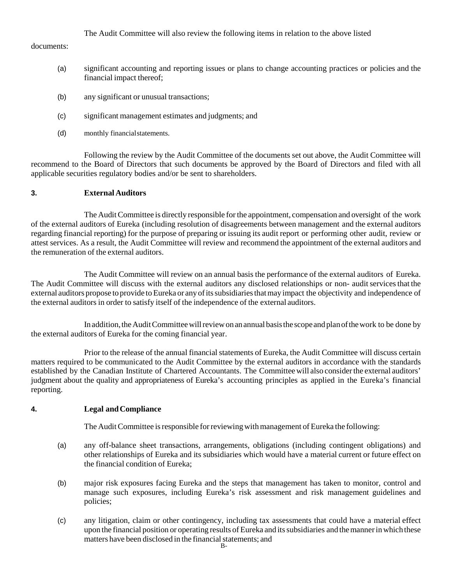The Audit Committee will also review the following items in relation to the above listed

documents:

- (a) significant accounting and reporting issues or plans to change accounting practices or policies and the financial impact thereof;
- (b) any significant or unusual transactions;
- (c) significant management estimates and judgments; and
- (d) monthly financialstatements.

Following the review by the Audit Committee of the documents set out above, the Audit Committee will recommend to the Board of Directors that such documents be approved by the Board of Directors and filed with all applicable securities regulatory bodies and/or be sent to shareholders.

### **3. External Auditors**

The Audit Committee is directly responsible for the appointment, compensation and oversight of the work of the external auditors of Eureka (including resolution of disagreements between management and the external auditors regarding financial reporting) for the purpose of preparing or issuing its audit report or performing other audit, review or attest services. As a result, the Audit Committee will review and recommend the appointment of the external auditors and the remuneration of the external auditors.

The Audit Committee will review on an annual basis the performance of the external auditors of Eureka. The Audit Committee will discuss with the external auditors any disclosed relationships or non- audit services that the external auditors propose to provide to Eureka or any of its subsidiaries that may impact the objectivity and independence of the external auditors in order to satisfy itself of the independence of the external auditors.

In addition, the Audit Committee will review on an annual basis the scope and plan of the work to be done by the external auditors of Eureka for the coming financial year.

Prior to the release of the annual financial statements of Eureka, the Audit Committee will discuss certain matters required to be communicated to the Audit Committee by the external auditors in accordance with the standards established by the Canadian Institute of Chartered Accountants. The Committeewill also considerthe external auditors' judgment about the quality and appropriateness of Eureka's accounting principles as applied in the Eureka's financial reporting.

### **4. Legal andCompliance**

The Audit Committee is responsible for reviewing with management of Eureka the following:

- (a) any off-balance sheet transactions, arrangements, obligations (including contingent obligations) and other relationships of Eureka and its subsidiaries which would have a material current or future effect on the financial condition of Eureka;
- (b) major risk exposures facing Eureka and the steps that management has taken to monitor, control and manage such exposures, including Eureka's risk assessment and risk management guidelines and policies;
- (c) any litigation, claim or other contingency, including tax assessments that could have a material effect upon the financial position or operating results of Eureka and its subsidiaries and the manner in which these matters have been disclosed in the financial statements; and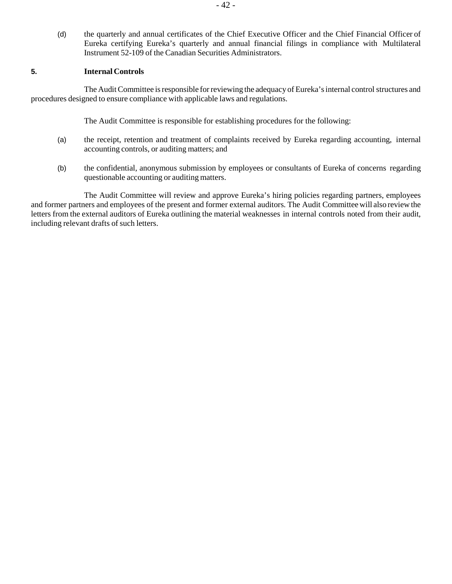(d) the quarterly and annual certificates of the Chief Executive Officer and the Chief Financial Officer of Eureka certifying Eureka's quarterly and annual financial filings in compliance with Multilateral Instrument 52-109 of the Canadian Securities Administrators.

#### **5. Internal Controls**

The Audit Committee is responsible for reviewing the adequacy of Eureka's internal control structures and procedures designed to ensure compliance with applicable laws and regulations.

The Audit Committee is responsible for establishing procedures for the following:

- (a) the receipt, retention and treatment of complaints received by Eureka regarding accounting, internal accounting controls, or auditing matters; and
- (b) the confidential, anonymous submission by employees or consultants of Eureka of concerns regarding questionable accounting or auditing matters.

The Audit Committee will review and approve Eureka's hiring policies regarding partners, employees and former partners and employees of the present and former external auditors. The Audit Committeewill also reviewthe letters from the external auditors of Eureka outlining the material weaknesses in internal controls noted from their audit, including relevant drafts of such letters.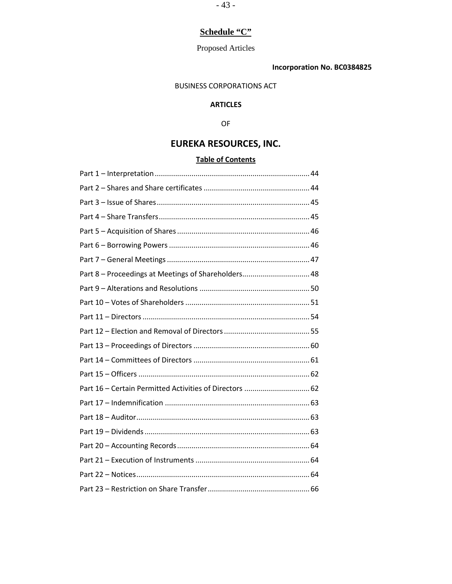# **Schedule "C"**

# Proposed Articles

# **Incorporation No. BC0384825**

### BUSINESS CORPORATIONS ACT

# **ARTICLES**

### OF

# **EUREKA RESOURCES, INC.**

# **Table of Contents**

| Part 8 - Proceedings at Meetings of Shareholders 48     |  |
|---------------------------------------------------------|--|
|                                                         |  |
|                                                         |  |
|                                                         |  |
|                                                         |  |
|                                                         |  |
|                                                         |  |
|                                                         |  |
| Part 16 - Certain Permitted Activities of Directors  62 |  |
|                                                         |  |
|                                                         |  |
|                                                         |  |
|                                                         |  |
|                                                         |  |
|                                                         |  |
|                                                         |  |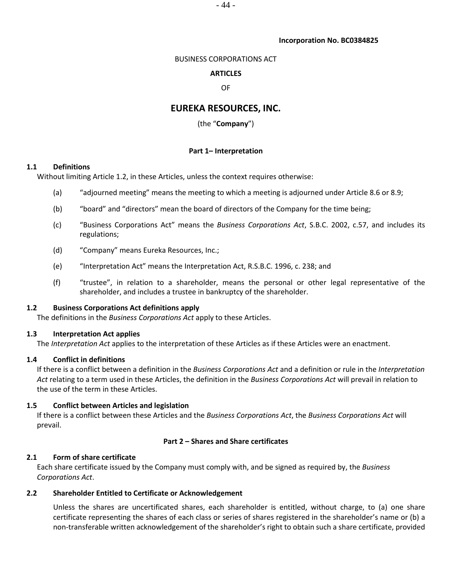### **Incorporation No. BC0384825**

# BUSINESS CORPORATIONS ACT

# **ARTICLES**

# OF

# **EUREKA RESOURCES, INC.**

# (the "**Company**")

# **Part 1– Interpretation**

# **1.1 Definitions**

Without limiting Article [1.2,](#page-43-0) in these Articles, unless the context requires otherwise:

- (a) "adjourned meeting" means the meeting to which a meeting is adjourned under Article [8.6](#page-48-0) o[r 8.9;](#page-48-1)
- (b) "board" and "directors" mean the board of directors of the Company for the time being;
- (c) "Business Corporations Act" means the *Business Corporations Act*, S.B.C. 2002, c.57, and includes its regulations;
- (d) "Company" means Eureka Resources, Inc.;
- (e) "Interpretation Act" means the Interpretation Act, R.S.B.C. 1996, c. 238; and
- (f) "trustee", in relation to a shareholder, means the personal or other legal representative of the shareholder, and includes a trustee in bankruptcy of the shareholder.

# <span id="page-43-0"></span>**1.2 Business Corporations Act definitions apply**

The definitions in the *Business Corporations Act* apply to these Articles.

# **1.3 Interpretation Act applies**

The *Interpretation Act* applies to the interpretation of these Articles as if these Articles were an enactment.

# **1.4 Conflict in definitions**

If there is a conflict between a definition in the *Business Corporations Act* and a definition or rule in the *Interpretation Act* relating to a term used in these Articles, the definition in the *Business Corporations Act* will prevail in relation to the use of the term in these Articles.

# **1.5 Conflict between Articles and legislation**

If there is a conflict between these Articles and the *Business Corporations Act*, the *Business Corporations Act* will prevail.

# **Part 2 – Shares and Share certificates**

# **2.1 Form of share certificate**

Each share certificate issued by the Company must comply with, and be signed as required by, the *Business Corporations Act*.

# **2.2 Shareholder Entitled to Certificate or Acknowledgement**

Unless the shares are uncertificated shares, each shareholder is entitled, without charge, to (a) one share certificate representing the shares of each class or series of shares registered in the shareholder's name or (b) a non-transferable written acknowledgement of the shareholder's right to obtain such a share certificate, provided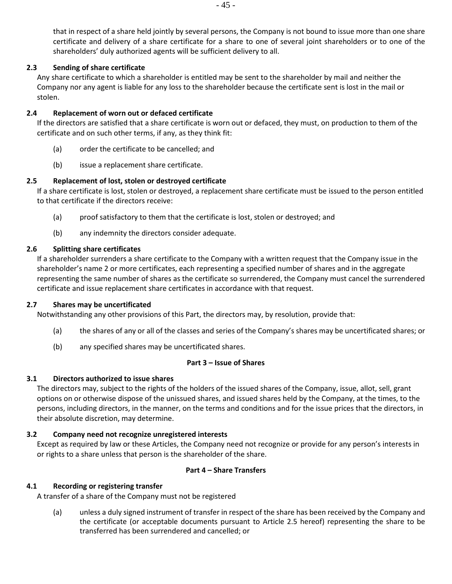that in respect of a share held jointly by several persons, the Company is not bound to issue more than one share certificate and delivery of a share certificate for a share to one of several joint shareholders or to one of the shareholders' duly authorized agents will be sufficient delivery to all.

# **2.3 Sending of share certificate**

Any share certificate to which a shareholder is entitled may be sent to the shareholder by mail and neither the Company nor any agent is liable for any loss to the shareholder because the certificate sent is lost in the mail or stolen.

### **2.4 Replacement of worn out or defaced certificate**

If the directors are satisfied that a share certificate is worn out or defaced, they must, on production to them of the certificate and on such other terms, if any, as they think fit:

- (a) order the certificate to be cancelled; and
- (b) issue a replacement share certificate.

# <span id="page-44-0"></span>**2.5 Replacement of lost, stolen or destroyed certificate**

If a share certificate is lost, stolen or destroyed, a replacement share certificate must be issued to the person entitled to that certificate if the directors receive:

- (a) proof satisfactory to them that the certificate is lost, stolen or destroyed; and
- (b) any indemnity the directors consider adequate.

### **2.6 Splitting share certificates**

If a shareholder surrenders a share certificate to the Company with a written request that the Company issue in the shareholder's name 2 or more certificates, each representing a specified number of shares and in the aggregate representing the same number of shares as the certificate so surrendered, the Company must cancel the surrendered certificate and issue replacement share certificates in accordance with that request.

### **2.7 Shares may be uncertificated**

Notwithstanding any other provisions of this Part, the directors may, by resolution, provide that:

- (a) the shares of any or all of the classes and series of the Company's shares may be uncertificated shares; or
- (b) any specified shares may be uncertificated shares.

### **Part 3 – Issue of Shares**

# **3.1 Directors authorized to issue shares**

The directors may, subject to the rights of the holders of the issued shares of the Company, issue, allot, sell, grant options on or otherwise dispose of the unissued shares, and issued shares held by the Company, at the times, to the persons, including directors, in the manner, on the terms and conditions and for the issue prices that the directors, in their absolute discretion, may determine.

# **3.2 Company need not recognize unregistered interests**

Except as required by law or these Articles, the Company need not recognize or provide for any person's interests in or rights to a share unless that person is the shareholder of the share.

### **Part 4 – Share Transfers**

# **4.1 Recording or registering transfer**

A transfer of a share of the Company must not be registered

(a) unless a duly signed instrument of transfer in respect of the share has been received by the Company and the certificate (or acceptable documents pursuant to Article [2.5](#page-44-0) hereof) representing the share to be transferred has been surrendered and cancelled; or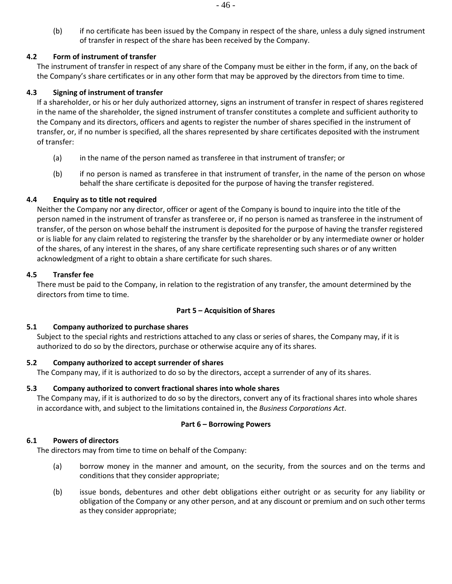(b) if no certificate has been issued by the Company in respect of the share, unless a duly signed instrument of transfer in respect of the share has been received by the Company.

# **4.2 Form of instrument of transfer**

The instrument of transfer in respect of any share of the Company must be either in the form, if any, on the back of the Company's share certificates or in any other form that may be approved by the directors from time to time.

### **4.3 Signing of instrument of transfer**

If a shareholder, or his or her duly authorized attorney, signs an instrument of transfer in respect of shares registered in the name of the shareholder, the signed instrument of transfer constitutes a complete and sufficient authority to the Company and its directors, officers and agents to register the number of shares specified in the instrument of transfer, or, if no number is specified, all the shares represented by share certificates deposited with the instrument of transfer:

- (a) in the name of the person named as transferee in that instrument of transfer; or
- (b) if no person is named as transferee in that instrument of transfer, in the name of the person on whose behalf the share certificate is deposited for the purpose of having the transfer registered.

### **4.4 Enquiry as to title not required**

Neither the Company nor any director, officer or agent of the Company is bound to inquire into the title of the person named in the instrument of transfer as transferee or, if no person is named as transferee in the instrument of transfer, of the person on whose behalf the instrument is deposited for the purpose of having the transfer registered or is liable for any claim related to registering the transfer by the shareholder or by any intermediate owner or holder of the shares, of any interest in the shares, of any share certificate representing such shares or of any written acknowledgment of a right to obtain a share certificate for such shares.

### **4.5 Transfer fee**

There must be paid to the Company, in relation to the registration of any transfer, the amount determined by the directors from time to time.

### **Part 5 – Acquisition of Shares**

### **5.1 Company authorized to purchase shares**

Subject to the special rights and restrictions attached to any class or series of shares, the Company may, if it is authorized to do so by the directors, purchase or otherwise acquire any of its shares.

### **5.2 Company authorized to accept surrender of shares**

The Company may, if it is authorized to do so by the directors, accept a surrender of any of its shares.

### **5.3 Company authorized to convert fractional shares into whole shares**

The Company may, if it is authorized to do so by the directors, convert any of its fractional shares into whole shares in accordance with, and subject to the limitations contained in, the *Business Corporations Act*.

# **Part 6 – Borrowing Powers**

### **6.1 Powers of directors**

The directors may from time to time on behalf of the Company:

- (a) borrow money in the manner and amount, on the security, from the sources and on the terms and conditions that they consider appropriate;
- (b) issue bonds, debentures and other debt obligations either outright or as security for any liability or obligation of the Company or any other person, and at any discount or premium and on such other terms as they consider appropriate;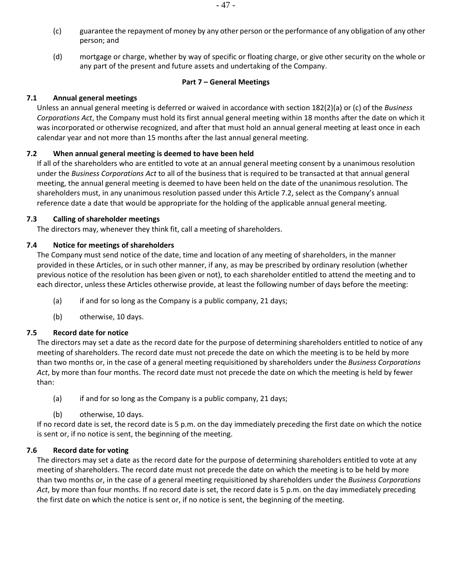- (c) guarantee the repayment of money by any other person or the performance of any obligation of any other person; and
- (d) mortgage or charge, whether by way of specific or floating charge, or give other security on the whole or any part of the present and future assets and undertaking of the Company.

#### **Part 7 – General Meetings**

### **7.1 Annual general meetings**

Unless an annual general meeting is deferred or waived in accordance with section 182(2)(a) or (c) of the *Business Corporations Act*, the Company must hold its first annual general meeting within 18 months after the date on which it was incorporated or otherwise recognized, and after that must hold an annual general meeting at least once in each calendar year and not more than 15 months after the last annual general meeting.

### <span id="page-46-0"></span>**7.2 When annual general meeting is deemed to have been held**

If all of the shareholders who are entitled to vote at an annual general meeting consent by a unanimous resolution under the *Business Corporations Act* to all of the business that is required to be transacted at that annual general meeting, the annual general meeting is deemed to have been held on the date of the unanimous resolution. The shareholders must, in any unanimous resolution passed under this Article [7.2,](#page-46-0) select as the Company's annual reference date a date that would be appropriate for the holding of the applicable annual general meeting.

### **7.3 Calling of shareholder meetings**

The directors may, whenever they think fit, call a meeting of shareholders.

### **7.4 Notice for meetings of shareholders**

The Company must send notice of the date, time and location of any meeting of shareholders, in the manner provided in these Articles, or in such other manner, if any, as may be prescribed by ordinary resolution (whether previous notice of the resolution has been given or not), to each shareholder entitled to attend the meeting and to each director, unless these Articles otherwise provide, at least the following number of days before the meeting:

- (a) if and for so long as the Company is a public company, 21 days;
- (b) otherwise, 10 days.

### **7.5 Record date for notice**

The directors may set a date as the record date for the purpose of determining shareholders entitled to notice of any meeting of shareholders. The record date must not precede the date on which the meeting is to be held by more than two months or, in the case of a general meeting requisitioned by shareholders under the *Business Corporations Act*, by more than four months. The record date must not precede the date on which the meeting is held by fewer than:

- (a) if and for so long as the Company is a public company, 21 days;
- (b) otherwise, 10 days.

If no record date is set, the record date is 5 p.m. on the day immediately preceding the first date on which the notice is sent or, if no notice is sent, the beginning of the meeting.

# **7.6 Record date for voting**

The directors may set a date as the record date for the purpose of determining shareholders entitled to vote at any meeting of shareholders. The record date must not precede the date on which the meeting is to be held by more than two months or, in the case of a general meeting requisitioned by shareholders under the *Business Corporations Act*, by more than four months. If no record date is set, the record date is 5 p.m. on the day immediately preceding the first date on which the notice is sent or, if no notice is sent, the beginning of the meeting.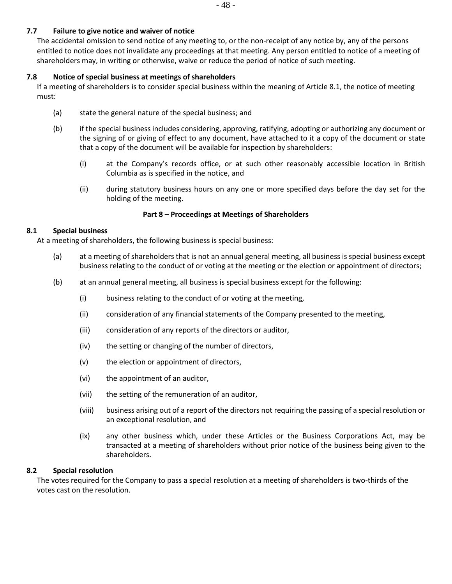### **7.7 Failure to give notice and waiver of notice**

The accidental omission to send notice of any meeting to, or the non-receipt of any notice by, any of the persons entitled to notice does not invalidate any proceedings at that meeting. Any person entitled to notice of a meeting of shareholders may, in writing or otherwise, waive or reduce the period of notice of such meeting.

### **7.8 Notice of special business at meetings of shareholders**

If a meeting of shareholders is to consider special business within the meaning of Articl[e 8.1,](#page-47-0) the notice of meeting must:

- (a) state the general nature of the special business; and
- (b) if the special business includes considering, approving, ratifying, adopting or authorizing any document or the signing of or giving of effect to any document, have attached to it a copy of the document or state that a copy of the document will be available for inspection by shareholders:
	- (i) at the Company's records office, or at such other reasonably accessible location in British Columbia as is specified in the notice, and
	- (ii) during statutory business hours on any one or more specified days before the day set for the holding of the meeting.

### **Part 8 – Proceedings at Meetings of Shareholders**

### <span id="page-47-0"></span>**8.1 Special business**

At a meeting of shareholders, the following business is special business:

- (a) at a meeting of shareholders that is not an annual general meeting, all business is special business except business relating to the conduct of or voting at the meeting or the election or appointment of directors;
- (b) at an annual general meeting, all business is special business except for the following:
	- (i) business relating to the conduct of or voting at the meeting,
	- (ii) consideration of any financial statements of the Company presented to the meeting,
	- (iii) consideration of any reports of the directors or auditor,
	- (iv) the setting or changing of the number of directors,
	- (v) the election or appointment of directors,
	- (vi) the appointment of an auditor,
	- (vii) the setting of the remuneration of an auditor,
	- (viii) business arising out of a report of the directors not requiring the passing of a special resolution or an exceptional resolution, and
	- (ix) any other business which, under these Articles or the Business Corporations Act, may be transacted at a meeting of shareholders without prior notice of the business being given to the shareholders.

### **8.2 Special resolution**

The votes required for the Company to pass a special resolution at a meeting of shareholders is two-thirds of the votes cast on the resolution.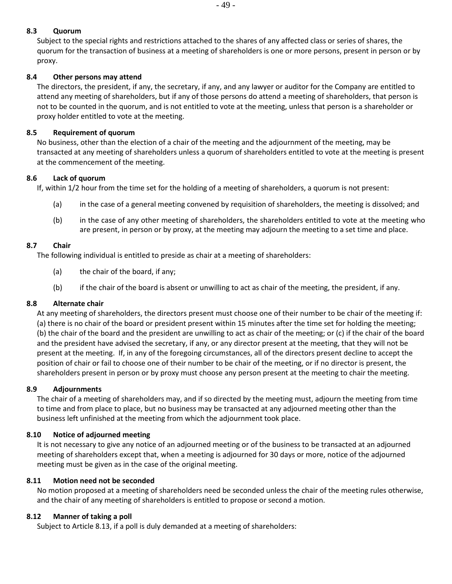## **8.3 Quorum**

Subject to the special rights and restrictions attached to the shares of any affected class or series of shares, the quorum for the transaction of business at a meeting of shareholders is one or more persons, present in person or by proxy.

### **8.4 Other persons may attend**

The directors, the president, if any, the secretary, if any, and any lawyer or auditor for the Company are entitled to attend any meeting of shareholders, but if any of those persons do attend a meeting of shareholders, that person is not to be counted in the quorum, and is not entitled to vote at the meeting, unless that person is a shareholder or proxy holder entitled to vote at the meeting.

### **8.5 Requirement of quorum**

No business, other than the election of a chair of the meeting and the adjournment of the meeting, may be transacted at any meeting of shareholders unless a quorum of shareholders entitled to vote at the meeting is present at the commencement of the meeting.

### <span id="page-48-0"></span>**8.6 Lack of quorum**

If, within 1/2 hour from the time set for the holding of a meeting of shareholders, a quorum is not present:

- (a) in the case of a general meeting convened by requisition of shareholders, the meeting is dissolved; and
- (b) in the case of any other meeting of shareholders, the shareholders entitled to vote at the meeting who are present, in person or by proxy, at the meeting may adjourn the meeting to a set time and place.

### **8.7 Chair**

The following individual is entitled to preside as chair at a meeting of shareholders:

- (a) the chair of the board, if any;
- (b) if the chair of the board is absent or unwilling to act as chair of the meeting, the president, if any.

### **8.8 Alternate chair**

At any meeting of shareholders, the directors present must choose one of their number to be chair of the meeting if: (a) there is no chair of the board or president present within 15 minutes after the time set for holding the meeting; (b) the chair of the board and the president are unwilling to act as chair of the meeting; or (c) if the chair of the board and the president have advised the secretary, if any, or any director present at the meeting, that they will not be present at the meeting. If, in any of the foregoing circumstances, all of the directors present decline to accept the position of chair or fail to choose one of their number to be chair of the meeting, or if no director is present, the shareholders present in person or by proxy must choose any person present at the meeting to chair the meeting.

### <span id="page-48-1"></span>**8.9 Adjournments**

The chair of a meeting of shareholders may, and if so directed by the meeting must, adjourn the meeting from time to time and from place to place, but no business may be transacted at any adjourned meeting other than the business left unfinished at the meeting from which the adjournment took place.

### **8.10 Notice of adjourned meeting**

It is not necessary to give any notice of an adjourned meeting or of the business to be transacted at an adjourned meeting of shareholders except that, when a meeting is adjourned for 30 days or more, notice of the adjourned meeting must be given as in the case of the original meeting.

### **8.11 Motion need not be seconded**

No motion proposed at a meeting of shareholders need be seconded unless the chair of the meeting rules otherwise, and the chair of any meeting of shareholders is entitled to propose or second a motion.

### **8.12 Manner of taking a poll**

Subject to Article [8.13,](#page-49-0) if a poll is duly demanded at a meeting of shareholders: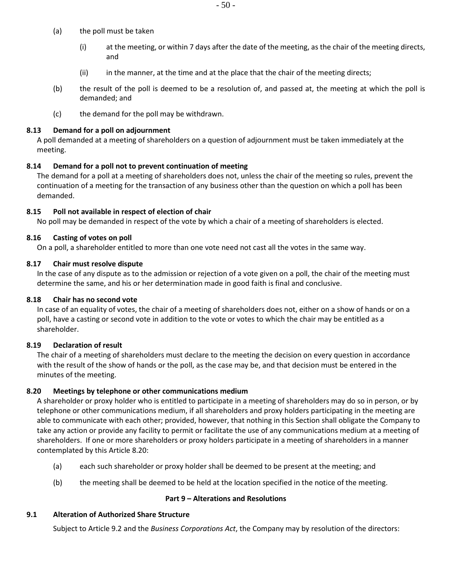- (a) the poll must be taken
	- (i) at the meeting, or within 7 days after the date of the meeting, as the chair of the meeting directs, and
	- (ii) in the manner, at the time and at the place that the chair of the meeting directs;
- (b) the result of the poll is deemed to be a resolution of, and passed at, the meeting at which the poll is demanded; and
- (c) the demand for the poll may be withdrawn.

#### <span id="page-49-0"></span>**8.13 Demand for a poll on adjournment**

A poll demanded at a meeting of shareholders on a question of adjournment must be taken immediately at the meeting.

#### **8.14 Demand for a poll not to prevent continuation of meeting**

The demand for a poll at a meeting of shareholders does not, unless the chair of the meeting so rules, prevent the continuation of a meeting for the transaction of any business other than the question on which a poll has been demanded.

### **8.15 Poll not available in respect of election of chair**

No poll may be demanded in respect of the vote by which a chair of a meeting of shareholders is elected.

#### **8.16 Casting of votes on poll**

On a poll, a shareholder entitled to more than one vote need not cast all the votes in the same way.

#### **8.17 Chair must resolve dispute**

In the case of any dispute as to the admission or rejection of a vote given on a poll, the chair of the meeting must determine the same, and his or her determination made in good faith is final and conclusive.

#### **8.18 Chair has no second vote**

In case of an equality of votes, the chair of a meeting of shareholders does not, either on a show of hands or on a poll, have a casting or second vote in addition to the vote or votes to which the chair may be entitled as a shareholder.

### **8.19 Declaration of result**

The chair of a meeting of shareholders must declare to the meeting the decision on every question in accordance with the result of the show of hands or the poll, as the case may be, and that decision must be entered in the minutes of the meeting.

### <span id="page-49-1"></span>**8.20 Meetings by telephone or other communications medium**

A shareholder or proxy holder who is entitled to participate in a meeting of shareholders may do so in person, or by telephone or other communications medium, if all shareholders and proxy holders participating in the meeting are able to communicate with each other; provided, however, that nothing in this Section shall obligate the Company to take any action or provide any facility to permit or facilitate the use of any communications medium at a meeting of shareholders. If one or more shareholders or proxy holders participate in a meeting of shareholders in a manner contemplated by this Article [8.20:](#page-49-1)

- (a) each such shareholder or proxy holder shall be deemed to be present at the meeting; and
- (b) the meeting shall be deemed to be held at the location specified in the notice of the meeting.

#### **Part 9 – Alterations and Resolutions**

#### **9.1 Alteration of Authorized Share Structure**

Subject to Article 9.2 and the *Business Corporations Act*, the Company may by resolution of the directors: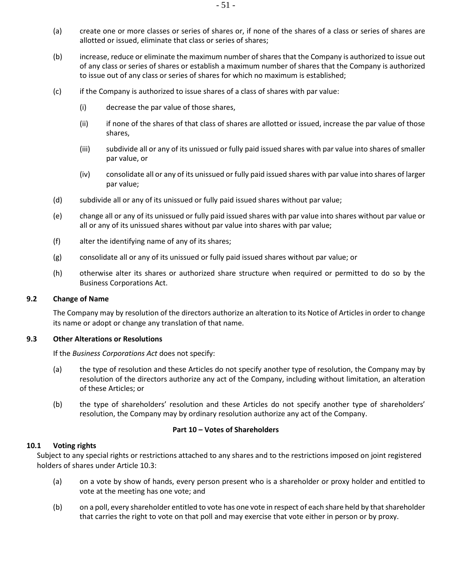- (a) create one or more classes or series of shares or, if none of the shares of a class or series of shares are allotted or issued, eliminate that class or series of shares;
- (b) increase, reduce or eliminate the maximum number of shares that the Company is authorized to issue out of any class or series of shares or establish a maximum number of shares that the Company is authorized to issue out of any class or series of shares for which no maximum is established;
- (c) if the Company is authorized to issue shares of a class of shares with par value:
	- (i) decrease the par value of those shares,
	- (ii) if none of the shares of that class of shares are allotted or issued, increase the par value of those shares,
	- (iii) subdivide all or any of its unissued or fully paid issued shares with par value into shares of smaller par value, or
	- (iv) consolidate all or any of its unissued or fully paid issued shares with par value into shares of larger par value;
- (d) subdivide all or any of its unissued or fully paid issued shares without par value;
- (e) change all or any of its unissued or fully paid issued shares with par value into shares without par value or all or any of its unissued shares without par value into shares with par value;
- (f) alter the identifying name of any of its shares;
- (g) consolidate all or any of its unissued or fully paid issued shares without par value; or
- (h) otherwise alter its shares or authorized share structure when required or permitted to do so by the Business Corporations Act.

#### **9.2 Change of Name**

The Company may by resolution of the directors authorize an alteration to its Notice of Articles in order to change its name or adopt or change any translation of that name.

#### **9.3 Other Alterations or Resolutions**

If the *Business Corporations Act* does not specify:

- (a) the type of resolution and these Articles do not specify another type of resolution, the Company may by resolution of the directors authorize any act of the Company, including without limitation, an alteration of these Articles; or
- (b) the type of shareholders' resolution and these Articles do not specify another type of shareholders' resolution, the Company may by ordinary resolution authorize any act of the Company.

#### **Part 10 – Votes of Shareholders**

#### **10.1 Voting rights**

Subject to any special rights or restrictions attached to any shares and to the restrictions imposed on joint registered holders of shares under Article [10.3:](#page-51-0)

- (a) on a vote by show of hands, every person present who is a shareholder or proxy holder and entitled to vote at the meeting has one vote; and
- (b) on a poll, every shareholder entitled to vote has one vote in respect of each share held by that shareholder that carries the right to vote on that poll and may exercise that vote either in person or by proxy.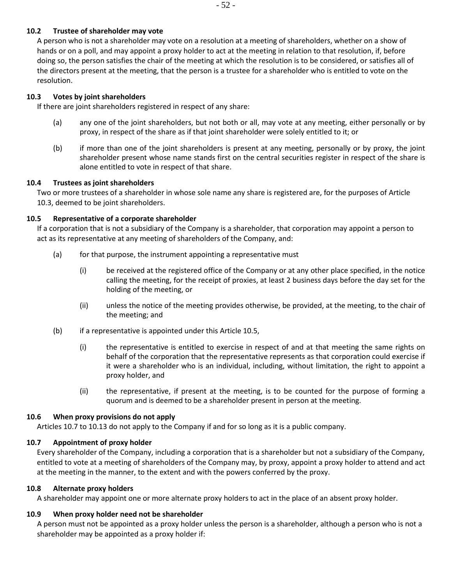A person who is not a shareholder may vote on a resolution at a meeting of shareholders, whether on a show of hands or on a poll, and may appoint a proxy holder to act at the meeting in relation to that resolution, if, before doing so, the person satisfies the chair of the meeting at which the resolution is to be considered, or satisfies all of the directors present at the meeting, that the person is a trustee for a shareholder who is entitled to vote on the resolution.

# <span id="page-51-0"></span>**10.3 Votes by joint shareholders**

If there are joint shareholders registered in respect of any share:

- (a) any one of the joint shareholders, but not both or all, may vote at any meeting, either personally or by proxy, in respect of the share as if that joint shareholder were solely entitled to it; or
- (b) if more than one of the joint shareholders is present at any meeting, personally or by proxy, the joint shareholder present whose name stands first on the central securities register in respect of the share is alone entitled to vote in respect of that share.

# **10.4 Trustees as joint shareholders**

Two or more trustees of a shareholder in whose sole name any share is registered are, for the purposes of Article [10.3,](#page-51-0) deemed to be joint shareholders.

# <span id="page-51-1"></span>**10.5 Representative of a corporate shareholder**

If a corporation that is not a subsidiary of the Company is a shareholder, that corporation may appoint a person to act as its representative at any meeting of shareholders of the Company, and:

- (a) for that purpose, the instrument appointing a representative must
	- (i) be received at the registered office of the Company or at any other place specified, in the notice calling the meeting, for the receipt of proxies, at least 2 business days before the day set for the holding of the meeting, or
	- (ii) unless the notice of the meeting provides otherwise, be provided, at the meeting, to the chair of the meeting; and
- (b) if a representative is appointed under this Article [10.5,](#page-51-1)
	- (i) the representative is entitled to exercise in respect of and at that meeting the same rights on behalf of the corporation that the representative represents as that corporation could exercise if it were a shareholder who is an individual, including, without limitation, the right to appoint a proxy holder, and
	- (ii) the representative, if present at the meeting, is to be counted for the purpose of forming a quorum and is deemed to be a shareholder present in person at the meeting.

# **10.6 When proxy provisions do not apply**

Articles [10.7](#page-51-2) to [10.13](#page-52-0) do not apply to the Company if and for so long as it is a public company.

# <span id="page-51-2"></span>**10.7 Appointment of proxy holder**

Every shareholder of the Company, including a corporation that is a shareholder but not a subsidiary of the Company, entitled to vote at a meeting of shareholders of the Company may, by proxy, appoint a proxy holder to attend and act at the meeting in the manner, to the extent and with the powers conferred by the proxy.

# **10.8 Alternate proxy holders**

A shareholder may appoint one or more alternate proxy holders to act in the place of an absent proxy holder.

# **10.9 When proxy holder need not be shareholder**

A person must not be appointed as a proxy holder unless the person is a shareholder, although a person who is not a shareholder may be appointed as a proxy holder if: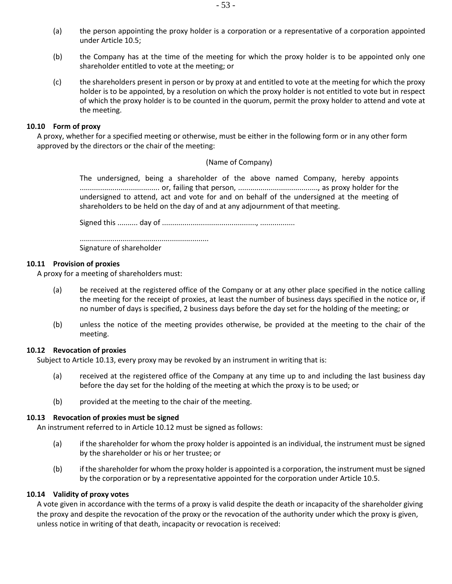- (a) the person appointing the proxy holder is a corporation or a representative of a corporation appointed under Articl[e 10.5;](#page-51-1)
- (b) the Company has at the time of the meeting for which the proxy holder is to be appointed only one shareholder entitled to vote at the meeting; or
- (c) the shareholders present in person or by proxy at and entitled to vote at the meeting for which the proxy holder is to be appointed, by a resolution on which the proxy holder is not entitled to vote but in respect of which the proxy holder is to be counted in the quorum, permit the proxy holder to attend and vote at the meeting.

#### **10.10 Form of proxy**

A proxy, whether for a specified meeting or otherwise, must be either in the following form or in any other form approved by the directors or the chair of the meeting:

### (Name of Company)

The undersigned, being a shareholder of the above named Company, hereby appoints ....................................... or, failing that person, ......................................., as proxy holder for the undersigned to attend, act and vote for and on behalf of the undersigned at the meeting of shareholders to be held on the day of and at any adjournment of that meeting.

Signed this .......... day of .............................................., .................

...............................................................

Signature of shareholder

#### **10.11 Provision of proxies**

A proxy for a meeting of shareholders must:

- (a) be received at the registered office of the Company or at any other place specified in the notice calling the meeting for the receipt of proxies, at least the number of business days specified in the notice or, if no number of days is specified, 2 business days before the day set for the holding of the meeting; or
- (b) unless the notice of the meeting provides otherwise, be provided at the meeting to the chair of the meeting.

### <span id="page-52-1"></span>**10.12 Revocation of proxies**

Subject to Article [10.13,](#page-52-0) every proxy may be revoked by an instrument in writing that is:

- (a) received at the registered office of the Company at any time up to and including the last business day before the day set for the holding of the meeting at which the proxy is to be used; or
- (b) provided at the meeting to the chair of the meeting.

# <span id="page-52-0"></span>**10.13 Revocation of proxies must be signed**

An instrument referred to in Article [10.12](#page-52-1) must be signed as follows:

- (a) if the shareholder for whom the proxy holder is appointed is an individual, the instrument must be signed by the shareholder or his or her trustee; or
- (b) if the shareholder for whom the proxy holder is appointed is a corporation, the instrument must be signed by the corporation or by a representative appointed for the corporation under Article [10.5.](#page-51-1)

# **10.14 Validity of proxy votes**

A vote given in accordance with the terms of a proxy is valid despite the death or incapacity of the shareholder giving the proxy and despite the revocation of the proxy or the revocation of the authority under which the proxy is given, unless notice in writing of that death, incapacity or revocation is received: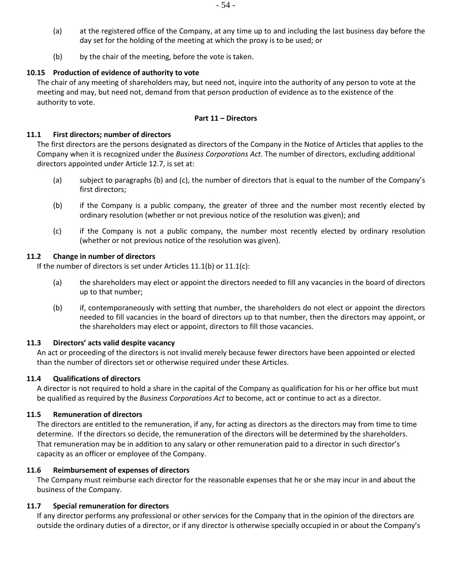- (a) at the registered office of the Company, at any time up to and including the last business day before the day set for the holding of the meeting at which the proxy is to be used; or
- (b) by the chair of the meeting, before the vote is taken.

# **10.15 Production of evidence of authority to vote**

The chair of any meeting of shareholders may, but need not, inquire into the authority of any person to vote at the meeting and may, but need not, demand from that person production of evidence as to the existence of the authority to vote.

### <span id="page-53-3"></span><span id="page-53-2"></span>**Part 11 – Directors**

### <span id="page-53-4"></span>**11.1 First directors; number of directors**

The first directors are the persons designated as directors of the Company in the Notice of Articles that applies to the Company when it is recognized under the *Business Corporations Act*. The number of directors, excluding additional directors appointed under Articl[e 12.7,](#page-55-0) is set at:

- (a) subject to paragraphs [\(b\)](#page-53-0) and [\(c\),](#page-53-1) the number of directors that is equal to the number of the Company's first directors;
- <span id="page-53-0"></span>(b) if the Company is a public company, the greater of three and the number most recently elected by ordinary resolution (whether or not previous notice of the resolution was given); and
- <span id="page-53-1"></span>(c) if the Company is not a public company, the number most recently elected by ordinary resolution (whether or not previous notice of the resolution was given).

### <span id="page-53-5"></span>**11.2 Change in number of directors**

If the number of directors is set under Articles [11.1\(b\)](#page-53-2) or [11.1\(c\):](#page-53-3)

- (a) the shareholders may elect or appoint the directors needed to fill any vacancies in the board of directors up to that number;
- (b) if, contemporaneously with setting that number, the shareholders do not elect or appoint the directors needed to fill vacancies in the board of directors up to that number, then the directors may appoint, or the shareholders may elect or appoint, directors to fill those vacancies.

### **11.3 Directors' acts valid despite vacancy**

An act or proceeding of the directors is not invalid merely because fewer directors have been appointed or elected than the number of directors set or otherwise required under these Articles.

### **11.4 Qualifications of directors**

A director is not required to hold a share in the capital of the Company as qualification for his or her office but must be qualified as required by the *Business Corporations Act* to become, act or continue to act as a director.

### **11.5 Remuneration of directors**

The directors are entitled to the remuneration, if any, for acting as directors as the directors may from time to time determine. If the directors so decide, the remuneration of the directors will be determined by the shareholders. That remuneration may be in addition to any salary or other remuneration paid to a director in such director's capacity as an officer or employee of the Company.

### **11.6 Reimbursement of expenses of directors**

The Company must reimburse each director for the reasonable expenses that he or she may incur in and about the business of the Company.

### **11.7 Special remuneration for directors**

If any director performs any professional or other services for the Company that in the opinion of the directors are outside the ordinary duties of a director, or if any director is otherwise specially occupied in or about the Company's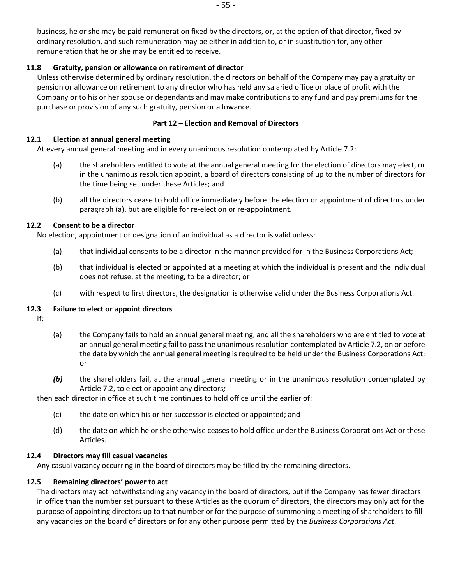business, he or she may be paid remuneration fixed by the directors, or, at the option of that director, fixed by ordinary resolution, and such remuneration may be either in addition to, or in substitution for, any other remuneration that he or she may be entitled to receive.

# **11.8 Gratuity, pension or allowance on retirement of director**

Unless otherwise determined by ordinary resolution, the directors on behalf of the Company may pay a gratuity or pension or allowance on retirement to any director who has held any salaried office or place of profit with the Company or to his or her spouse or dependants and may make contributions to any fund and pay premiums for the purchase or provision of any such gratuity, pension or allowance.

### **Part 12 – Election and Removal of Directors**

#### **12.1 Election at annual general meeting**

<span id="page-54-0"></span>At every annual general meeting and in every unanimous resolution contemplated by Article [7.2:](#page-46-0)

- (a) the shareholders entitled to vote at the annual general meeting for the election of directors may elect, or in the unanimous resolution appoint, a board of directors consisting of up to the number of directors for the time being set under these Articles; and
- (b) all the directors cease to hold office immediately before the election or appointment of directors under paragraph [\(a\),](#page-54-0) but are eligible for re-election or re-appointment.

### **12.2 Consent to be a director**

No election, appointment or designation of an individual as a director is valid unless:

- (a) that individual consents to be a director in the manner provided for in the Business Corporations Act;
- (b) that individual is elected or appointed at a meeting at which the individual is present and the individual does not refuse, at the meeting, to be a director; or
- (c) with respect to first directors, the designation is otherwise valid under the Business Corporations Act.

### **12.3 Failure to elect or appoint directors**

- If:
- (a) the Company fails to hold an annual general meeting, and all the shareholders who are entitled to vote at an annual general meeting fail to pass the unanimous resolution contemplated by Articl[e 7.2,](#page-46-0) on or before the date by which the annual general meeting is required to be held under the Business Corporations Act; or
- *(b)* the shareholders fail, at the annual general meeting or in the unanimous resolution contemplated by Articl[e 7.2,](#page-46-0) to elect or appoint any directors*;*

then each director in office at such time continues to hold office until the earlier of:

- (c) the date on which his or her successor is elected or appointed; and
- (d) the date on which he or she otherwise ceases to hold office under the Business Corporations Act or these Articles.

### **12.4 Directors may fill casual vacancies**

Any casual vacancy occurring in the board of directors may be filled by the remaining directors.

#### <span id="page-54-1"></span>**12.5 Remaining directors' power to act**

The directors may act notwithstanding any vacancy in the board of directors, but if the Company has fewer directors in office than the number set pursuant to these Articles as the quorum of directors, the directors may only act for the purpose of appointing directors up to that number or for the purpose of summoning a meeting of shareholders to fill any vacancies on the board of directors or for any other purpose permitted by the *Business Corporations Act*.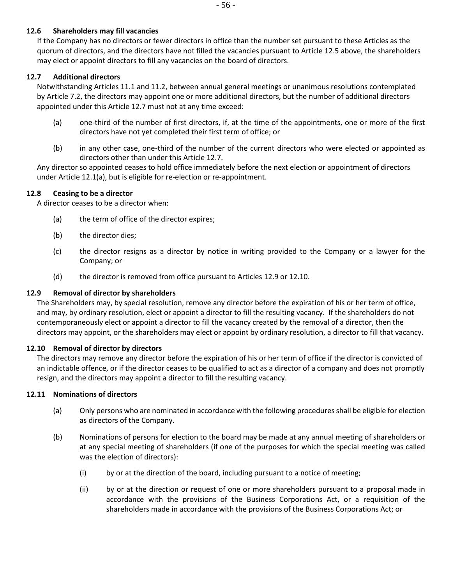### **12.6 Shareholders may fill vacancies**

If the Company has no directors or fewer directors in office than the number set pursuant to these Articles as the quorum of directors, and the directors have not filled the vacancies pursuant to Articl[e 12.5](#page-54-1) above, the shareholders may elect or appoint directors to fill any vacancies on the board of directors.

### <span id="page-55-0"></span>**12.7 Additional directors**

Notwithstanding Articles [11.1](#page-53-4) an[d 11.2,](#page-53-5) between annual general meetings or unanimous resolutions contemplated by Article [7.2,](#page-46-0) the directors may appoint one or more additional directors, but the number of additional directors appointed under this Article [12.7](#page-55-0) must not at any time exceed:

- (a) one-third of the number of first directors, if, at the time of the appointments, one or more of the first directors have not yet completed their first term of office; or
- (b) in any other case, one-third of the number of the current directors who were elected or appointed as directors other than under this Article [12.7.](#page-55-0)

Any director so appointed ceases to hold office immediately before the next election or appointment of directors under Article [12.1\(a\),](#page-54-0) but is eligible for re-election or re-appointment.

### **12.8 Ceasing to be a director**

A director ceases to be a director when:

- (a) the term of office of the director expires;
- (b) the director dies;
- (c) the director resigns as a director by notice in writing provided to the Company or a lawyer for the Company; or
- (d) the director is removed from office pursuant to Articles [12.9](#page-55-1) or [12.10.](#page-55-2)

### <span id="page-55-1"></span>**12.9 Removal of director by shareholders**

The Shareholders may, by special resolution, remove any director before the expiration of his or her term of office, and may, by ordinary resolution, elect or appoint a director to fill the resulting vacancy. If the shareholders do not contemporaneously elect or appoint a director to fill the vacancy created by the removal of a director, then the directors may appoint, or the shareholders may elect or appoint by ordinary resolution, a director to fill that vacancy.

### <span id="page-55-2"></span>**12.10 Removal of director by directors**

The directors may remove any director before the expiration of his or her term of office if the director is convicted of an indictable offence, or if the director ceases to be qualified to act as a director of a company and does not promptly resign, and the directors may appoint a director to fill the resulting vacancy.

### <span id="page-55-3"></span>**12.11 Nominations of directors**

- (a) Only persons who are nominated in accordance with the following procedures shall be eligible for election as directors of the Company.
- (b) Nominations of persons for election to the board may be made at any annual meeting of shareholders or at any special meeting of shareholders (if one of the purposes for which the special meeting was called was the election of directors):
	- (i) by or at the direction of the board, including pursuant to a notice of meeting;
	- (ii) by or at the direction or request of one or more shareholders pursuant to a proposal made in accordance with the provisions of the Business Corporations Act, or a requisition of the shareholders made in accordance with the provisions of the Business Corporations Act; or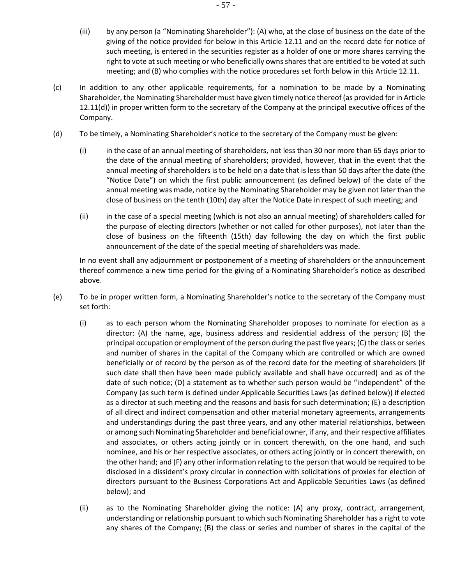- (iii) by any person (a "Nominating Shareholder"): (A) who, at the close of business on the date of the giving of the notice provided for below in this Article [12.11](#page-55-3) and on the record date for notice of such meeting, is entered in the securities register as a holder of one or more shares carrying the right to vote at such meeting or who beneficially owns shares that are entitled to be voted at such meeting; and (B) who complies with the notice procedures set forth below in this Articl[e 12.11.](#page-55-3)
- (c) In addition to any other applicable requirements, for a nomination to be made by a Nominating Shareholder, the Nominating Shareholder must have given timely notice thereof (as provided for in Article [12.11\(d\)\)](#page-56-0) in proper written form to the secretary of the Company at the principal executive offices of the Company.
- <span id="page-56-0"></span>(d) To be timely, a Nominating Shareholder's notice to the secretary of the Company must be given:
	- (i) in the case of an annual meeting of shareholders, not less than 30 nor more than 65 days prior to the date of the annual meeting of shareholders; provided, however, that in the event that the annual meeting of shareholders is to be held on a date that is less than 50 days after the date (the "Notice Date") on which the first public announcement (as defined below) of the date of the annual meeting was made, notice by the Nominating Shareholder may be given not later than the close of business on the tenth (10th) day after the Notice Date in respect of such meeting; and
	- (ii) in the case of a special meeting (which is not also an annual meeting) of shareholders called for the purpose of electing directors (whether or not called for other purposes), not later than the close of business on the fifteenth (15th) day following the day on which the first public announcement of the date of the special meeting of shareholders was made.

In no event shall any adjournment or postponement of a meeting of shareholders or the announcement thereof commence a new time period for the giving of a Nominating Shareholder's notice as described above.

- (e) To be in proper written form, a Nominating Shareholder's notice to the secretary of the Company must set forth:
	- (i) as to each person whom the Nominating Shareholder proposes to nominate for election as a director: (A) the name, age, business address and residential address of the person; (B) the principal occupation or employment of the person during the past five years; (C) the class or series and number of shares in the capital of the Company which are controlled or which are owned beneficially or of record by the person as of the record date for the meeting of shareholders (if such date shall then have been made publicly available and shall have occurred) and as of the date of such notice; (D) a statement as to whether such person would be "independent" of the Company (as such term is defined under Applicable Securities Laws (as defined below)) if elected as a director at such meeting and the reasons and basis for such determination; (E) a description of all direct and indirect compensation and other material monetary agreements, arrangements and understandings during the past three years, and any other material relationships, between or among such Nominating Shareholder and beneficial owner, if any, and their respective affiliates and associates, or others acting jointly or in concert therewith, on the one hand, and such nominee, and his or her respective associates, or others acting jointly or in concert therewith, on the other hand; and (F) any other information relating to the person that would be required to be disclosed in a dissident's proxy circular in connection with solicitations of proxies for election of directors pursuant to the Business Corporations Act and Applicable Securities Laws (as defined below); and
	- (ii) as to the Nominating Shareholder giving the notice: (A) any proxy, contract, arrangement, understanding or relationship pursuant to which such Nominating Shareholder has a right to vote any shares of the Company; (B) the class or series and number of shares in the capital of the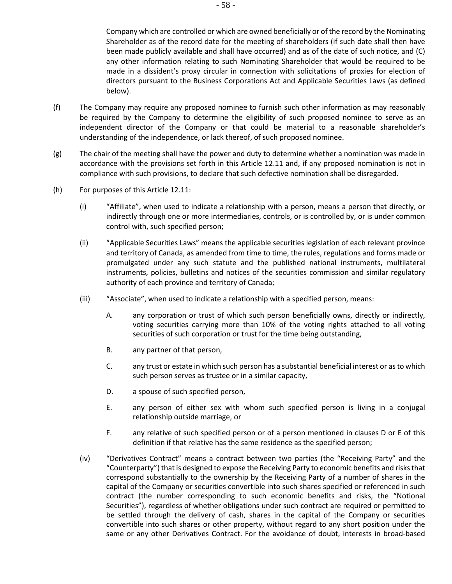Company which are controlled or which are owned beneficially or of the record by the Nominating Shareholder as of the record date for the meeting of shareholders (if such date shall then have been made publicly available and shall have occurred) and as of the date of such notice, and (C) any other information relating to such Nominating Shareholder that would be required to be made in a dissident's proxy circular in connection with solicitations of proxies for election of directors pursuant to the Business Corporations Act and Applicable Securities Laws (as defined below).

- (f) The Company may require any proposed nominee to furnish such other information as may reasonably be required by the Company to determine the eligibility of such proposed nominee to serve as an independent director of the Company or that could be material to a reasonable shareholder's understanding of the independence, or lack thereof, of such proposed nominee.
- (g) The chair of the meeting shall have the power and duty to determine whether a nomination was made in accordance with the provisions set forth in this Article [12.11](#page-55-3) and, if any proposed nomination is not in compliance with such provisions, to declare that such defective nomination shall be disregarded.
- (h) For purposes of this Articl[e 12.11:](#page-55-3)
	- (i) "Affiliate", when used to indicate a relationship with a person, means a person that directly, or indirectly through one or more intermediaries, controls, or is controlled by, or is under common control with, such specified person;
	- (ii) "Applicable Securities Laws" means the applicable securities legislation of each relevant province and territory of Canada, as amended from time to time, the rules, regulations and forms made or promulgated under any such statute and the published national instruments, multilateral instruments, policies, bulletins and notices of the securities commission and similar regulatory authority of each province and territory of Canada;
	- (iii) "Associate", when used to indicate a relationship with a specified person, means:
		- A. any corporation or trust of which such person beneficially owns, directly or indirectly, voting securities carrying more than 10% of the voting rights attached to all voting securities of such corporation or trust for the time being outstanding,
		- B. any partner of that person,
		- C. any trust or estate in which such person has a substantial beneficial interest or as to which such person serves as trustee or in a similar capacity,
		- D. a spouse of such specified person,
		- E. any person of either sex with whom such specified person is living in a conjugal relationship outside marriage, or
		- F. any relative of such specified person or of a person mentioned in clauses D or E of this definition if that relative has the same residence as the specified person;
	- (iv) "Derivatives Contract" means a contract between two parties (the "Receiving Party" and the "Counterparty") that is designed to expose the Receiving Party to economic benefits and risks that correspond substantially to the ownership by the Receiving Party of a number of shares in the capital of the Company or securities convertible into such shares specified or referenced in such contract (the number corresponding to such economic benefits and risks, the "Notional Securities"), regardless of whether obligations under such contract are required or permitted to be settled through the delivery of cash, shares in the capital of the Company or securities convertible into such shares or other property, without regard to any short position under the same or any other Derivatives Contract. For the avoidance of doubt, interests in broad-based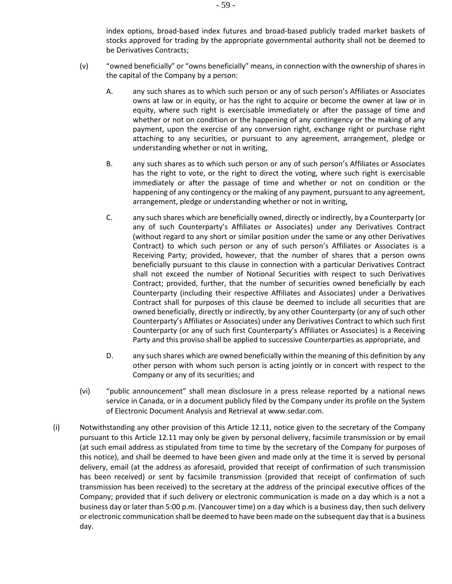index options, broad-based index futures and broad-based publicly traded market baskets of stocks approved for trading by the appropriate governmental authority shall not be deemed to be Derivatives Contracts;

- (v) "owned beneficially" or "owns beneficially" means, in connection with the ownership of shares in the capital of the Company by a person:
	- A. any such shares as to which such person or any of such person's Affiliates or Associates owns at law or in equity, or has the right to acquire or become the owner at law or in equity, where such right is exercisable immediately or after the passage of time and whether or not on condition or the happening of any contingency or the making of any payment, upon the exercise of any conversion right, exchange right or purchase right attaching to any securities, or pursuant to any agreement, arrangement, pledge or understanding whether or not in writing,
	- B. any such shares as to which such person or any of such person's Affiliates or Associates has the right to vote, or the right to direct the voting, where such right is exercisable immediately or after the passage of time and whether or not on condition or the happening of any contingency or the making of any payment, pursuant to any agreement, arrangement, pledge or understanding whether or not in writing,
	- C. any such shares which are beneficially owned, directly or indirectly, by a Counterparty (or any of such Counterparty's Affiliates or Associates) under any Derivatives Contract (without regard to any short or similar position under the same or any other Derivatives Contract) to which such person or any of such person's Affiliates or Associates is a Receiving Party; provided, however, that the number of shares that a person owns beneficially pursuant to this clause in connection with a particular Derivatives Contract shall not exceed the number of Notional Securities with respect to such Derivatives Contract; provided, further, that the number of securities owned beneficially by each Counterparty (including their respective Affiliates and Associates) under a Derivatives Contract shall for purposes of this clause be deemed to include all securities that are owned beneficially, directly or indirectly, by any other Counterparty (or any of such other Counterparty's Affiliates or Associates) under any Derivatives Contract to which such first Counterparty (or any of such first Counterparty's Affiliates or Associates) is a Receiving Party and this proviso shall be applied to successive Counterparties as appropriate, and
	- D. any such shares which are owned beneficially within the meaning of this definition by any other person with whom such person is acting jointly or in concert with respect to the Company or any of its securities; and
- (vi) "public announcement" shall mean disclosure in a press release reported by a national news service in Canada, or in a document publicly filed by the Company under its profile on the System of Electronic Document Analysis and Retrieval at www.sedar.com.
- (i) Notwithstanding any other provision of this Article [12.11,](#page-55-3) notice given to the secretary of the Company pursuant to this Article [12.11](#page-55-3) may only be given by personal delivery, facsimile transmission or by email (at such email address as stipulated from time to time by the secretary of the Company for purposes of this notice), and shall be deemed to have been given and made only at the time it is served by personal delivery, email (at the address as aforesaid, provided that receipt of confirmation of such transmission has been received) or sent by facsimile transmission (provided that receipt of confirmation of such transmission has been received) to the secretary at the address of the principal executive offices of the Company; provided that if such delivery or electronic communication is made on a day which is a not a business day or later than 5:00 p.m. (Vancouver time) on a day which is a business day, then such delivery or electronic communication shall be deemed to have been made on the subsequent day that is a business day.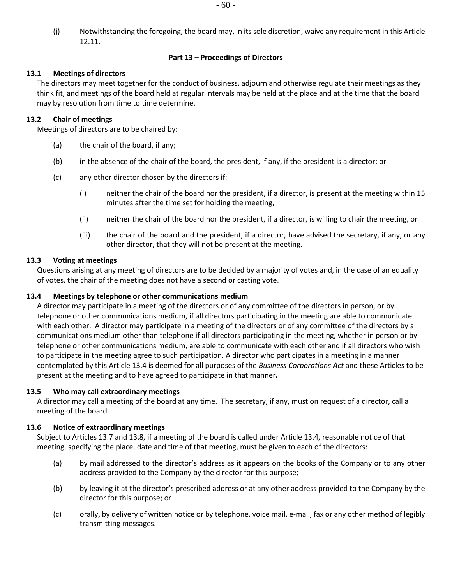(j) Notwithstanding the foregoing, the board may, in its sole discretion, waive any requirement in this Article [12.11.](#page-55-3)

### **Part 13 – Proceedings of Directors**

# **13.1 Meetings of directors**

The directors may meet together for the conduct of business, adjourn and otherwise regulate their meetings as they think fit, and meetings of the board held at regular intervals may be held at the place and at the time that the board may by resolution from time to time determine.

### **13.2 Chair of meetings**

Meetings of directors are to be chaired by:

- (a) the chair of the board, if any;
- (b) in the absence of the chair of the board, the president, if any, if the president is a director; or
- (c) any other director chosen by the directors if:
	- (i) neither the chair of the board nor the president, if a director, is present at the meeting within 15 minutes after the time set for holding the meeting,
	- (ii) neither the chair of the board nor the president, if a director, is willing to chair the meeting, or
	- (iii) the chair of the board and the president, if a director, have advised the secretary, if any, or any other director, that they will not be present at the meeting.

### **13.3 Voting at meetings**

Questions arising at any meeting of directors are to be decided by a majority of votes and, in the case of an equality of votes, the chair of the meeting does not have a second or casting vote.

### <span id="page-59-0"></span>**13.4 Meetings by telephone or other communications medium**

A director may participate in a meeting of the directors or of any committee of the directors in person, or by telephone or other communications medium, if all directors participating in the meeting are able to communicate with each other. A director may participate in a meeting of the directors or of any committee of the directors by a communications medium other than telephone if all directors participating in the meeting, whether in person or by telephone or other communications medium, are able to communicate with each other and if all directors who wish to participate in the meeting agree to such participation. A director who participates in a meeting in a manner contemplated by this Article [13.4](#page-59-0) is deemed for all purposes of the *Business Corporations Act* and these Articles to be present at the meeting and to have agreed to participate in that manner**.**

# **13.5 Who may call extraordinary meetings**

A director may call a meeting of the board at any time. The secretary, if any, must on request of a director, call a meeting of the board.

### **13.6 Notice of extraordinary meetings**

Subject to Article[s 13.7](#page-60-0) and [13.8,](#page-60-1) if a meeting of the board is called under Article [13.4,](#page-59-0) reasonable notice of that meeting, specifying the place, date and time of that meeting, must be given to each of the directors:

- (a) by mail addressed to the director's address as it appears on the books of the Company or to any other address provided to the Company by the director for this purpose;
- (b) by leaving it at the director's prescribed address or at any other address provided to the Company by the director for this purpose; or
- (c) orally, by delivery of written notice or by telephone, voice mail, e-mail, fax or any other method of legibly transmitting messages.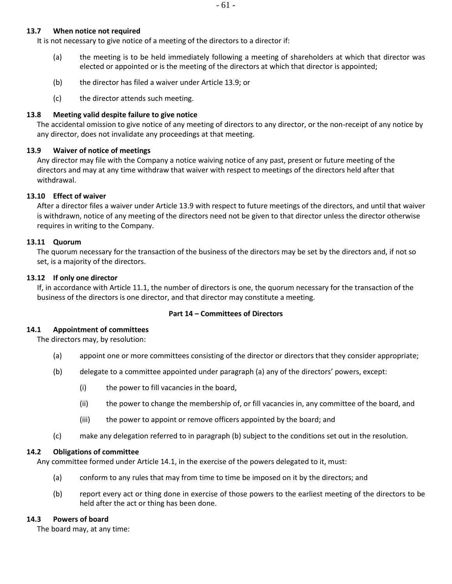#### <span id="page-60-0"></span>**13.7 When notice not required**

It is not necessary to give notice of a meeting of the directors to a director if:

- (a) the meeting is to be held immediately following a meeting of shareholders at which that director was elected or appointed or is the meeting of the directors at which that director is appointed;
- (b) the director has filed a waiver under Article [13.9;](#page-60-2) or
- (c) the director attends such meeting.

# <span id="page-60-1"></span>**13.8 Meeting valid despite failure to give notice**

The accidental omission to give notice of any meeting of directors to any director, or the non-receipt of any notice by any director, does not invalidate any proceedings at that meeting.

# <span id="page-60-2"></span>**13.9 Waiver of notice of meetings**

Any director may file with the Company a notice waiving notice of any past, present or future meeting of the directors and may at any time withdraw that waiver with respect to meetings of the directors held after that withdrawal.

# **13.10 Effect of waiver**

After a director files a waiver under Articl[e 13.9](#page-60-2) with respect to future meetings of the directors, and until that waiver is withdrawn, notice of any meeting of the directors need not be given to that director unless the director otherwise requires in writing to the Company.

### **13.11 Quorum**

The quorum necessary for the transaction of the business of the directors may be set by the directors and, if not so set, is a majority of the directors.

### **13.12 If only one director**

If, in accordance with Article [11.1,](#page-53-4) the number of directors is one, the quorum necessary for the transaction of the business of the directors is one director, and that director may constitute a meeting.

### **Part 14 – Committees of Directors**

### <span id="page-60-4"></span>**14.1 Appointment of committees**

<span id="page-60-3"></span>The directors may, by resolution:

- (a) appoint one or more committees consisting of the director or directors that they consider appropriate;
- (b) delegate to a committee appointed under paragraph (a) any of the directors' powers, except:
	- (i) the power to fill vacancies in the board,
	- (ii) the power to change the membership of, or fill vacancies in, any committee of the board, and
	- (iii) the power to appoint or remove officers appointed by the board; and
- (c) make any delegation referred to in paragraph [\(b\)](#page-60-3) subject to the conditions set out in the resolution.

### **14.2 Obligations of committee**

<span id="page-60-5"></span>Any committee formed under Article [14.1,](#page-60-4) in the exercise of the powers delegated to it, must:

- (a) conform to any rules that may from time to time be imposed on it by the directors; and
- (b) report every act or thing done in exercise of those powers to the earliest meeting of the directors to be held after the act or thing has been done.

### **14.3 Powers of board**

The board may, at any time: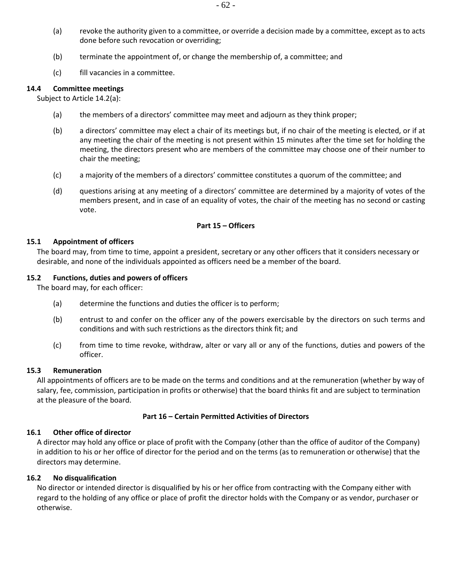- (a) revoke the authority given to a committee, or override a decision made by a committee, except as to acts done before such revocation or overriding;
- (b) terminate the appointment of, or change the membership of, a committee; and
- (c) fill vacancies in a committee.

#### **14.4 Committee meetings**

Subject to Article [14.2\(a\):](#page-60-5)

- (a) the members of a directors' committee may meet and adjourn as they think proper;
- (b) a directors' committee may elect a chair of its meetings but, if no chair of the meeting is elected, or if at any meeting the chair of the meeting is not present within 15 minutes after the time set for holding the meeting, the directors present who are members of the committee may choose one of their number to chair the meeting;
- (c) a majority of the members of a directors' committee constitutes a quorum of the committee; and
- (d) questions arising at any meeting of a directors' committee are determined by a majority of votes of the members present, and in case of an equality of votes, the chair of the meeting has no second or casting vote.

#### **Part 15 – Officers**

#### **15.1 Appointment of officers**

The board may, from time to time, appoint a president, secretary or any other officers that it considers necessary or desirable, and none of the individuals appointed as officers need be a member of the board.

#### **15.2 Functions, duties and powers of officers**

The board may, for each officer:

- (a) determine the functions and duties the officer is to perform;
- (b) entrust to and confer on the officer any of the powers exercisable by the directors on such terms and conditions and with such restrictions as the directors think fit; and
- (c) from time to time revoke, withdraw, alter or vary all or any of the functions, duties and powers of the officer.

#### **15.3 Remuneration**

All appointments of officers are to be made on the terms and conditions and at the remuneration (whether by way of salary, fee, commission, participation in profits or otherwise) that the board thinks fit and are subject to termination at the pleasure of the board.

#### **Part 16 – Certain Permitted Activities of Directors**

#### **16.1 Other office of director**

A director may hold any office or place of profit with the Company (other than the office of auditor of the Company) in addition to his or her office of director for the period and on the terms (as to remuneration or otherwise) that the directors may determine.

#### **16.2 No disqualification**

No director or intended director is disqualified by his or her office from contracting with the Company either with regard to the holding of any office or place of profit the director holds with the Company or as vendor, purchaser or otherwise.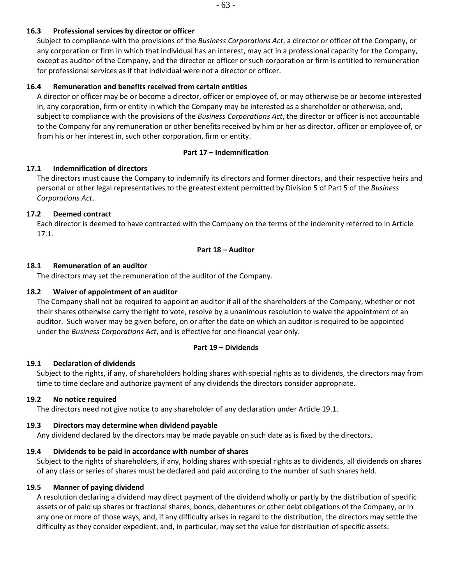# **16.3 Professional services by director or officer**

Subject to compliance with the provisions of the *Business Corporations Act*, a director or officer of the Company, or any corporation or firm in which that individual has an interest, may act in a professional capacity for the Company, except as auditor of the Company, and the director or officer or such corporation or firm is entitled to remuneration for professional services as if that individual were not a director or officer.

# **16.4 Remuneration and benefits received from certain entities**

A director or officer may be or become a director, officer or employee of, or may otherwise be or become interested in, any corporation, firm or entity in which the Company may be interested as a shareholder or otherwise, and, subject to compliance with the provisions of the *Business Corporations Act*, the director or officer is not accountable to the Company for any remuneration or other benefits received by him or her as director, officer or employee of, or from his or her interest in, such other corporation, firm or entity.

# **Part 17 – Indemnification**

# <span id="page-62-0"></span>**17.1 Indemnification of directors**

The directors must cause the Company to indemnify its directors and former directors, and their respective heirs and personal or other legal representatives to the greatest extent permitted by Division 5 of Part 5 of the *Business Corporations Act*.

# **17.2 Deemed contract**

Each director is deemed to have contracted with the Company on the terms of the indemnity referred to in Article [17.1.](#page-62-0)

# **Part 18 – Auditor**

# **18.1 Remuneration of an auditor**

The directors may set the remuneration of the auditor of the Company.

# **18.2 Waiver of appointment of an auditor**

The Company shall not be required to appoint an auditor if all of the shareholders of the Company, whether or not their shares otherwise carry the right to vote, resolve by a unanimous resolution to waive the appointment of an auditor. Such waiver may be given before, on or after the date on which an auditor is required to be appointed under the *Business Corporations Act*, and is effective for one financial year only.

# **Part 19 – Dividends**

# <span id="page-62-1"></span>**19.1 Declaration of dividends**

Subject to the rights, if any, of shareholders holding shares with special rights as to dividends, the directors may from time to time declare and authorize payment of any dividends the directors consider appropriate.

# **19.2 No notice required**

The directors need not give notice to any shareholder of any declaration under Article [19.1.](#page-62-1)

# **19.3 Directors may determine when dividend payable**

Any dividend declared by the directors may be made payable on such date as is fixed by the directors.

# **19.4 Dividends to be paid in accordance with number of shares**

Subject to the rights of shareholders, if any, holding shares with special rights as to dividends, all dividends on shares of any class or series of shares must be declared and paid according to the number of such shares held.

# **19.5 Manner of paying dividend**

A resolution declaring a dividend may direct payment of the dividend wholly or partly by the distribution of specific assets or of paid up shares or fractional shares, bonds, debentures or other debt obligations of the Company, or in any one or more of those ways, and, if any difficulty arises in regard to the distribution, the directors may settle the difficulty as they consider expedient, and, in particular, may set the value for distribution of specific assets.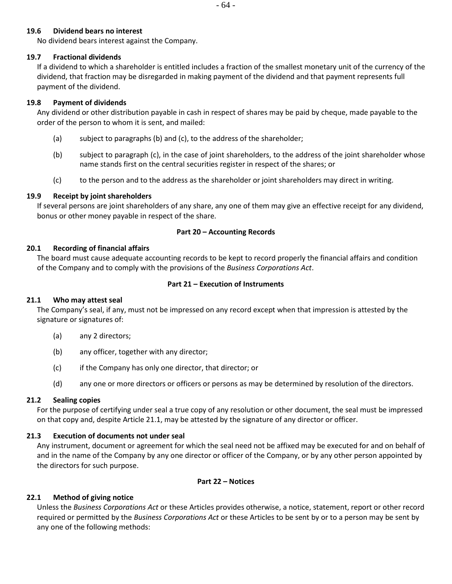### **19.6 Dividend bears no interest**

No dividend bears interest against the Company.

#### **19.7 Fractional dividends**

If a dividend to which a shareholder is entitled includes a fraction of the smallest monetary unit of the currency of the dividend, that fraction may be disregarded in making payment of the dividend and that payment represents full payment of the dividend.

#### **19.8 Payment of dividends**

Any dividend or other distribution payable in cash in respect of shares may be paid by cheque, made payable to the order of the person to whom it is sent, and mailed:

- (a) subject to paragraph[s \(b\)](#page-63-0) and [\(c\),](#page-63-1) to the address of the shareholder;
- <span id="page-63-0"></span>(b) subject to paragraph [\(c\),](#page-63-1) in the case of joint shareholders, to the address of the joint shareholder whose name stands first on the central securities register in respect of the shares; or
- (c) to the person and to the address as the shareholder or joint shareholders may direct in writing.

#### <span id="page-63-1"></span>**19.9 Receipt by joint shareholders**

If several persons are joint shareholders of any share, any one of them may give an effective receipt for any dividend, bonus or other money payable in respect of the share.

#### **Part 20 – Accounting Records**

#### **20.1 Recording of financial affairs**

The board must cause adequate accounting records to be kept to record properly the financial affairs and condition of the Company and to comply with the provisions of the *Business Corporations Act*.

#### **Part 21 – Execution of Instruments**

### <span id="page-63-2"></span>**21.1 Who may attest seal**

The Company's seal, if any, must not be impressed on any record except when that impression is attested by the signature or signatures of:

- (a) any 2 directors;
- (b) any officer, together with any director;
- (c) if the Company has only one director, that director; or
- (d) any one or more directors or officers or persons as may be determined by resolution of the directors.

### **21.2 Sealing copies**

For the purpose of certifying under seal a true copy of any resolution or other document, the seal must be impressed on that copy and, despite Article [21.1,](#page-63-2) may be attested by the signature of any director or officer.

### **21.3 Execution of documents not under seal**

Any instrument, document or agreement for which the seal need not be affixed may be executed for and on behalf of and in the name of the Company by any one director or officer of the Company, or by any other person appointed by the directors for such purpose.

#### **Part 22 – Notices**

### <span id="page-63-3"></span>**22.1 Method of giving notice**

Unless the *Business Corporations Act* or these Articles provides otherwise, a notice, statement, report or other record required or permitted by the *Business Corporations Act* or these Articles to be sent by or to a person may be sent by any one of the following methods: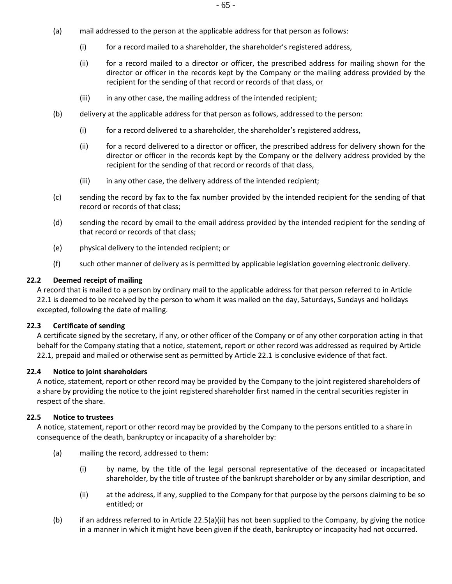- (a) mail addressed to the person at the applicable address for that person as follows:
	- (i) for a record mailed to a shareholder, the shareholder's registered address,
	- (ii) for a record mailed to a director or officer, the prescribed address for mailing shown for the director or officer in the records kept by the Company or the mailing address provided by the recipient for the sending of that record or records of that class, or
	- (iii) in any other case, the mailing address of the intended recipient;
- (b) delivery at the applicable address for that person as follows, addressed to the person:
	- (i) for a record delivered to a shareholder, the shareholder's registered address,
	- (ii) for a record delivered to a director or officer, the prescribed address for delivery shown for the director or officer in the records kept by the Company or the delivery address provided by the recipient for the sending of that record or records of that class,
	- (iii) in any other case, the delivery address of the intended recipient;
- (c) sending the record by fax to the fax number provided by the intended recipient for the sending of that record or records of that class;
- (d) sending the record by email to the email address provided by the intended recipient for the sending of that record or records of that class;
- (e) physical delivery to the intended recipient; or
- (f) such other manner of delivery as is permitted by applicable legislation governing electronic delivery.

#### **22.2 Deemed receipt of mailing**

A record that is mailed to a person by ordinary mail to the applicable address for that person referred to in Article [22.1](#page-63-3) is deemed to be received by the person to whom it was mailed on the day, Saturdays, Sundays and holidays excepted, following the date of mailing.

#### **22.3 Certificate of sending**

A certificate signed by the secretary, if any, or other officer of the Company or of any other corporation acting in that behalf for the Company stating that a notice, statement, report or other record was addressed as required by Article [22.1,](#page-63-3) prepaid and mailed or otherwise sent as permitted by Article [22.1](#page-63-3) is conclusive evidence of that fact.

#### **22.4 Notice to joint shareholders**

A notice, statement, report or other record may be provided by the Company to the joint registered shareholders of a share by providing the notice to the joint registered shareholder first named in the central securities register in respect of the share.

#### **22.5 Notice to trustees**

A notice, statement, report or other record may be provided by the Company to the persons entitled to a share in consequence of the death, bankruptcy or incapacity of a shareholder by:

- (a) mailing the record, addressed to them:
	- (i) by name, by the title of the legal personal representative of the deceased or incapacitated shareholder, by the title of trustee of the bankrupt shareholder or by any similar description, and
	- (ii) at the address, if any, supplied to the Company for that purpose by the persons claiming to be so entitled; or
- <span id="page-64-0"></span>(b) if an address referred to in Article [22.5\(a\)\(ii\)](#page-64-0) has not been supplied to the Company, by giving the notice in a manner in which it might have been given if the death, bankruptcy or incapacity had not occurred.